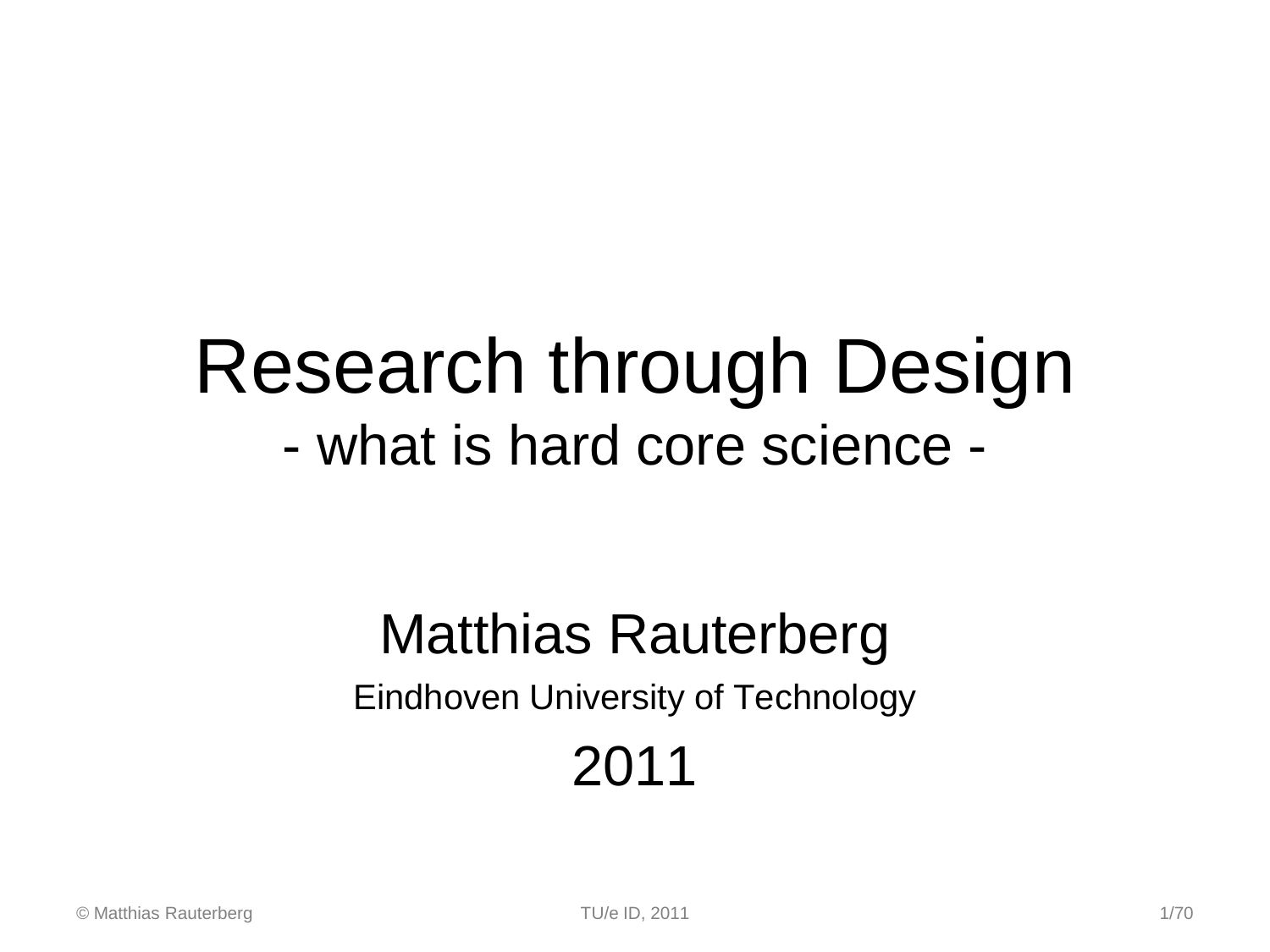# Research through Design - what is hard core science -

### Matthias Rauterberg Eindhoven University of Technology 2011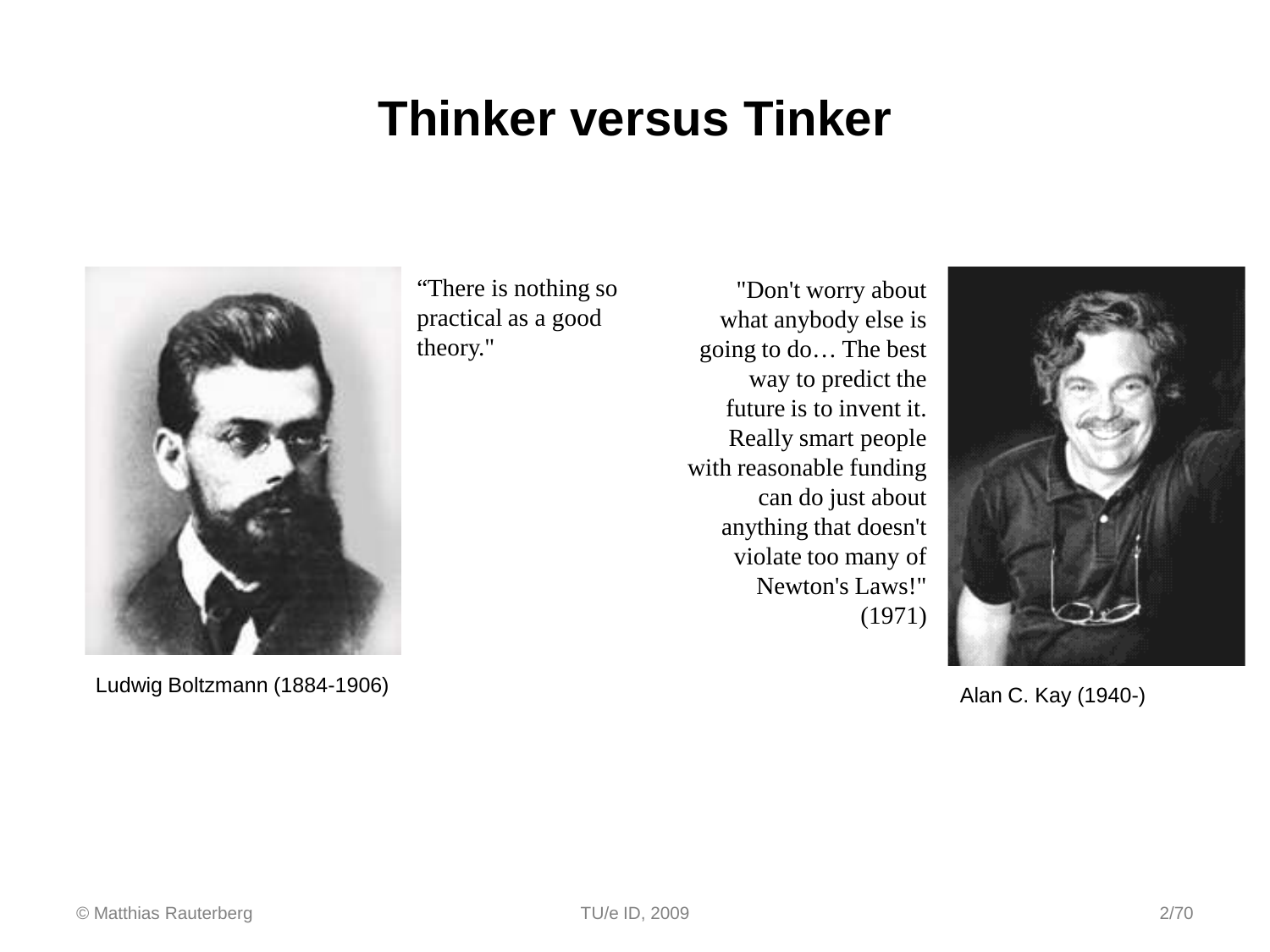### **Thinker versus Tinker**



Ludwig Boltzmann (1884-1906)

"There is nothing so practical as a good theory."

"Don't worry about what anybody else is going to do… The best way to predict the future is to invent it. Really smart people with reasonable funding can do just about anything that doesn't violate too many of Newton's Laws!" (1971)



Alan C. Kay (1940-)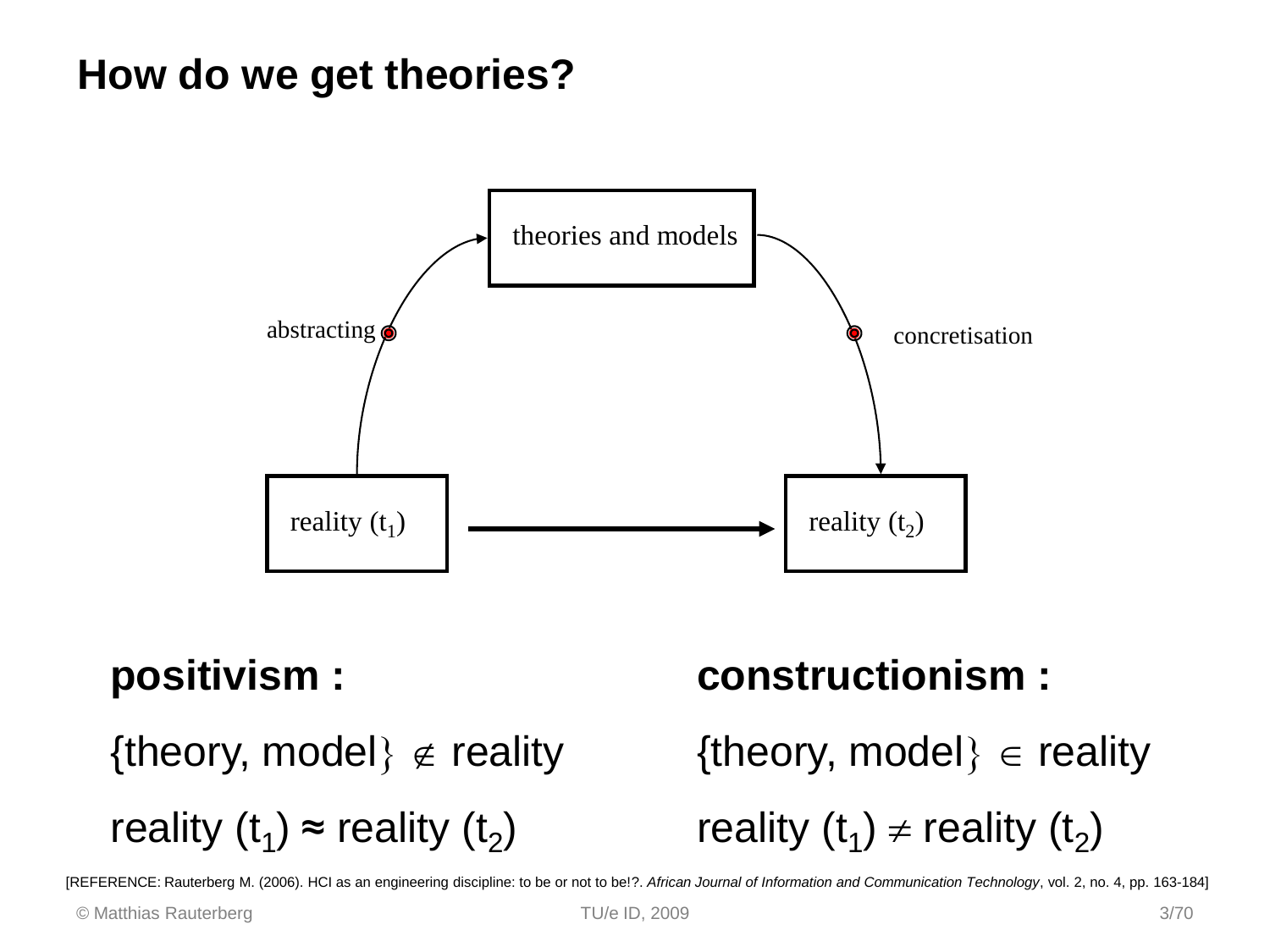### **How do we get theories?**



#### **positivism :**

{theory, model}  $\notin$  reality

reality (t<sub>1</sub>) ≈ reality (t<sub>2</sub>)

#### **constructionism :**

{theory, model}  $\in$  reality

reality (t<sub>1</sub>)  $\neq$  reality (t<sub>2</sub>)

[REFERENCE: Rauterberg M. (2006). HCI as an engineering discipline: to be or not to be!?. *African Journal of Information and Communication Technology*, vol. 2, no. 4, pp. 163-184]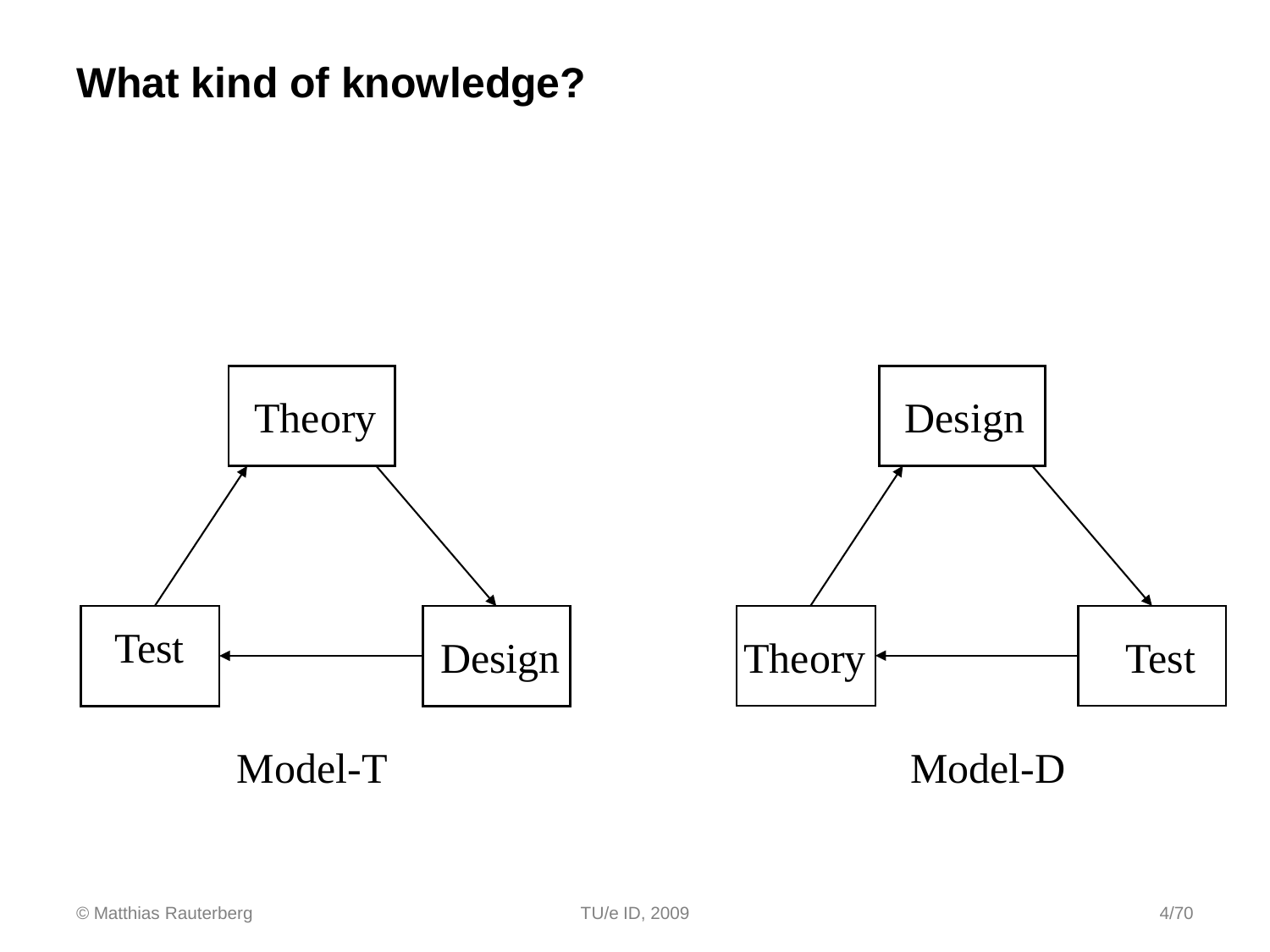### **What kind of knowledge?**

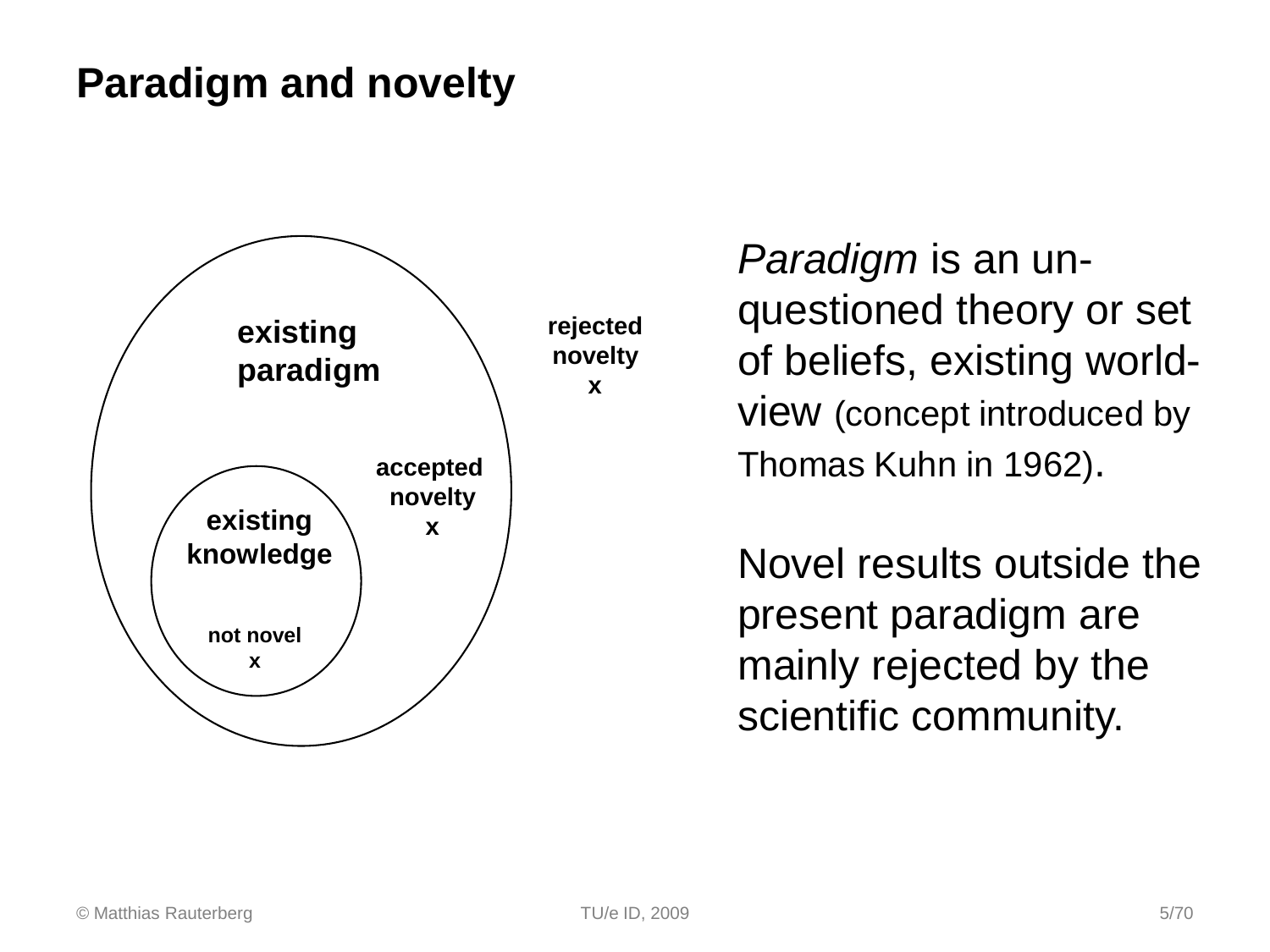### **Paradigm and novelty**



*Paradigm* is an unquestioned theory or set of beliefs, existing worldview (concept introduced by Thomas Kuhn in 1962).

Novel results outside the present paradigm are mainly rejected by the scientific community.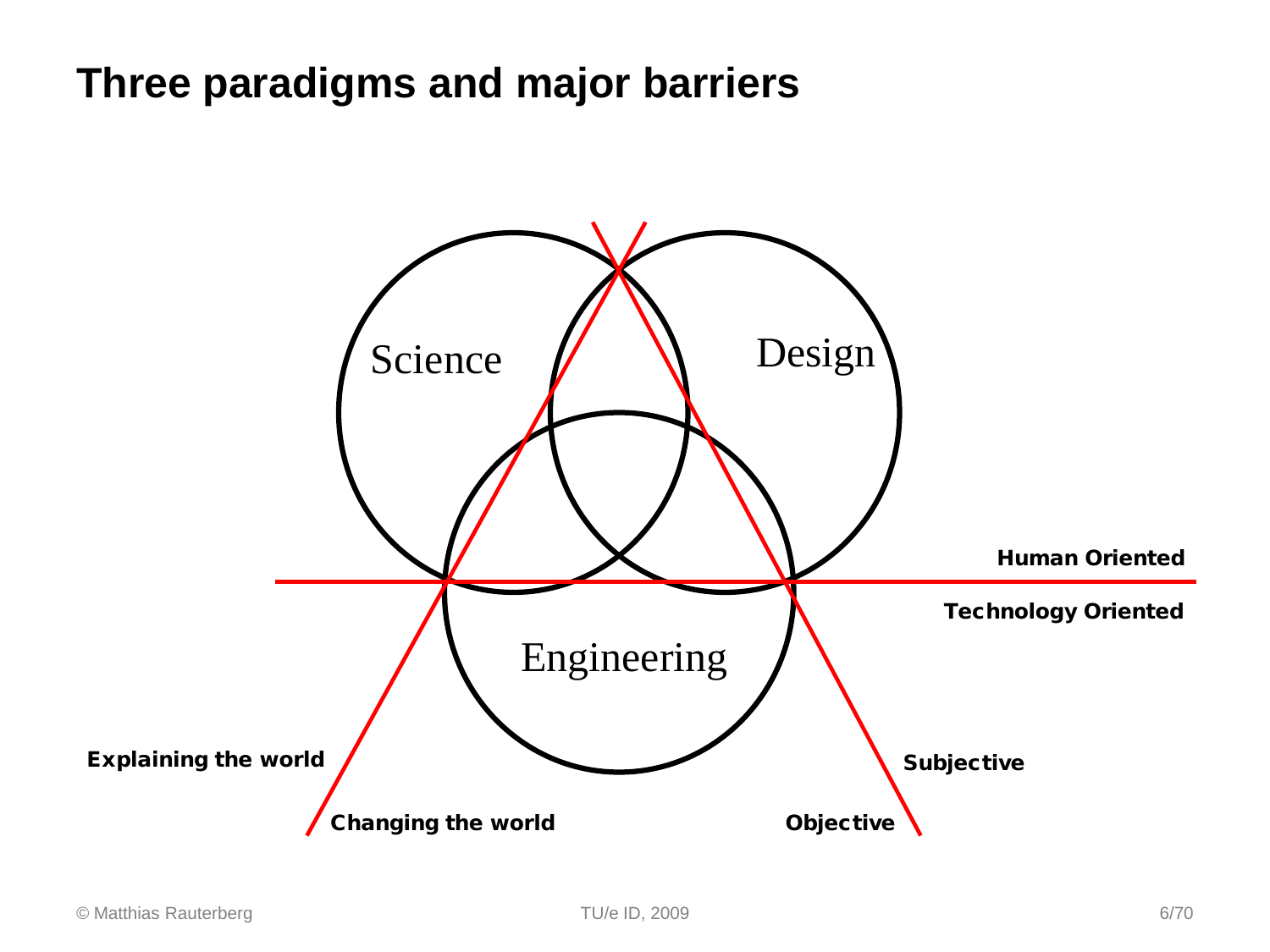### **Three paradigms and major barriers**

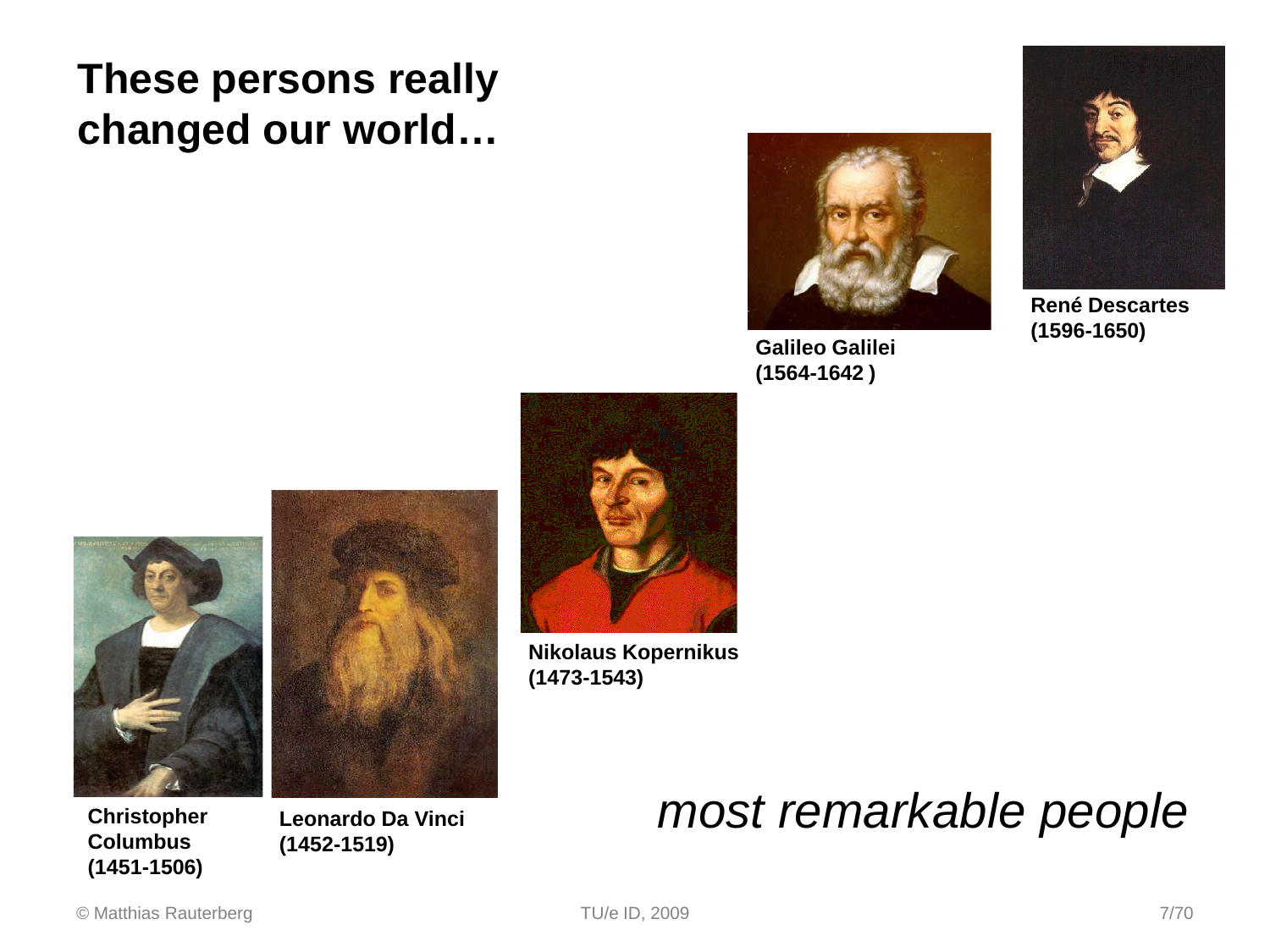### **These persons really changed our world…**



**Galileo Galilei (1564-1642 )** 



**René Descartes (1596-1650)**





**Christopher Columbus (1451-1506)** 

**Leonardo Da Vinci (1452-1519)** 



**Nikolaus Kopernikus (1473-1543)** 

### *most remarkable people*

#### © Matthias Rauterberg TU/e ID, 2009 7/70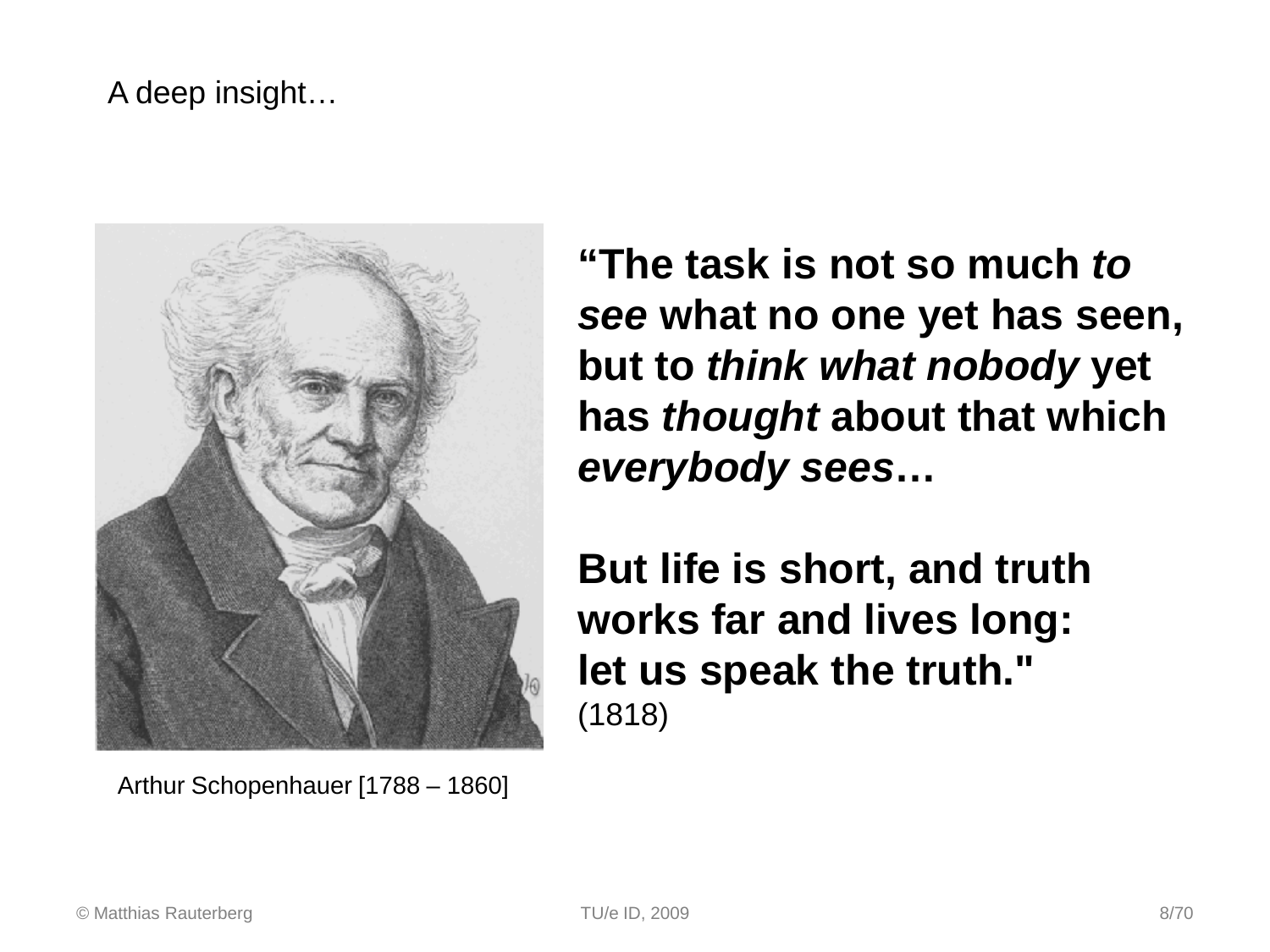#### A deep insight…



Arthur Schopenhauer [1788 – 1860]

**"The task is not so much** *to see* **what no one yet has seen, but to** *think what nobody* **yet has** *thought* **about that which**  *everybody sees***…** 

**But life is short, and truth works far and lives long: let us speak the truth."**  (1818)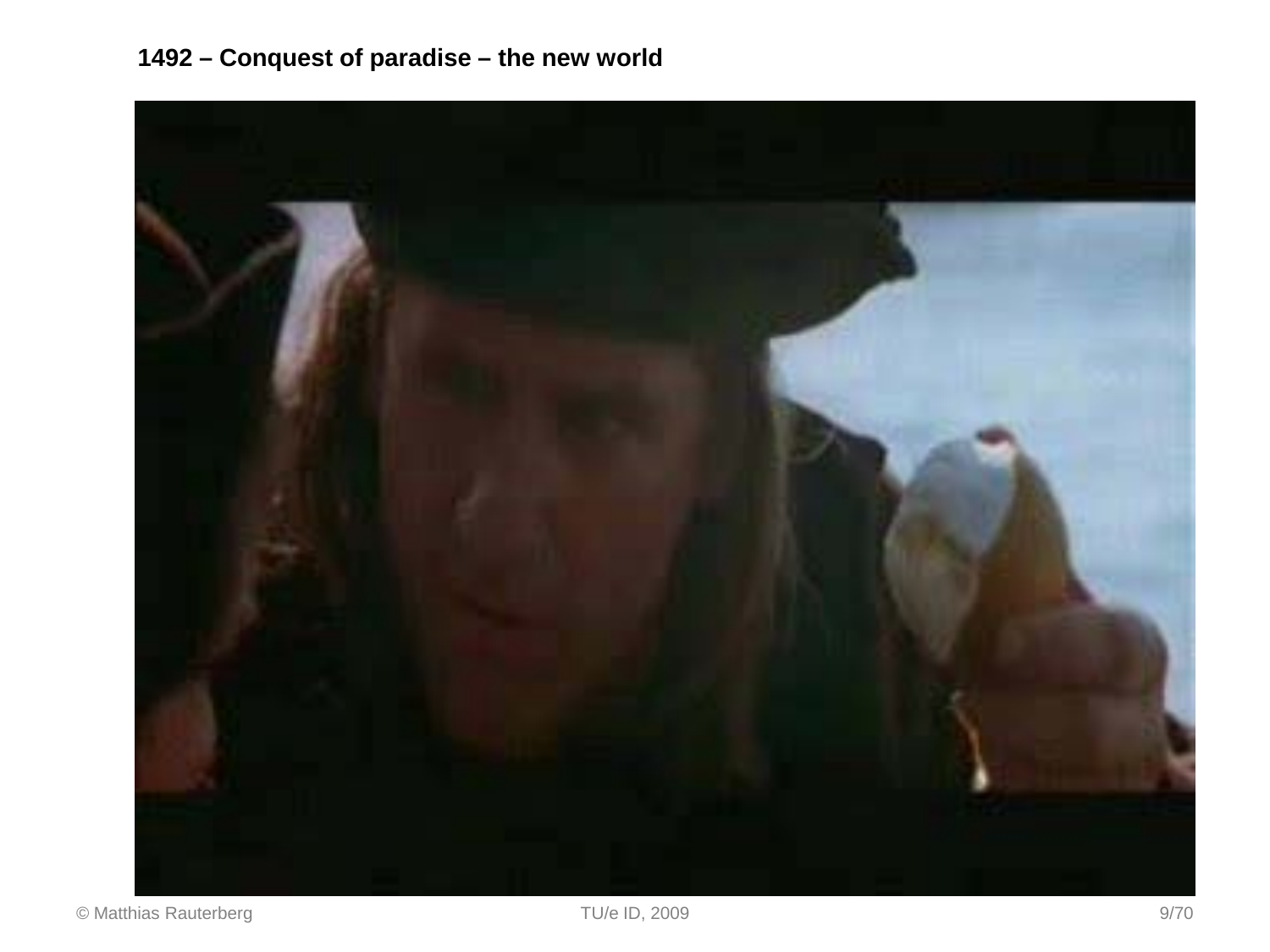#### **1492 – Conquest of paradise – the new world**

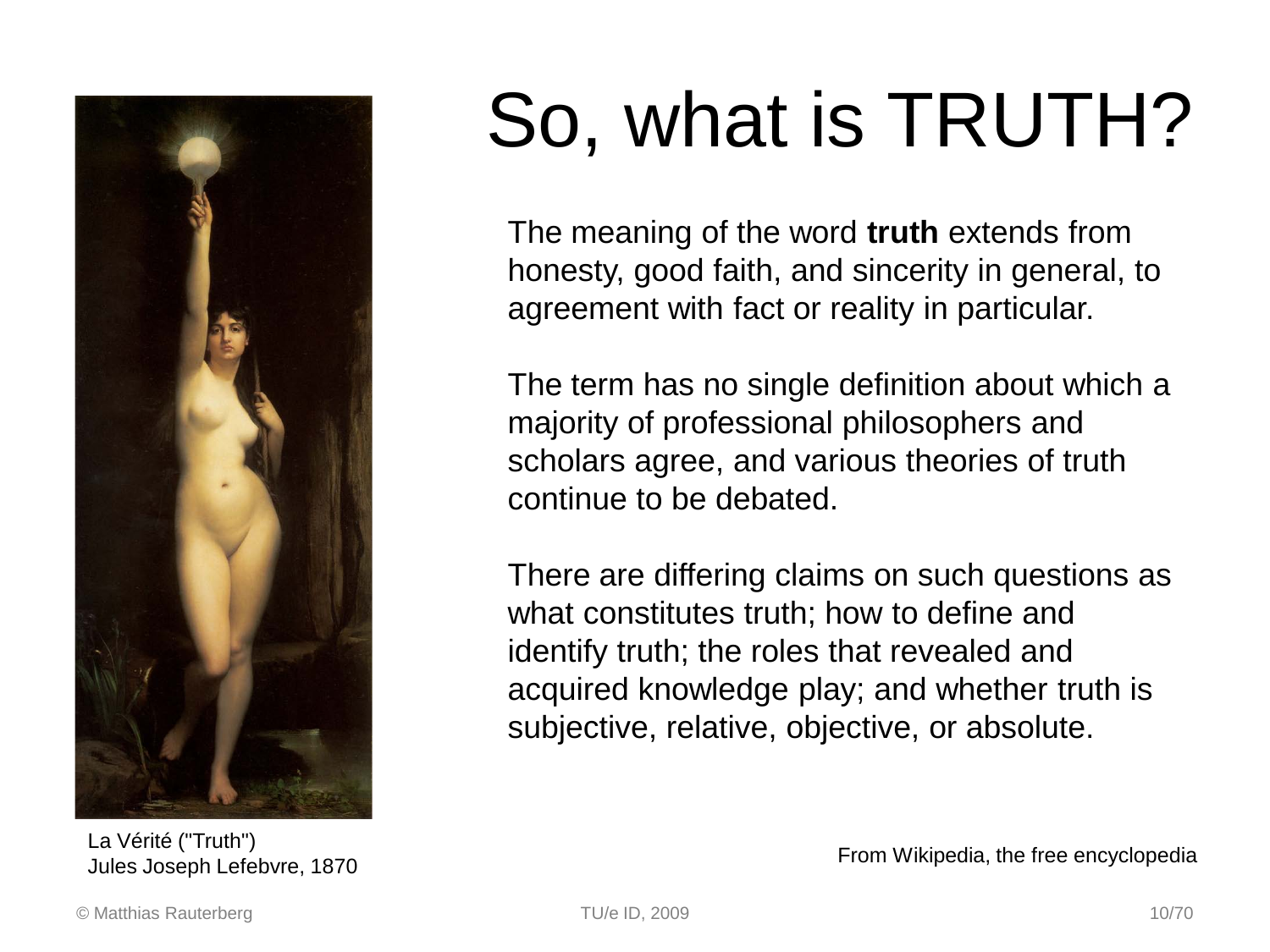

La Vérité ("Truth") Jules Joseph Lefebvre, 1870

# So, what is TRUTH?

The meaning of the word **truth** extends from honesty, good faith, and sincerity in general, to agreement with fact or reality in particular.

The term has no single definition about which a majority of professional philosophers and scholars agree, and various theories of truth continue to be debated.

There are differing claims on such questions as what constitutes truth; how to define and identify truth; the roles that revealed and acquired knowledge play; and whether truth is subjective, relative, objective, or absolute.

From Wikipedia, the free encyclopedia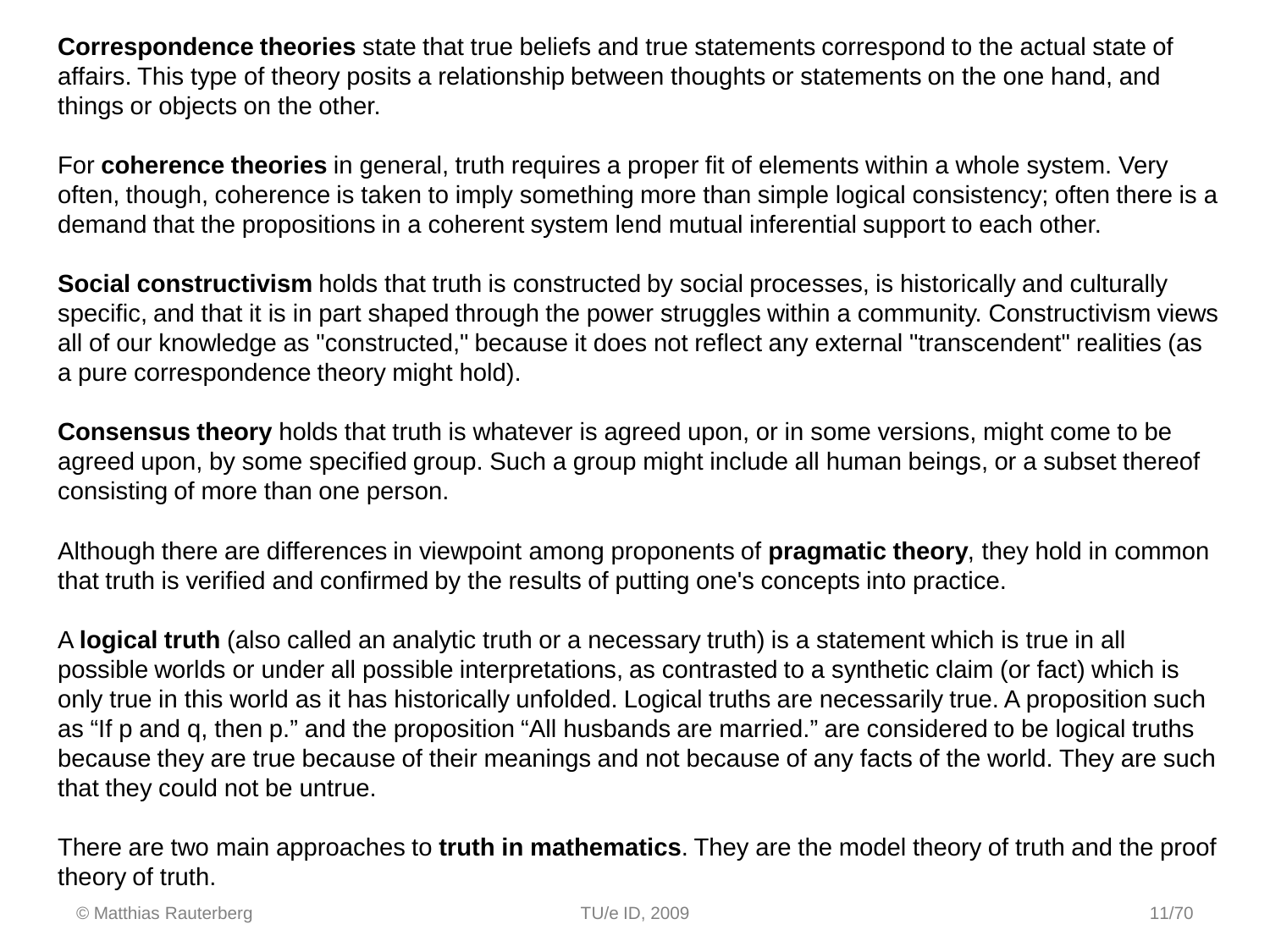**Correspondence theories** state that true beliefs and true statements correspond to the actual state of affairs. This type of theory posits a relationship between thoughts or statements on the one hand, and things or objects on the other.

For **coherence theories** in general, truth requires a proper fit of elements within a whole system. Very often, though, coherence is taken to imply something more than simple logical consistency; often there is a demand that the propositions in a coherent system lend mutual inferential support to each other.

**Social constructivism** holds that truth is constructed by social processes, is historically and culturally specific, and that it is in part shaped through the power struggles within a community. Constructivism views all of our knowledge as "constructed," because it does not reflect any external "transcendent" realities (as a pure correspondence theory might hold).

**Consensus theory** holds that truth is whatever is agreed upon, or in some versions, might come to be agreed upon, by some specified group. Such a group might include all human beings, or a subset thereof consisting of more than one person.

Although there are differences in viewpoint among proponents of **pragmatic theory**, they hold in common that truth is verified and confirmed by the results of putting one's concepts into practice.

A **logical truth** (also called an analytic truth or a necessary truth) is a statement which is true in all possible worlds or under all possible interpretations, as contrasted to a synthetic claim (or fact) which is only true in this world as it has historically unfolded. Logical truths are necessarily true. A proposition such as "If p and q, then p." and the proposition "All husbands are married." are considered to be logical truths because they are true because of their meanings and not because of any facts of the world. They are such that they could not be untrue.

There are two main approaches to **truth in mathematics**. They are the model theory of truth and the proof theory of truth.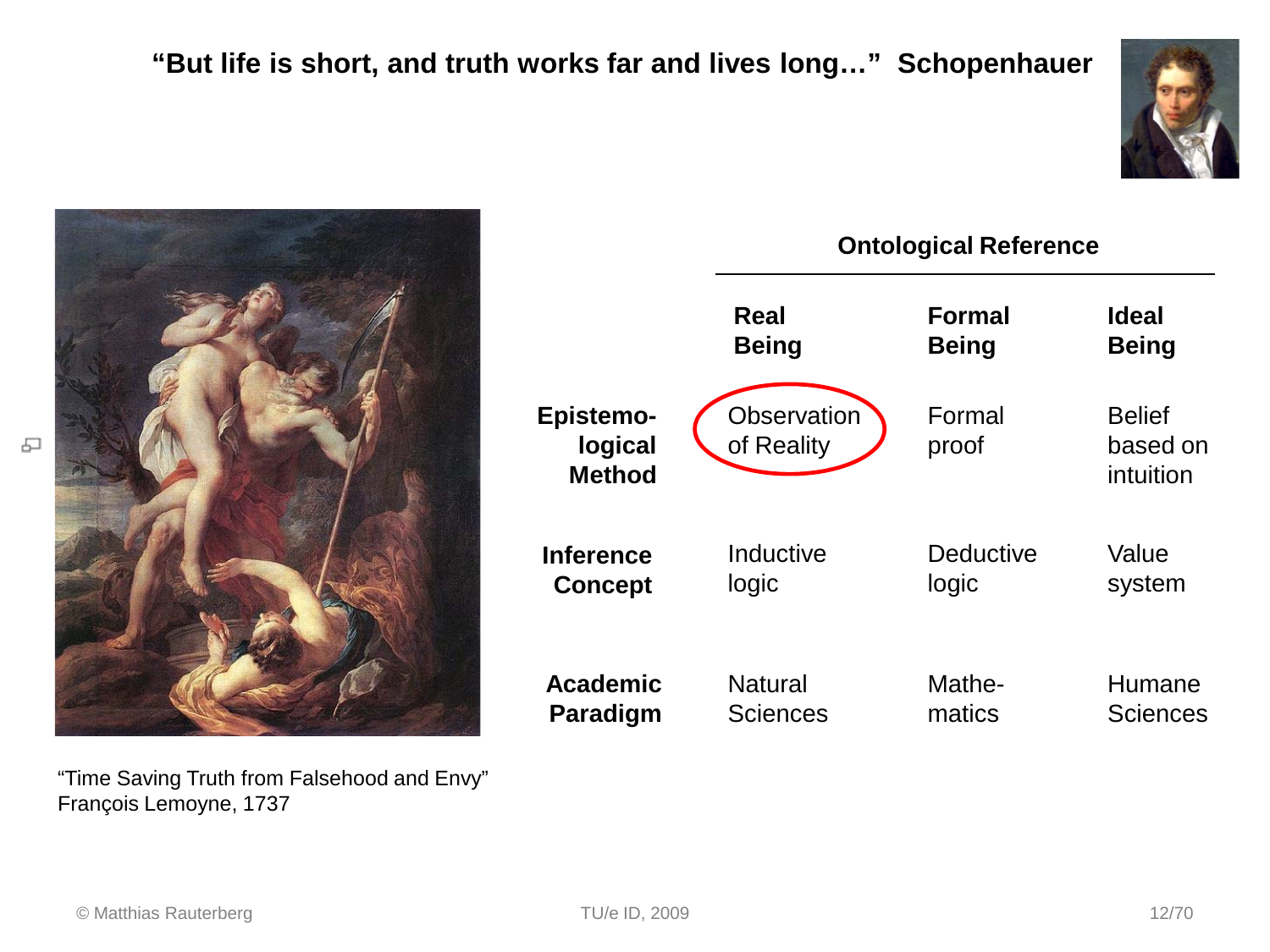



"Time Saving Truth from Falsehood and Envy" François Lemoyne, 1737



© Matthias Rauterberg TU/e ID, 2009 12/70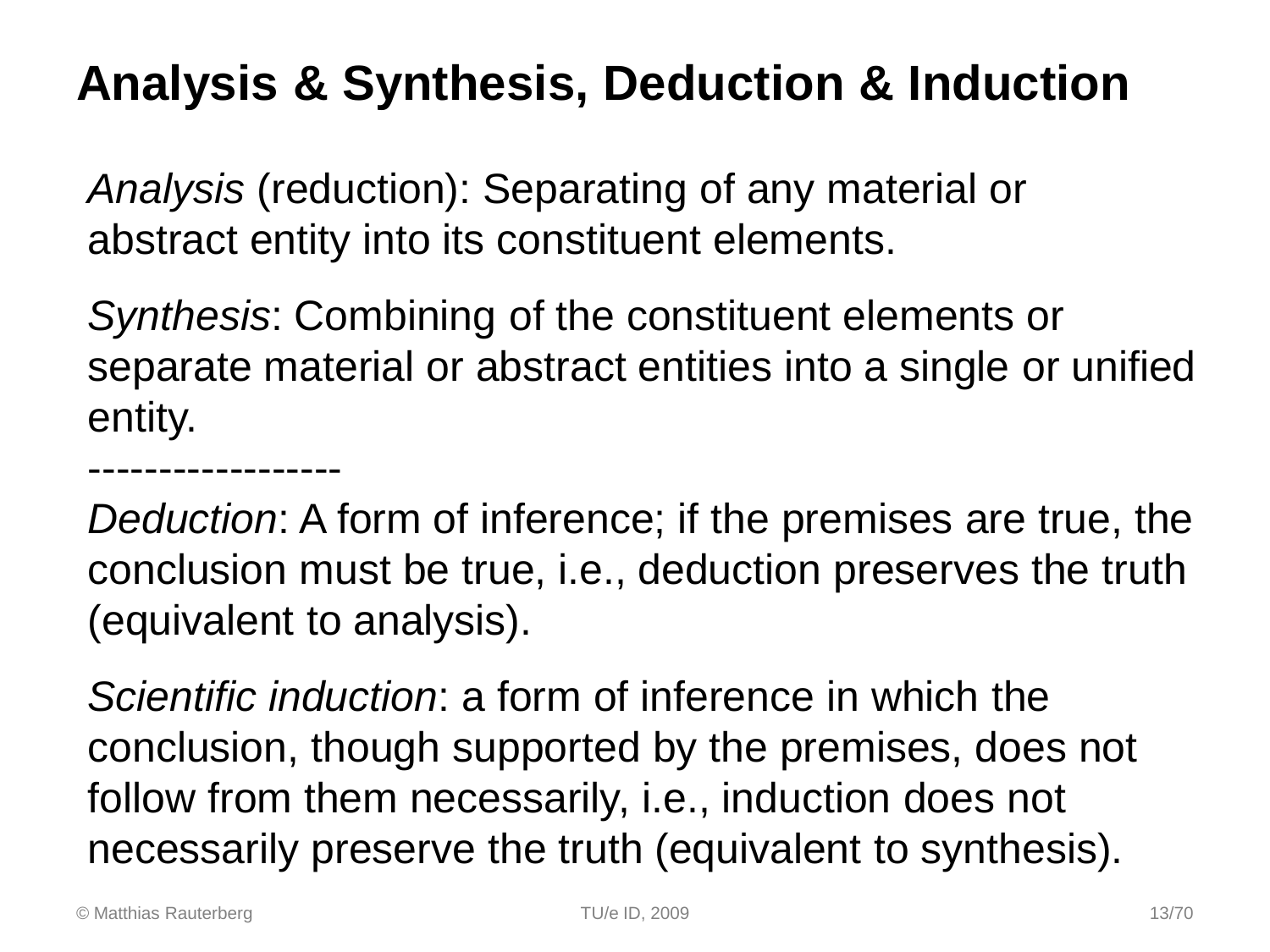### **Analysis & Synthesis, Deduction & Induction**

*Analysis* (reduction): Separating of any material or abstract entity into its constituent elements.

*Synthesis*: Combining of the constituent elements or separate material or abstract entities into a single or unified entity.

*Deduction*: A form of inference; if the premises are true, the conclusion must be true, i.e., deduction preserves the truth (equivalent to analysis).

*Scientific induction*: a form of inference in which the conclusion, though supported by the premises, does not follow from them necessarily, i.e., induction does not necessarily preserve the truth (equivalent to synthesis).

------------------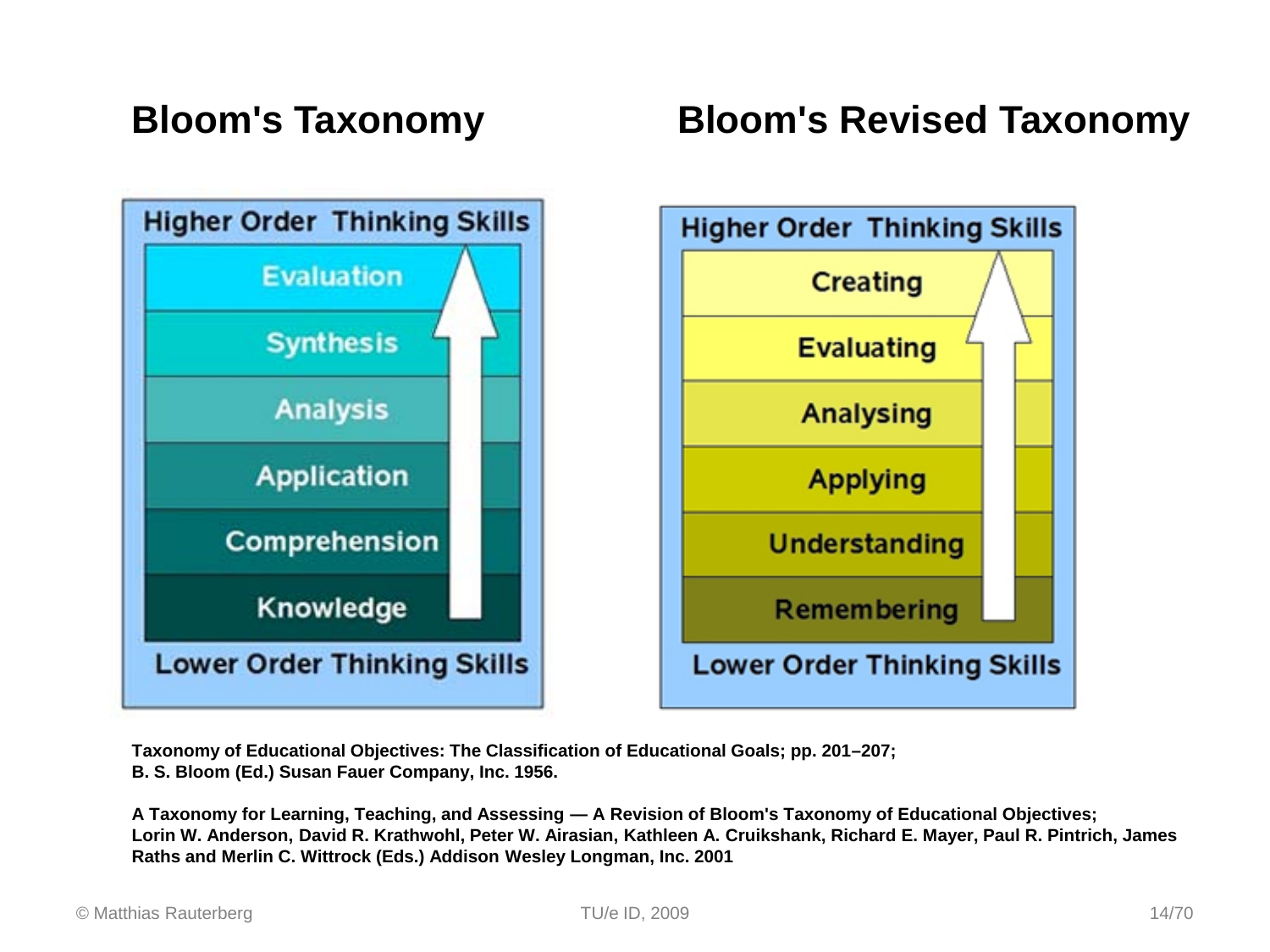

#### **Bloom's Taxonomy Bloom's Revised Taxonomy**



**Taxonomy of Educational Objectives: The Classification of Educational Goals; pp. 201–207; B. S. Bloom (Ed.) Susan Fauer Company, Inc. 1956.** 

**A Taxonomy for Learning, Teaching, and Assessing — A Revision of Bloom's Taxonomy of Educational Objectives; Lorin W. Anderson, David R. Krathwohl, Peter W. Airasian, Kathleen A. Cruikshank, Richard E. Mayer, Paul R. Pintrich, James Raths and Merlin C. Wittrock (Eds.) Addison Wesley Longman, Inc. 2001**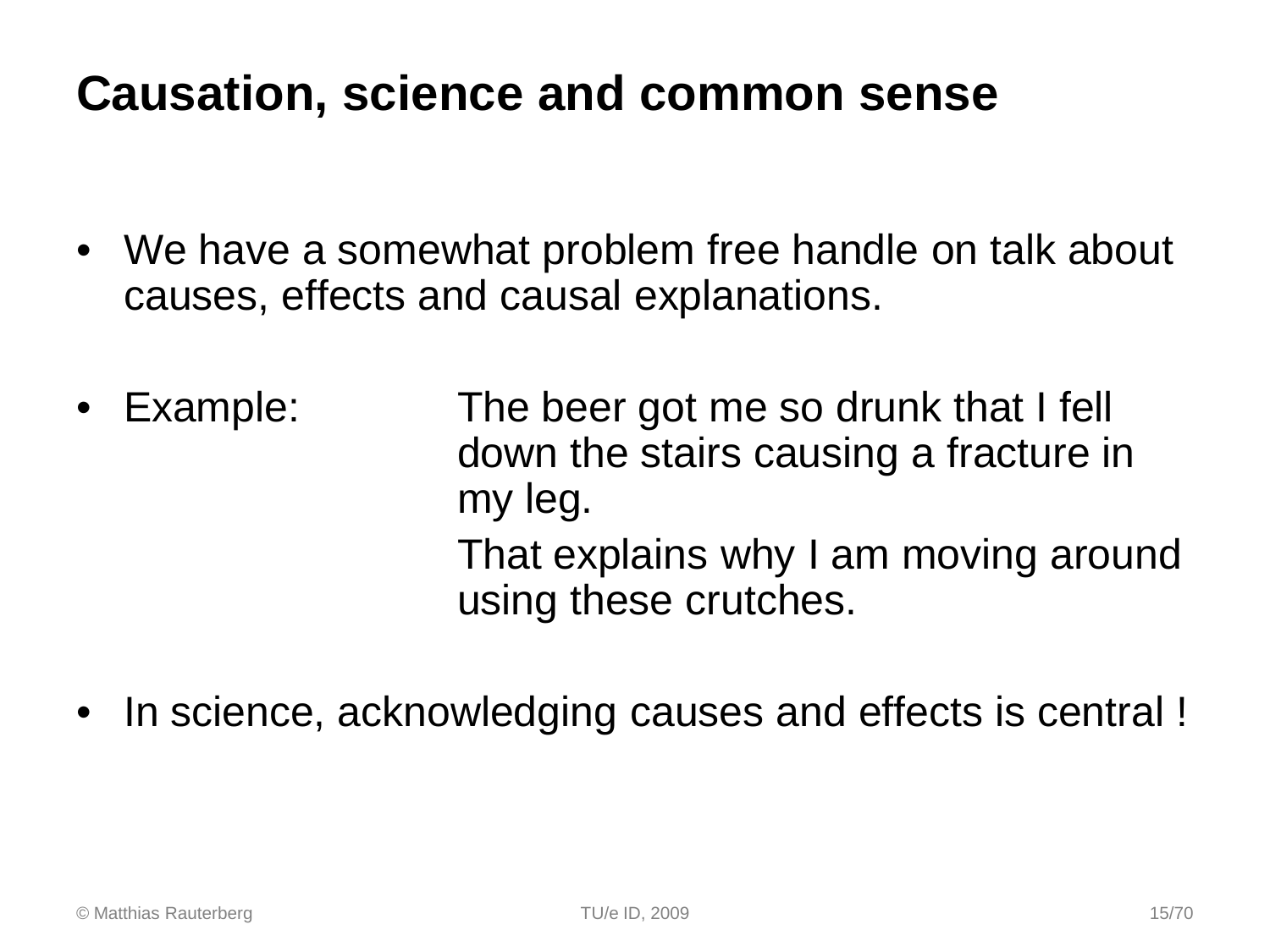### **Causation, science and common sense**

- We have a somewhat problem free handle on talk about causes, effects and causal explanations.
- Example: The beer got me so drunk that I fell down the stairs causing a fracture in my leg. That explains why I am moving around using these crutches.
- In science, acknowledging causes and effects is central !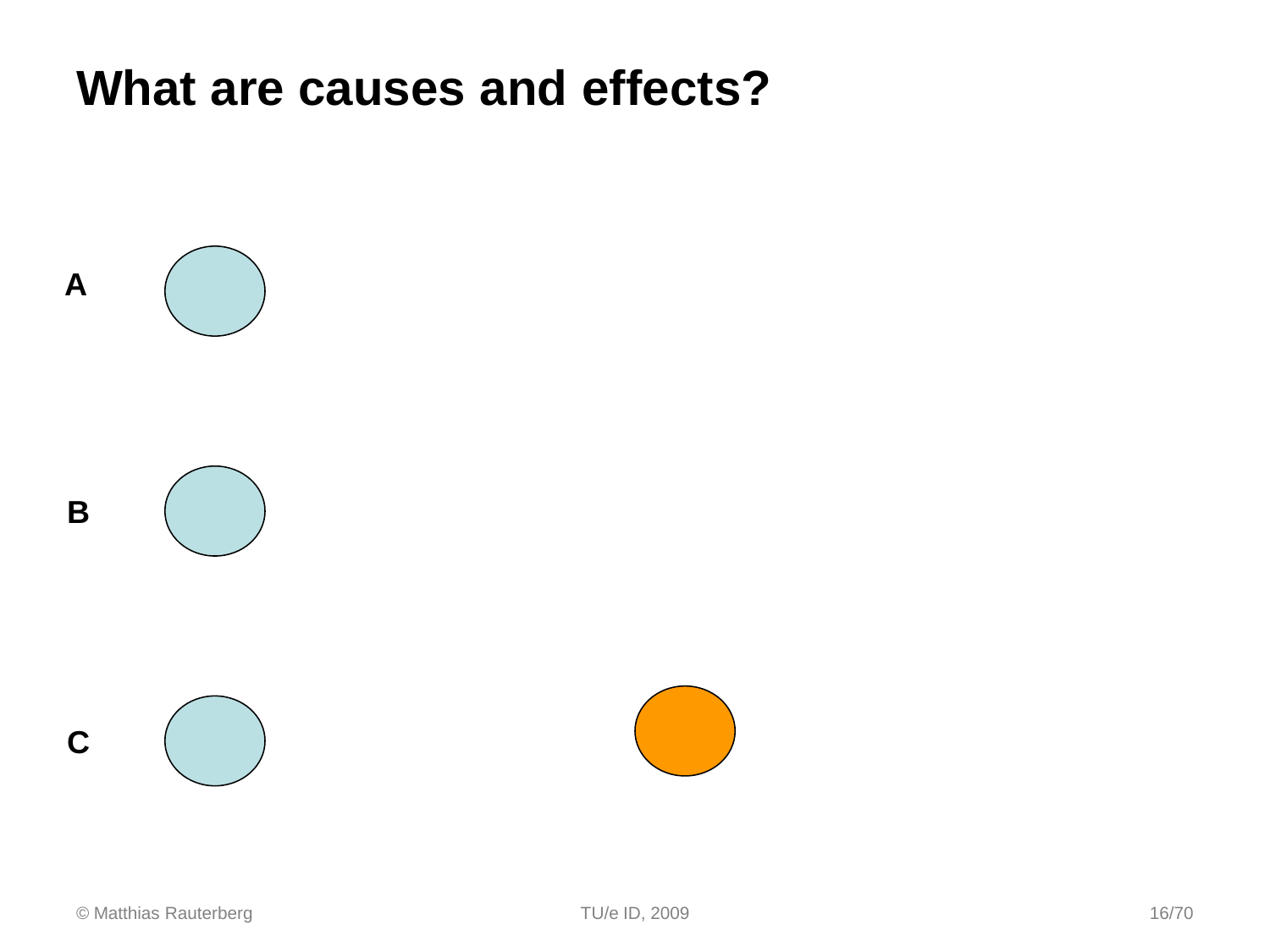### **What are causes and effects?**

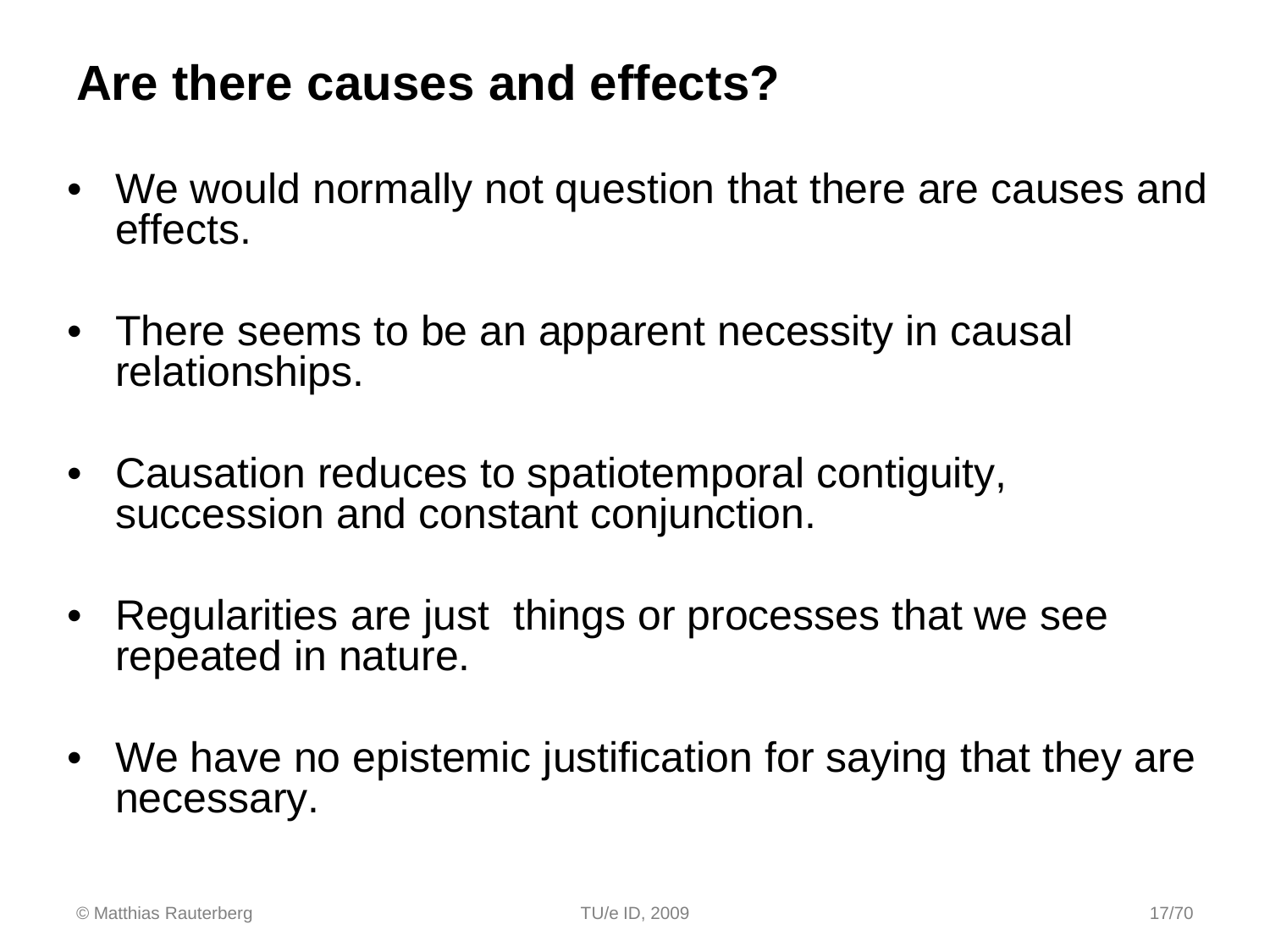### **Are there causes and effects?**

- We would normally not question that there are causes and effects.
- There seems to be an apparent necessity in causal relationships.
- Causation reduces to spatiotemporal contiguity, succession and constant conjunction.
- Regularities are just things or processes that we see repeated in nature.
- We have no epistemic justification for saying that they are necessary.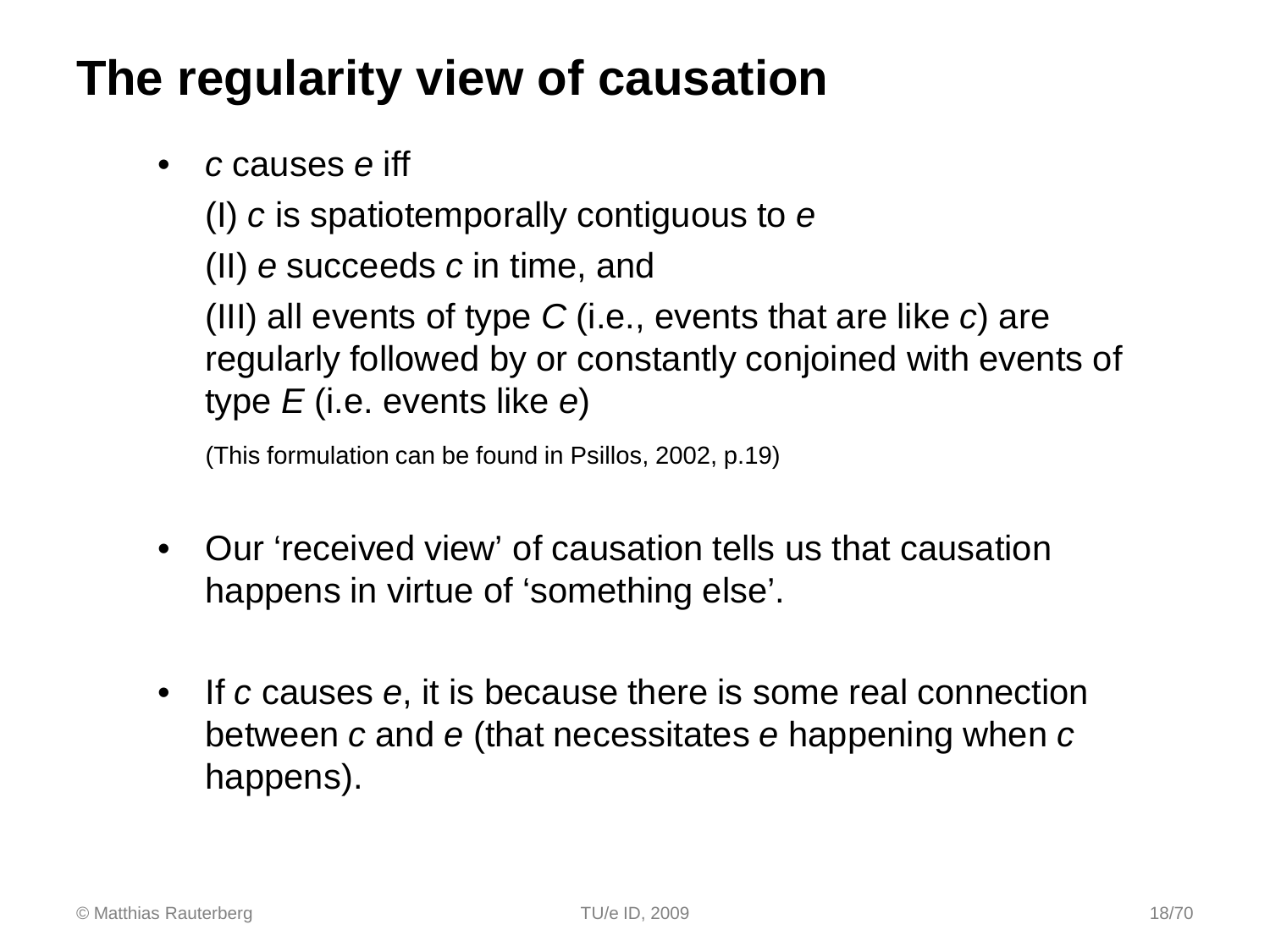### **The regularity view of causation**

• *c* causes *e* iff

(I) *c* is spatiotemporally contiguous to *e*

(II) *e* succeeds *c* in time, and

(III) all events of type *C* (i.e., events that are like *c*) are regularly followed by or constantly conjoined with events of type *E* (i.e. events like *e*)

(This formulation can be found in Psillos, 2002, p.19)

- Our 'received view' of causation tells us that causation happens in virtue of 'something else'.
- If *c* causes *e*, it is because there is some real connection between *c* and *e* (that necessitates *e* happening when *c* happens).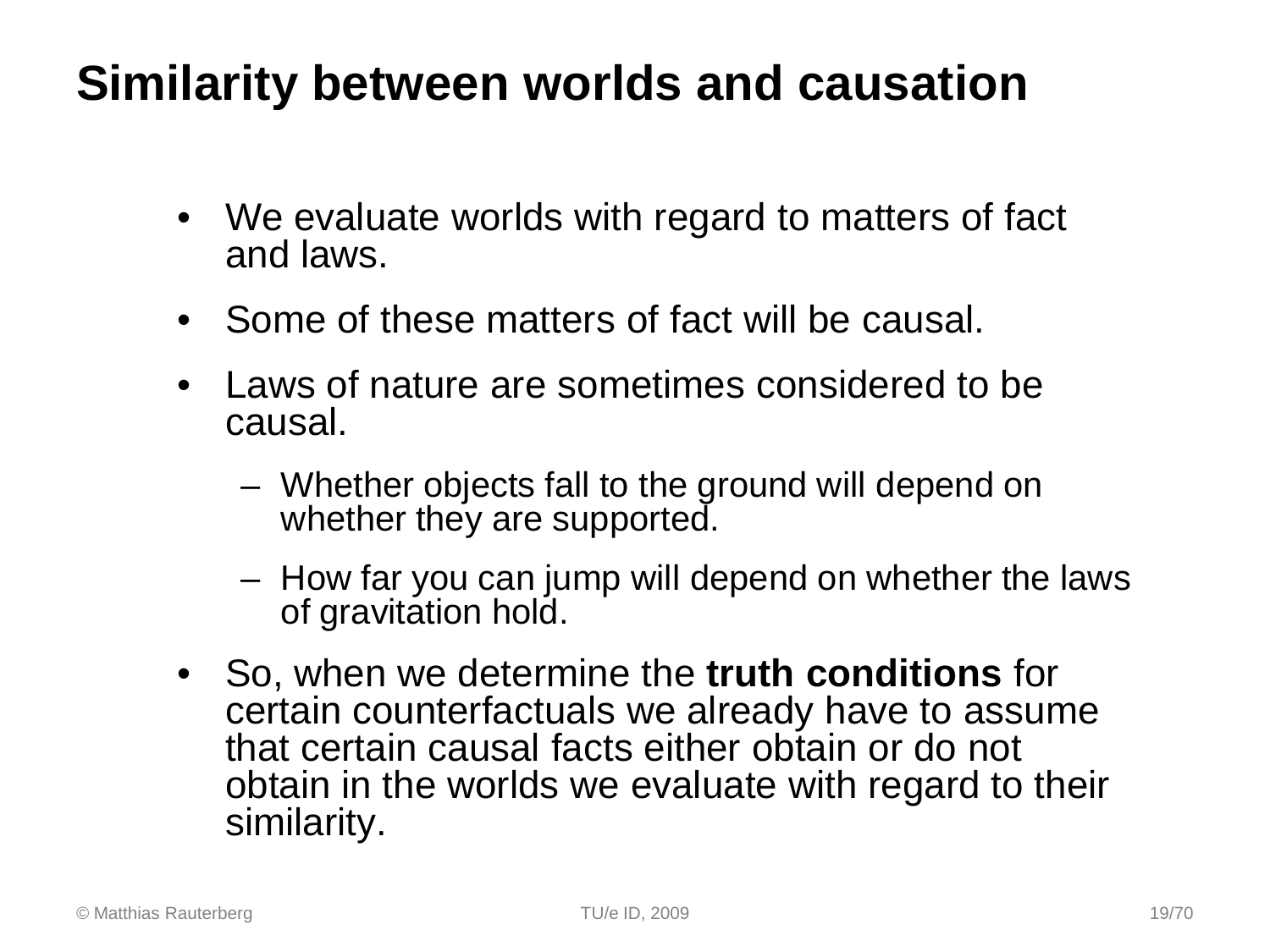### **Similarity between worlds and causation**

- We evaluate worlds with regard to matters of fact and laws.
- Some of these matters of fact will be causal.
- Laws of nature are sometimes considered to be causal.
	- Whether objects fall to the ground will depend on whether they are supported.
	- How far you can jump will depend on whether the laws of gravitation hold.
- So, when we determine the **truth conditions** for certain counterfactuals we already have to assume that certain causal facts either obtain or do not obtain in the worlds we evaluate with regard to their similarity.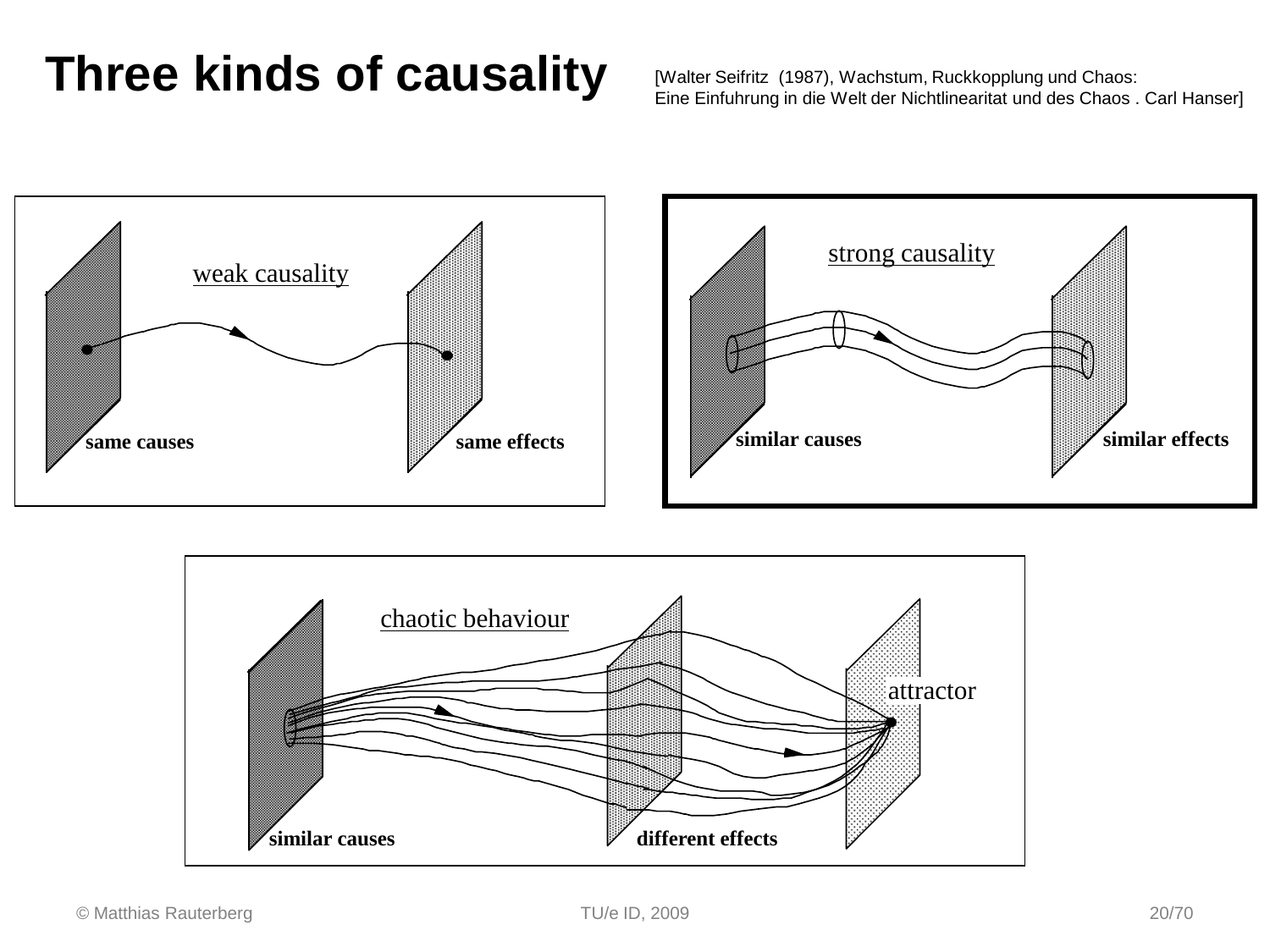### **Three kinds of causality** [Walter Seifritz (1987), Wachstum, Ruckkopplung und Chaos:

Eine Einfuhrung in die Welt der Nichtlinearitat und des Chaos . Carl Hanser]



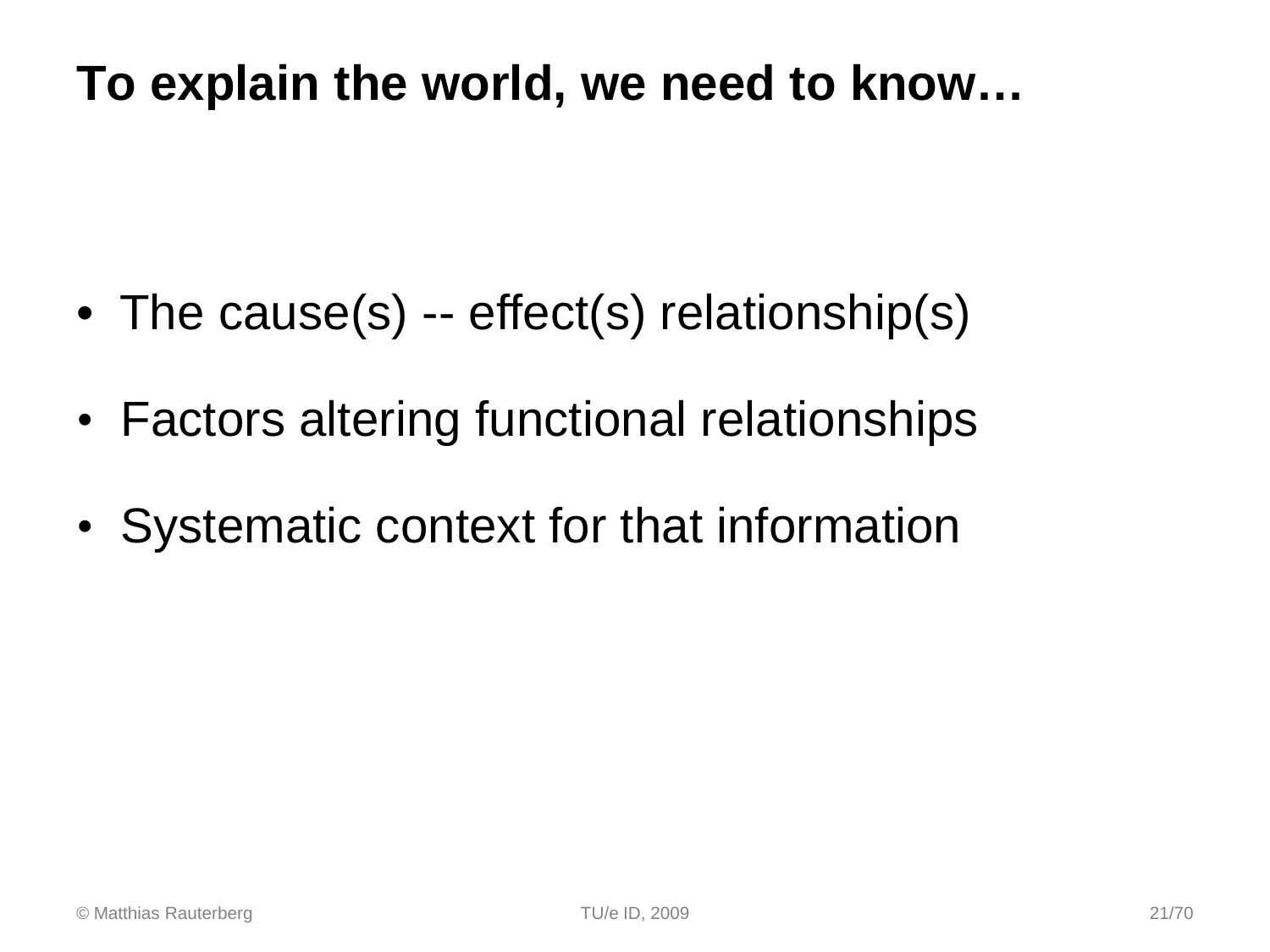### **To explain the world, we need to know…**

- The cause(s) -- effect(s) relationship(s)
- Factors altering functional relationships
- Systematic context for that information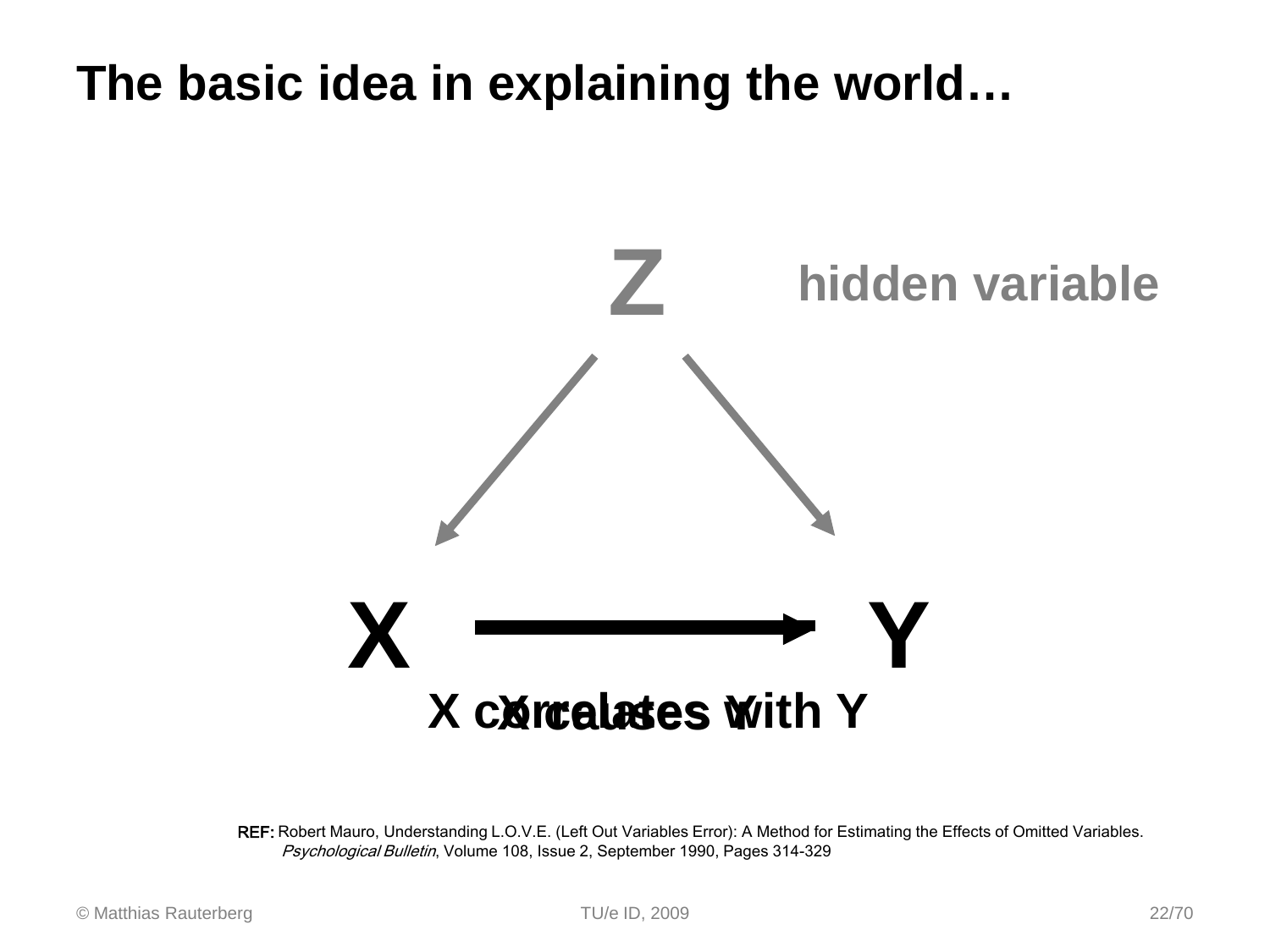### **The basic idea in explaining the world…**



REF: Robert Mauro, Understanding L.O.V.E. (Left Out Variables Error): A Method for Estimating the Effects of Omitted Variables. Psychological Bulletin, Volume 108, Issue 2, September 1990, Pages 314-329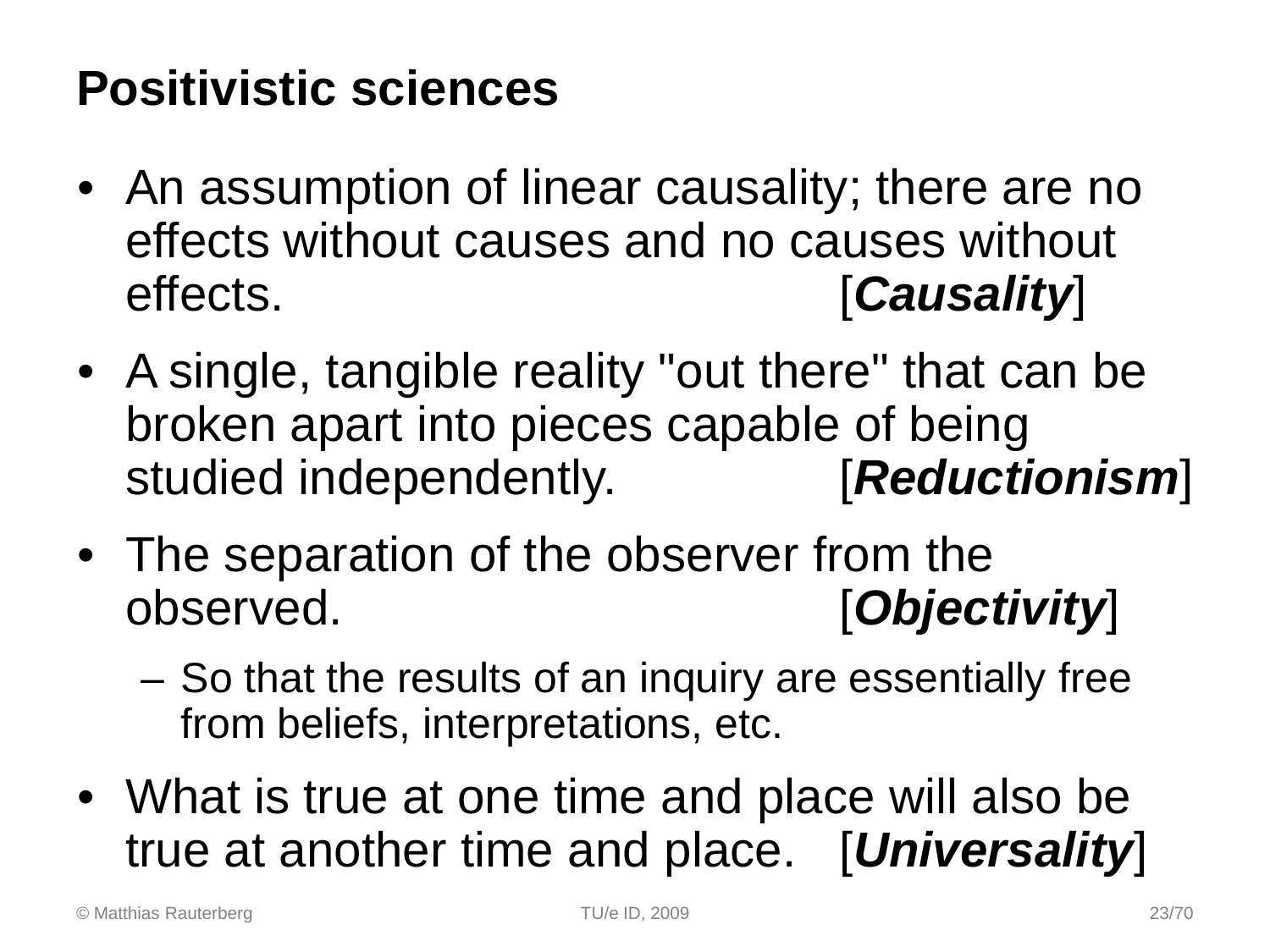### **Positivistic sciences**

- An assumption of linear causality; there are no effects without causes and no causes without effects. [*Causality*]
- A single, tangible reality "out there" that can be broken apart into pieces capable of being studied independently. [*Reductionism*]
- The separation of the observer from the observed. [*Objectivity*]
	- So that the results of an inquiry are essentially free from beliefs, interpretations, etc.
- What is true at one time and place will also be true at another time and place. [*Universality*]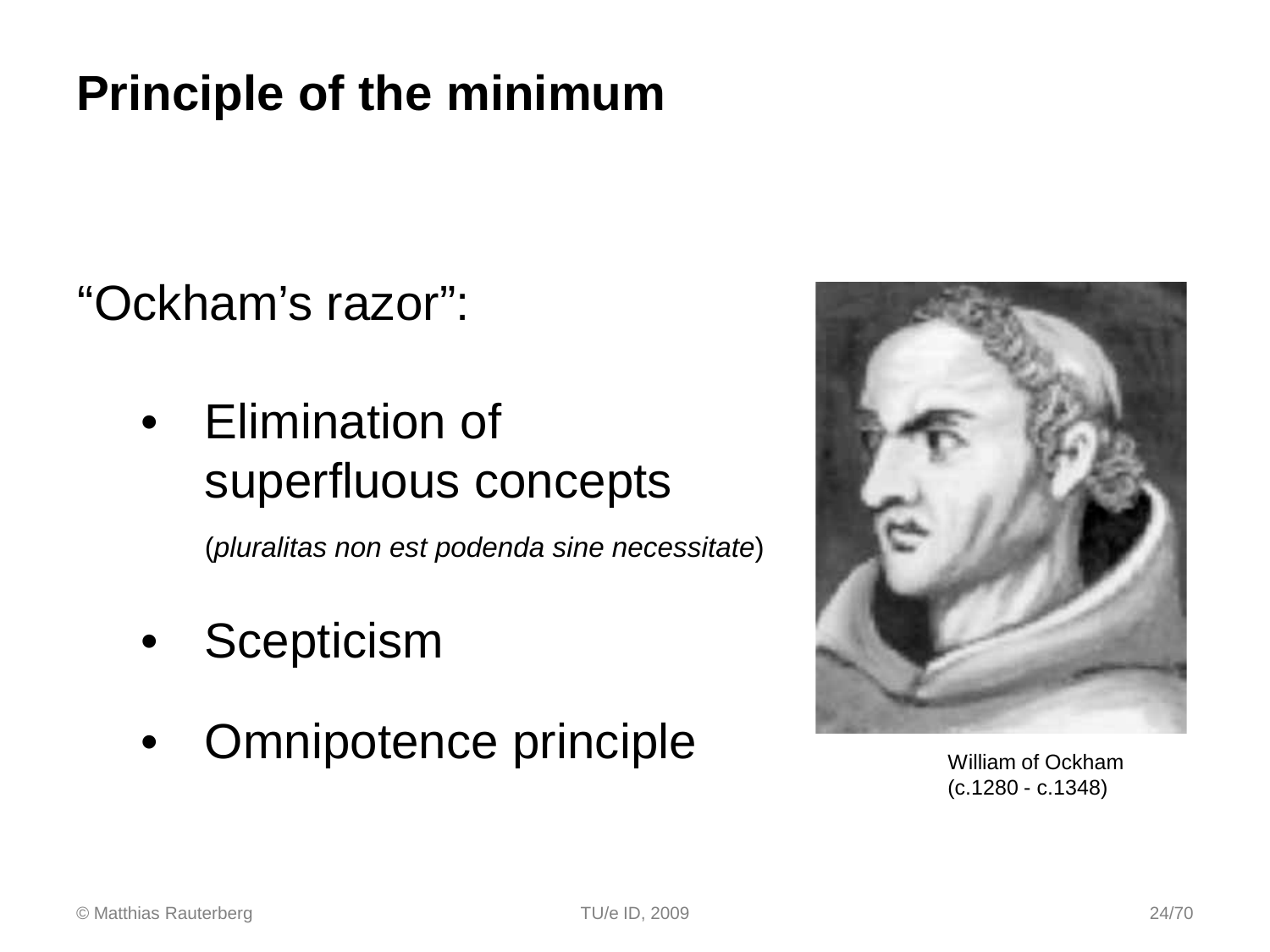### **Principle of the minimum**

"Ockham's razor":

• Elimination of superfluous concepts

(*pluralitas non est podenda sine necessitate*)

- **Scepticism**
- Omnipotence principle William of Ockham



(c.1280 - c.1348)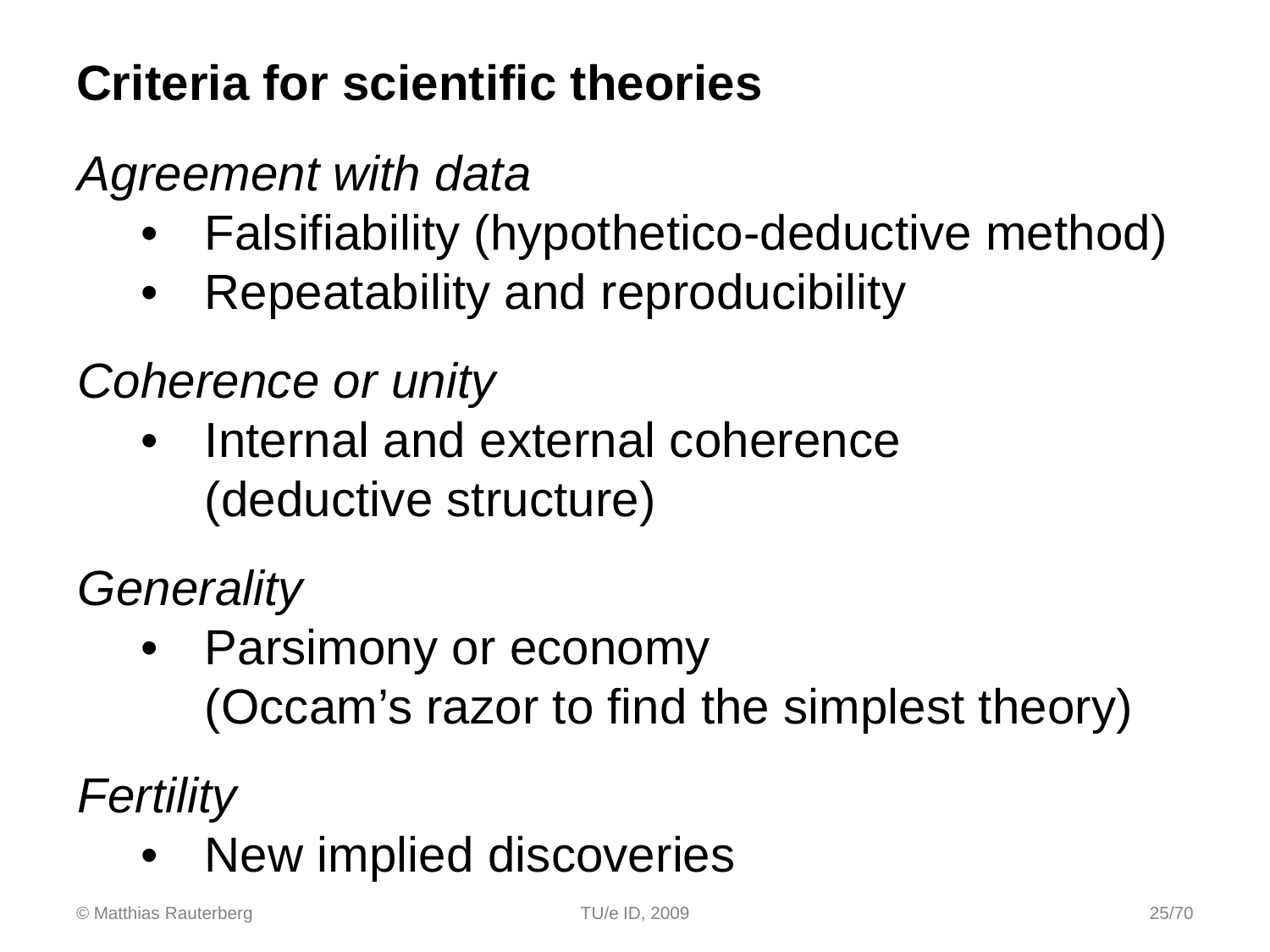### **Criteria for scientific theories**

### *Agreement with data*

- Falsifiability (hypothetico-deductive method)
- Repeatability and reproducibility

### *Coherence or unity*

Internal and external coherence (deductive structure)

### *Generality*

• Parsimony or economy (Occam's razor to find the simplest theory)

*Fertility*

New implied discoveries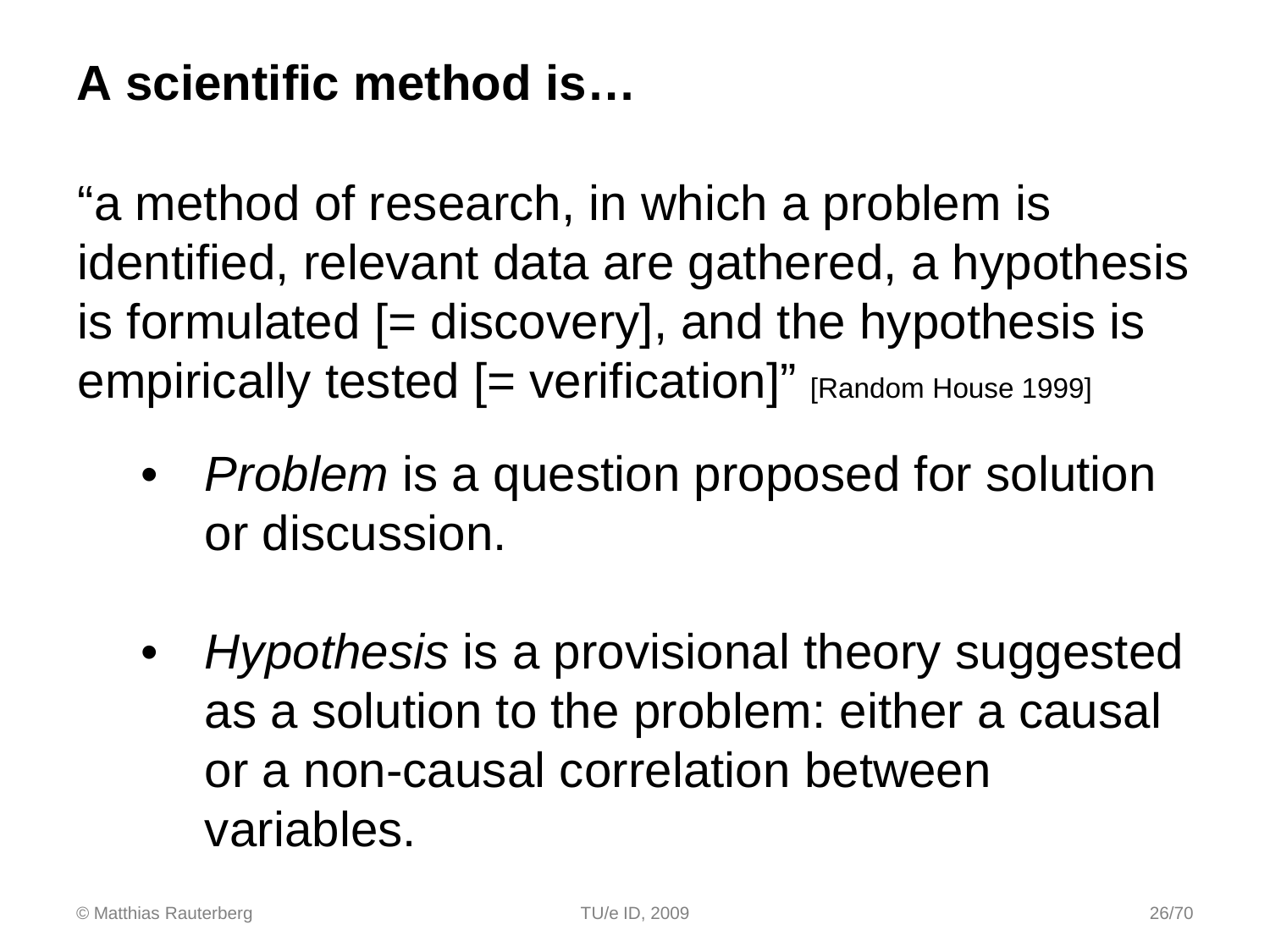### **A scientific method is…**

"a method of research, in which a problem is identified, relevant data are gathered, a hypothesis is formulated  $[=$  discovery], and the hypothesis is empirically tested  $[=$  verification]" [Random House 1999]

- *Problem* is a question proposed for solution or discussion.
- *Hypothesis* is a provisional theory suggested as a solution to the problem: either a causal or a non-causal correlation between variables.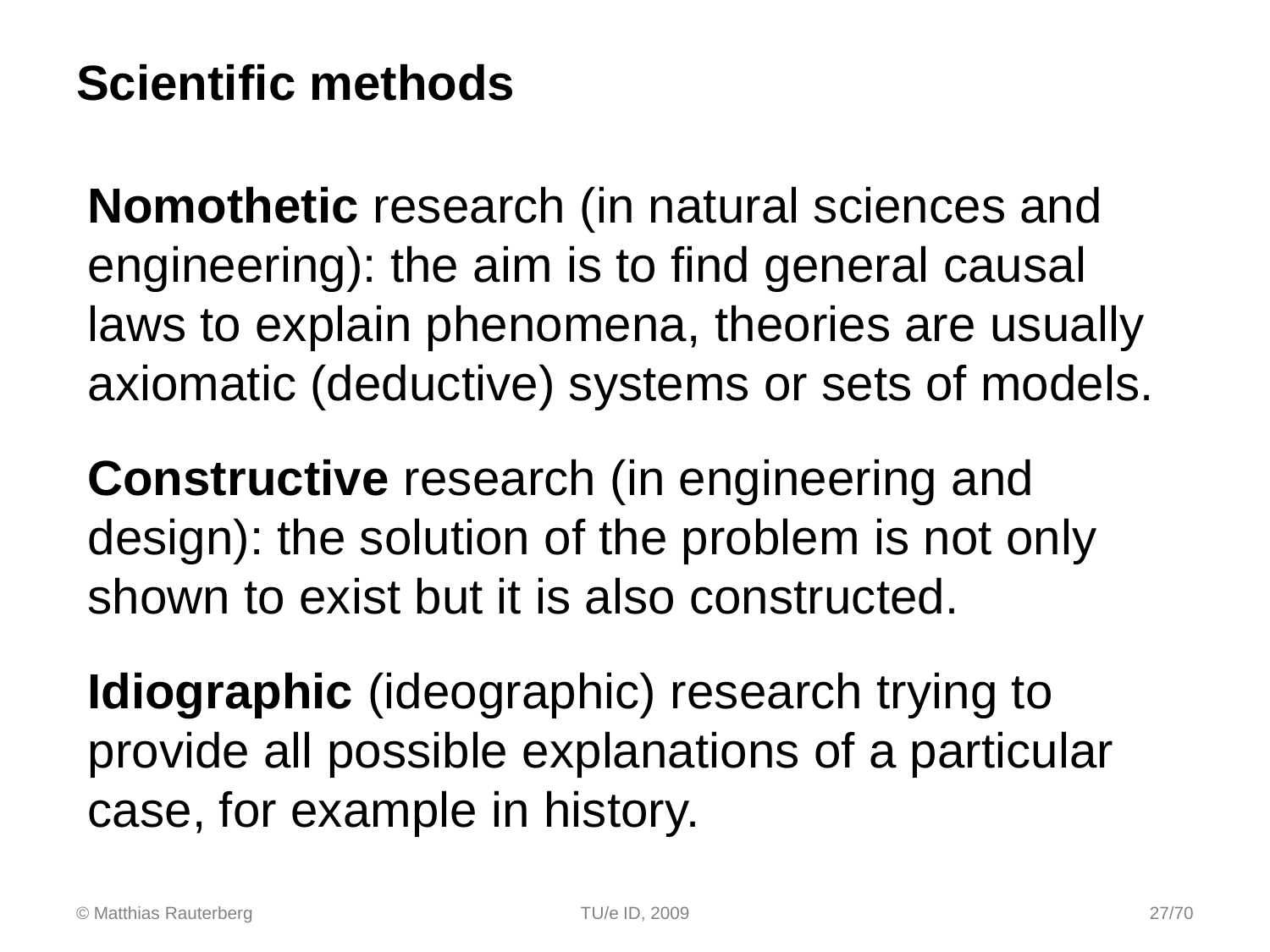### **Scientific methods**

**Nomothetic** research (in natural sciences and engineering): the aim is to find general causal laws to explain phenomena, theories are usually axiomatic (deductive) systems or sets of models.

**Constructive** research (in engineering and design): the solution of the problem is not only shown to exist but it is also constructed.

**Idiographic** (ideographic) research trying to provide all possible explanations of a particular case, for example in history.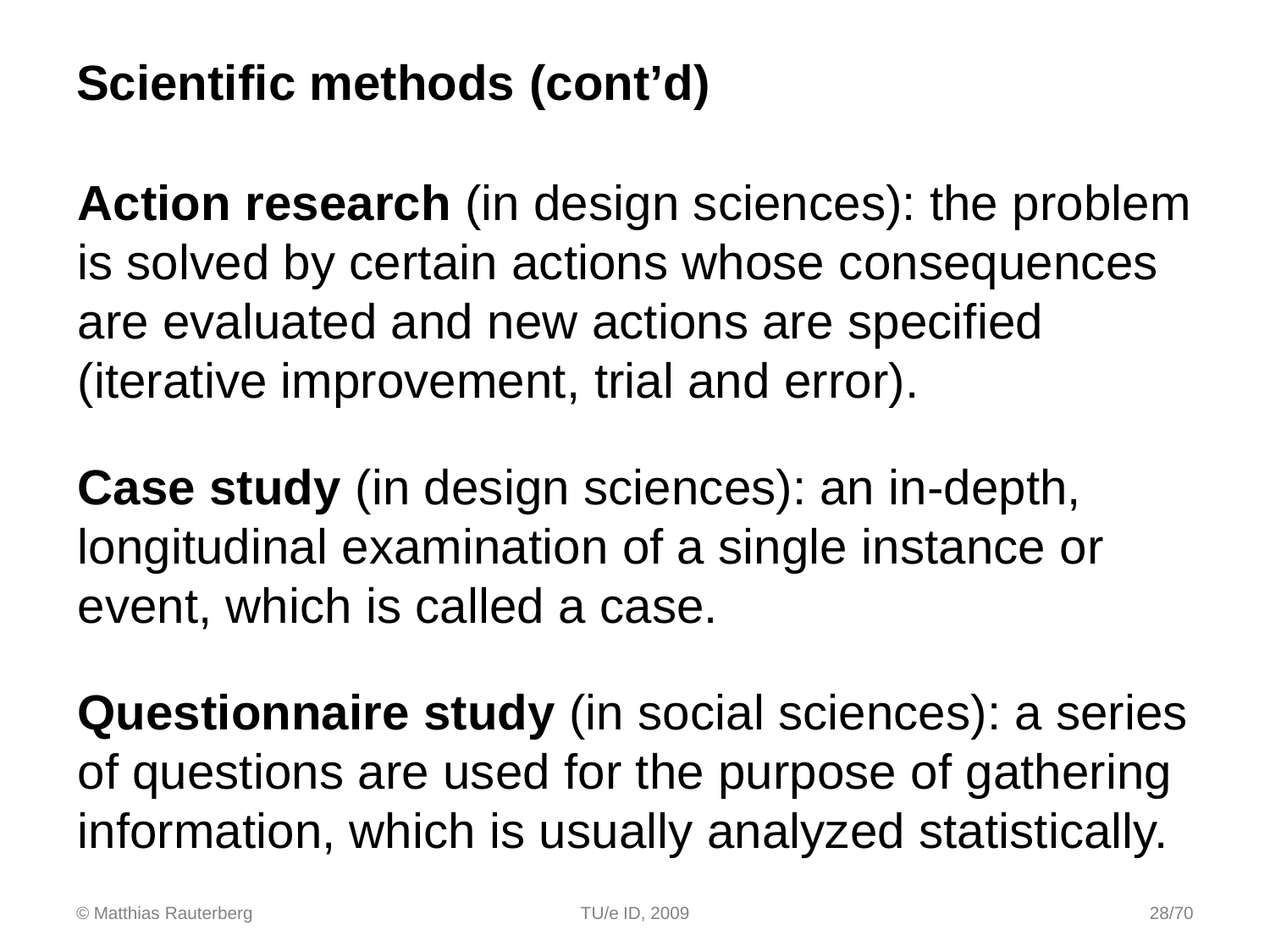### **Scientific methods (cont'd)**

**Action research** (in design sciences): the problem is solved by certain actions whose consequences are evaluated and new actions are specified (iterative improvement, trial and error).

**Case study** (in design sciences): an in-depth, longitudinal examination of a single instance or event, which is called a case.

**Questionnaire study** (in social sciences): a series of questions are used for the purpose of gathering information, which is usually analyzed statistically.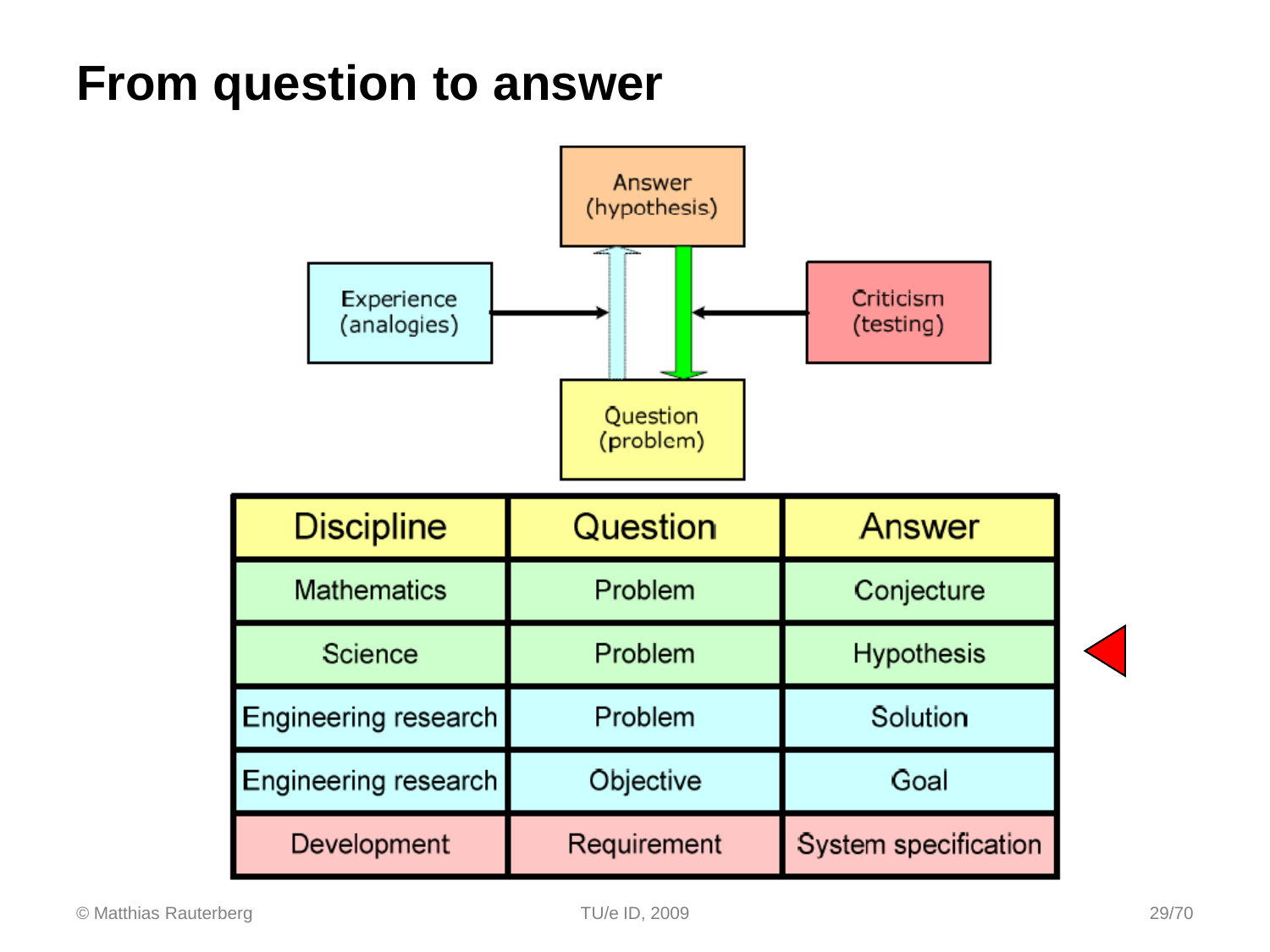### **From question to answer**

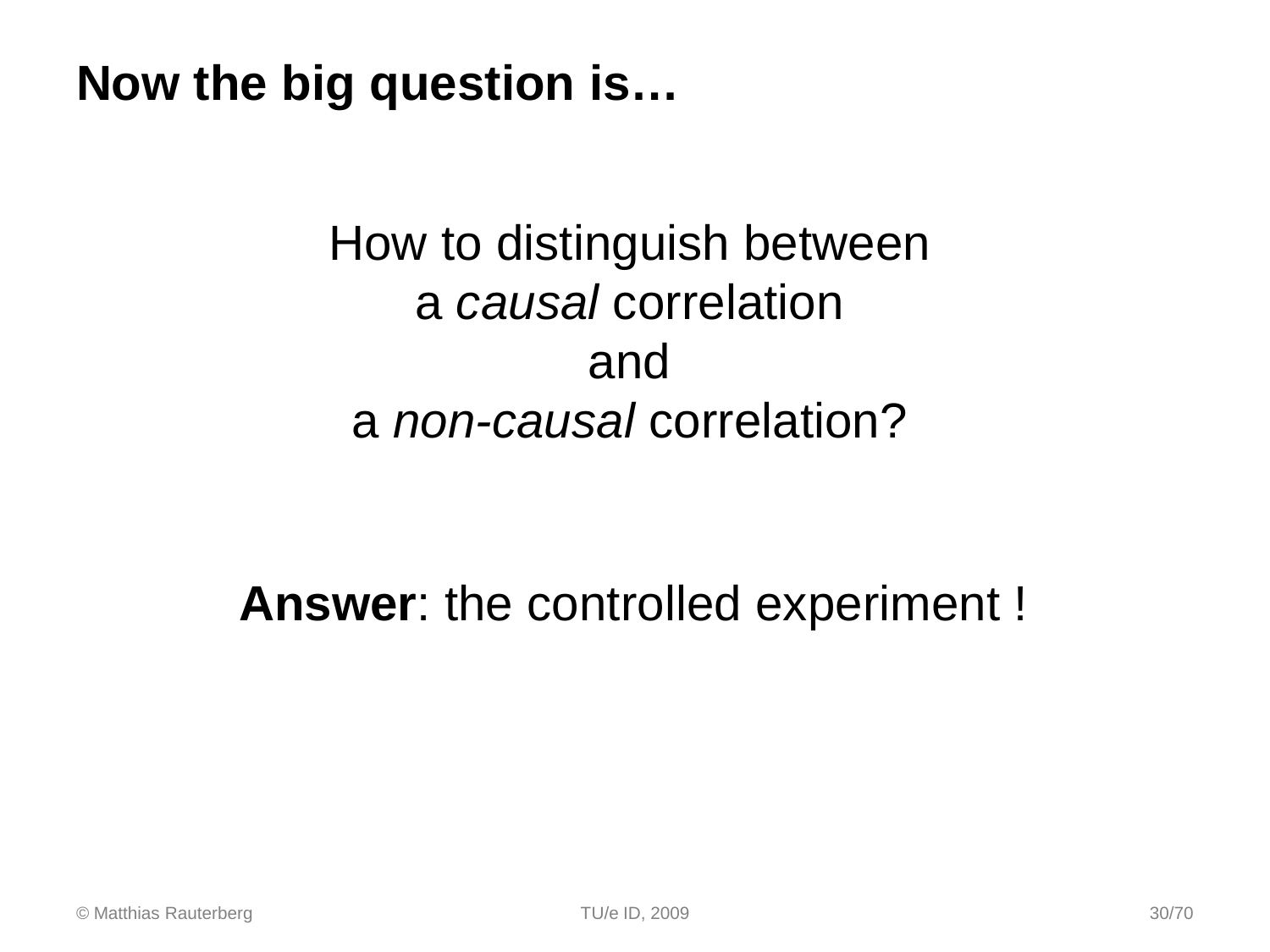**Now the big question is…**

### How to distinguish between a *causal* correlation and a *non-causal* correlation?

### **Answer**: the controlled experiment !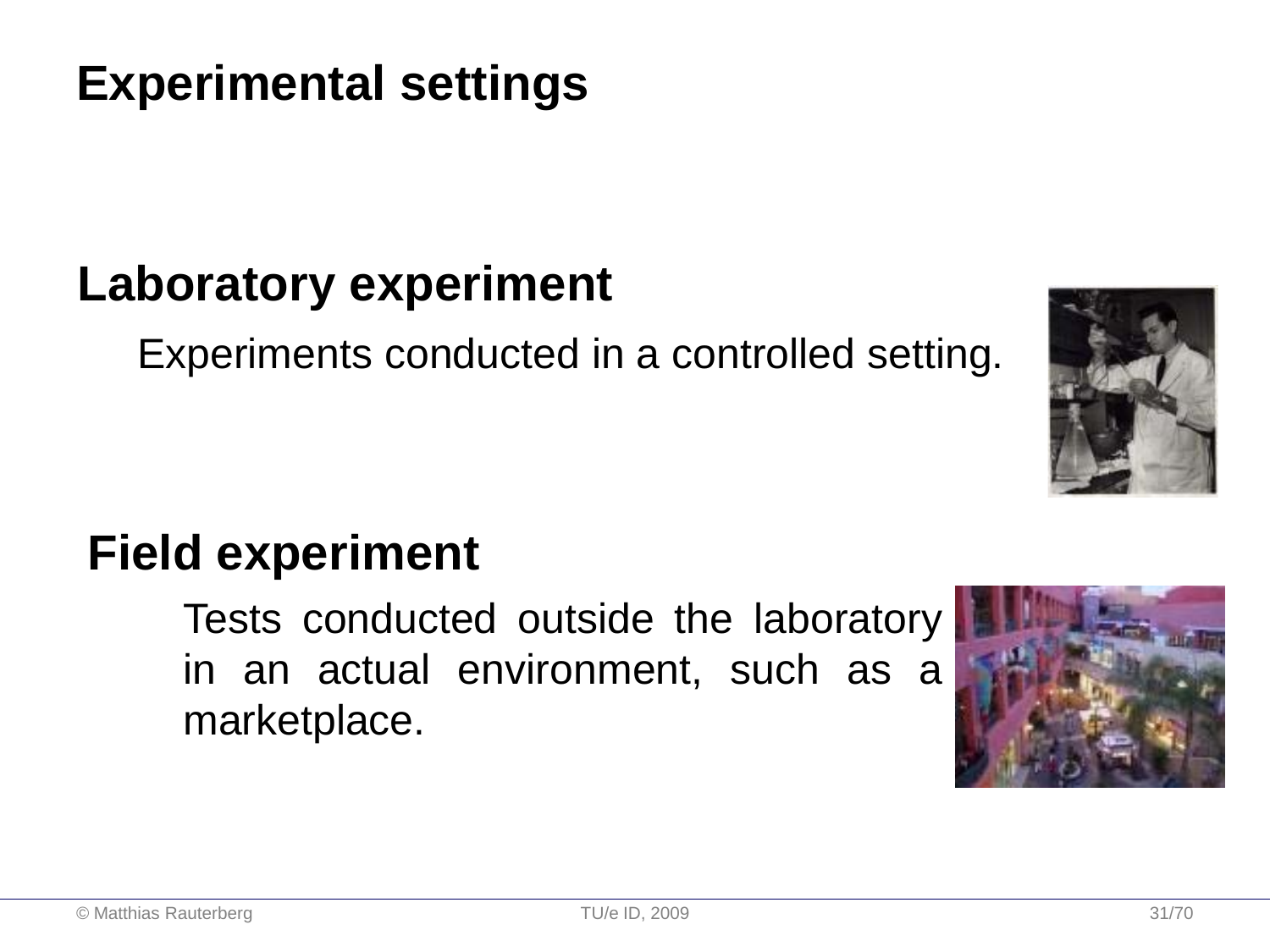### **Experimental settings**

### **Laboratory experiment**

Experiments conducted in a controlled setting.

### **Field experiment**

Tests conducted outside the laboratory in an actual environment, such as a marketplace.



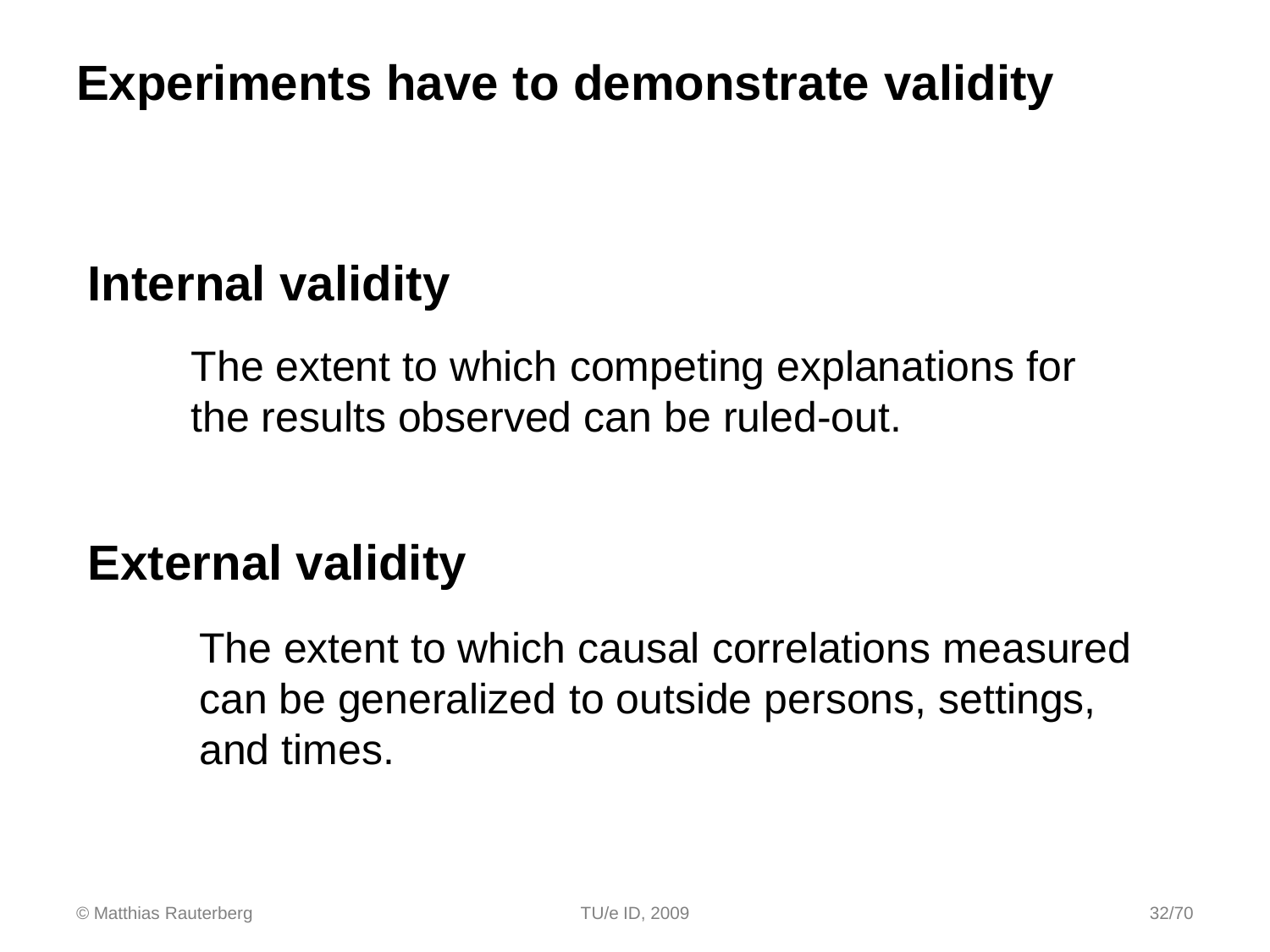### **Experiments have to demonstrate validity**

### **Internal validity**

The extent to which competing explanations for the results observed can be ruled-out.

### **External validity**

The extent to which causal correlations measured can be generalized to outside persons, settings, and times.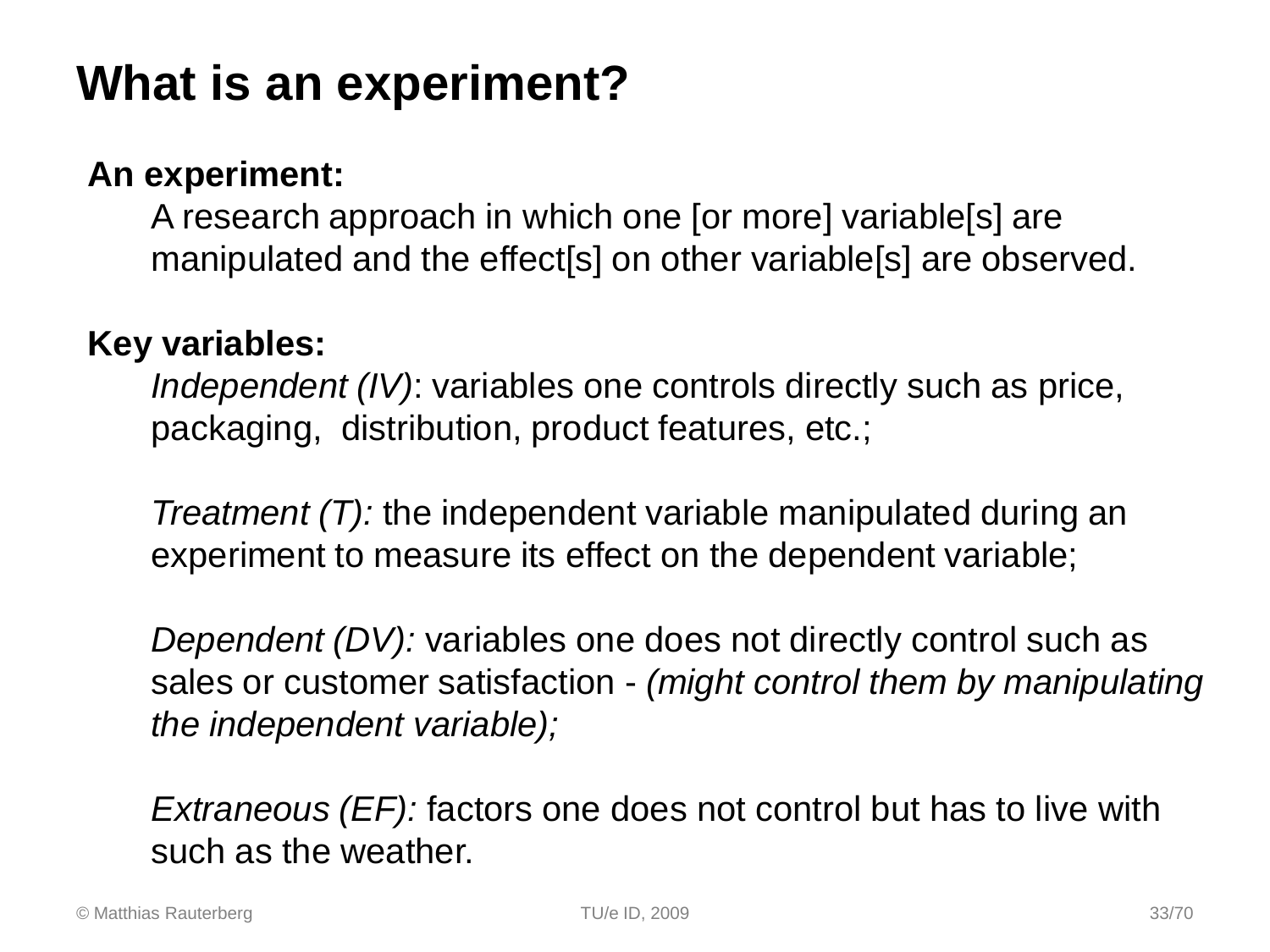### **What is an experiment?**

#### **An experiment:**

A research approach in which one [or more] variable[s] are manipulated and the effect[s] on other variable[s] are observed.

#### **Key variables:**

*Independent (IV)*: variables one controls directly such as price, packaging, distribution, product features, etc.;

*Treatment (T):* the independent variable manipulated during an experiment to measure its effect on the dependent variable;

*Dependent (DV):* variables one does not directly control such as sales or customer satisfaction - *(might control them by manipulating the independent variable);*

*Extraneous (EF):* factors one does not control but has to live with such as the weather.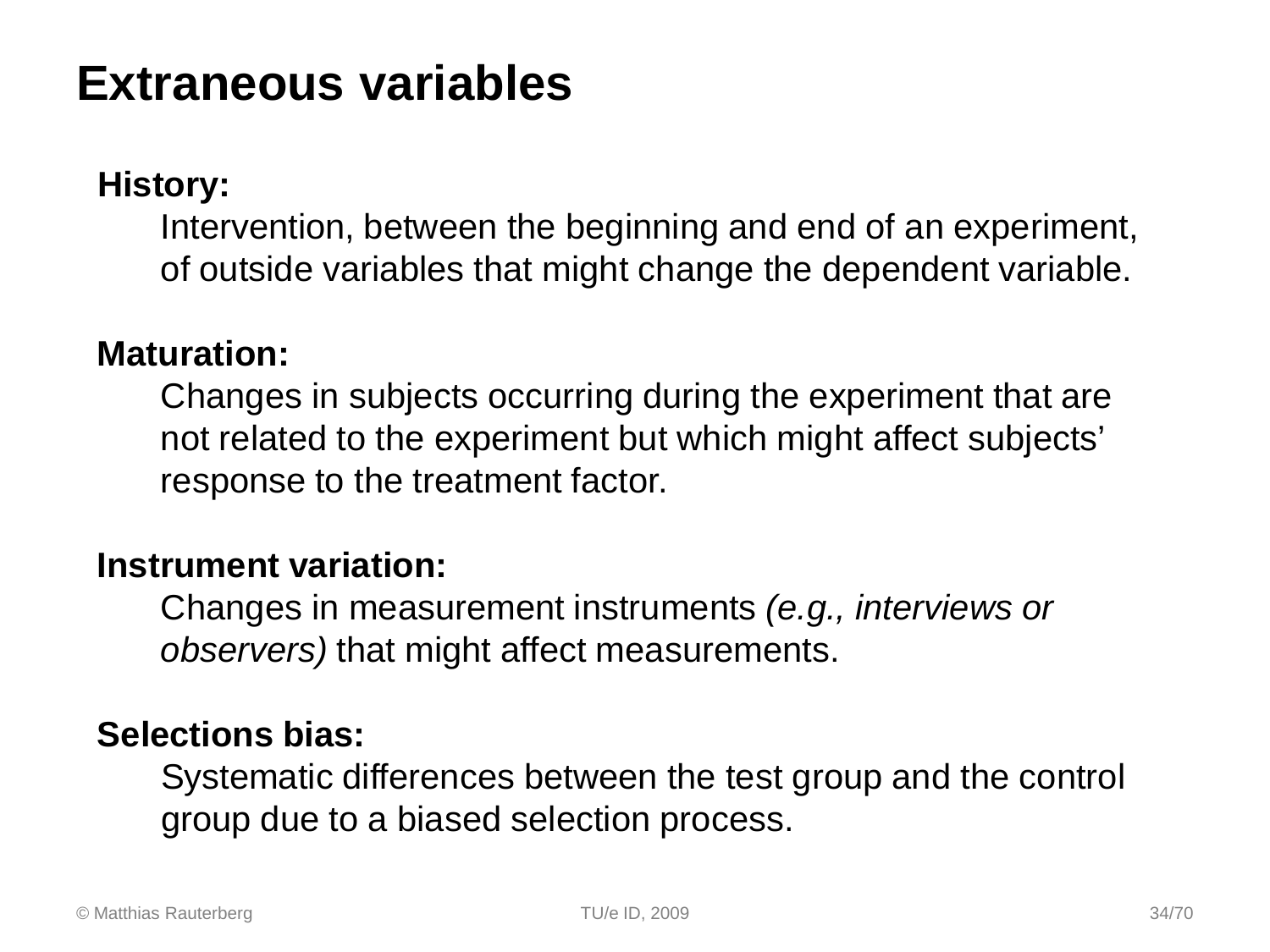### **Extraneous variables**

#### **History:**

Intervention, between the beginning and end of an experiment, of outside variables that might change the dependent variable.

#### **Maturation:**

Changes in subjects occurring during the experiment that are not related to the experiment but which might affect subjects' response to the treatment factor.

#### **Instrument variation:**

Changes in measurement instruments *(e.g., interviews or observers)* that might affect measurements.

#### **Selections bias:**

Systematic differences between the test group and the control group due to a biased selection process.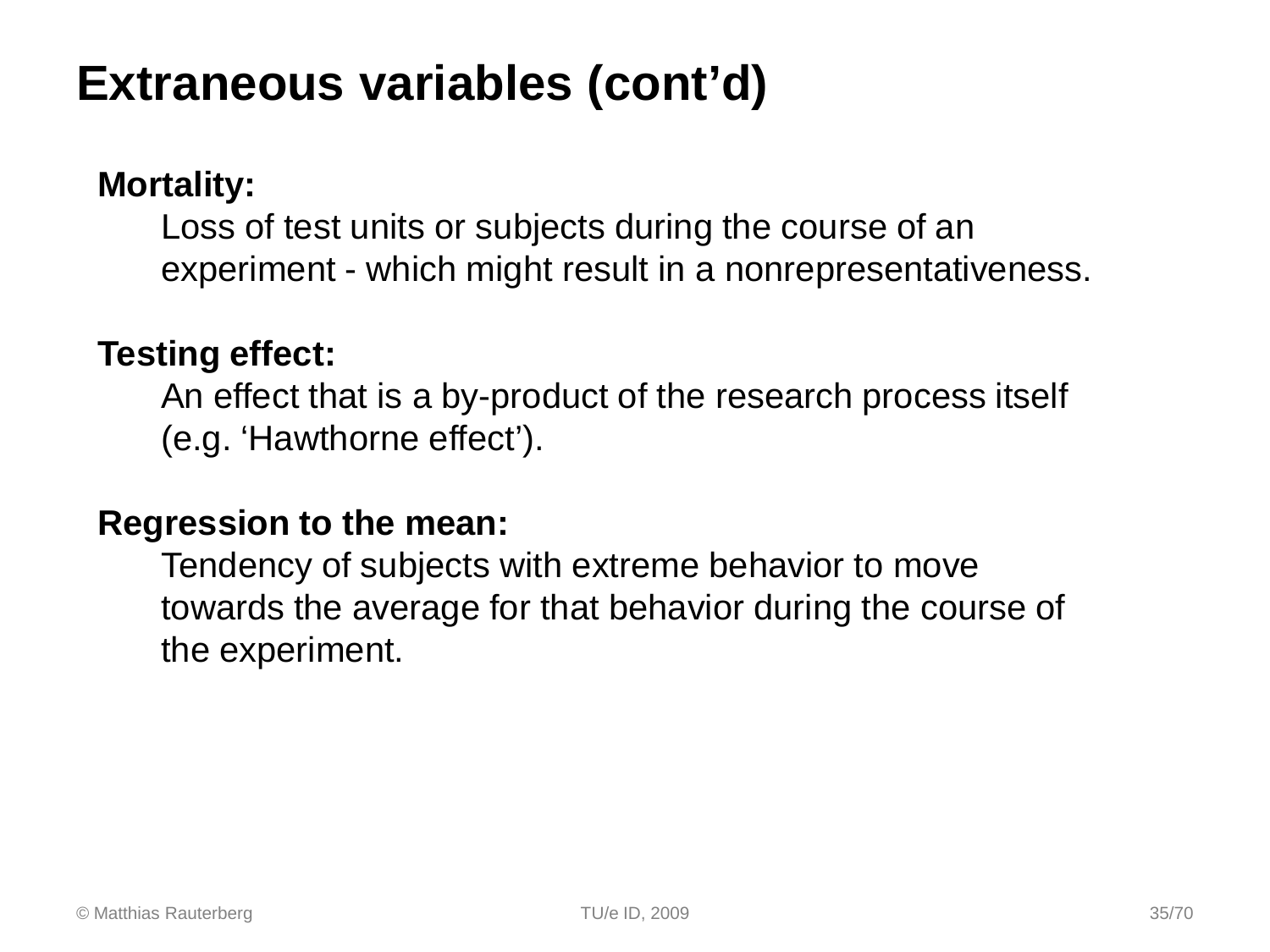### **Extraneous variables (cont'd)**

#### **Mortality:**

Loss of test units or subjects during the course of an experiment - which might result in a nonrepresentativeness.

#### **Testing effect:**

An effect that is a by-product of the research process itself (e.g. 'Hawthorne effect').

#### **Regression to the mean:**

Tendency of subjects with extreme behavior to move towards the average for that behavior during the course of the experiment.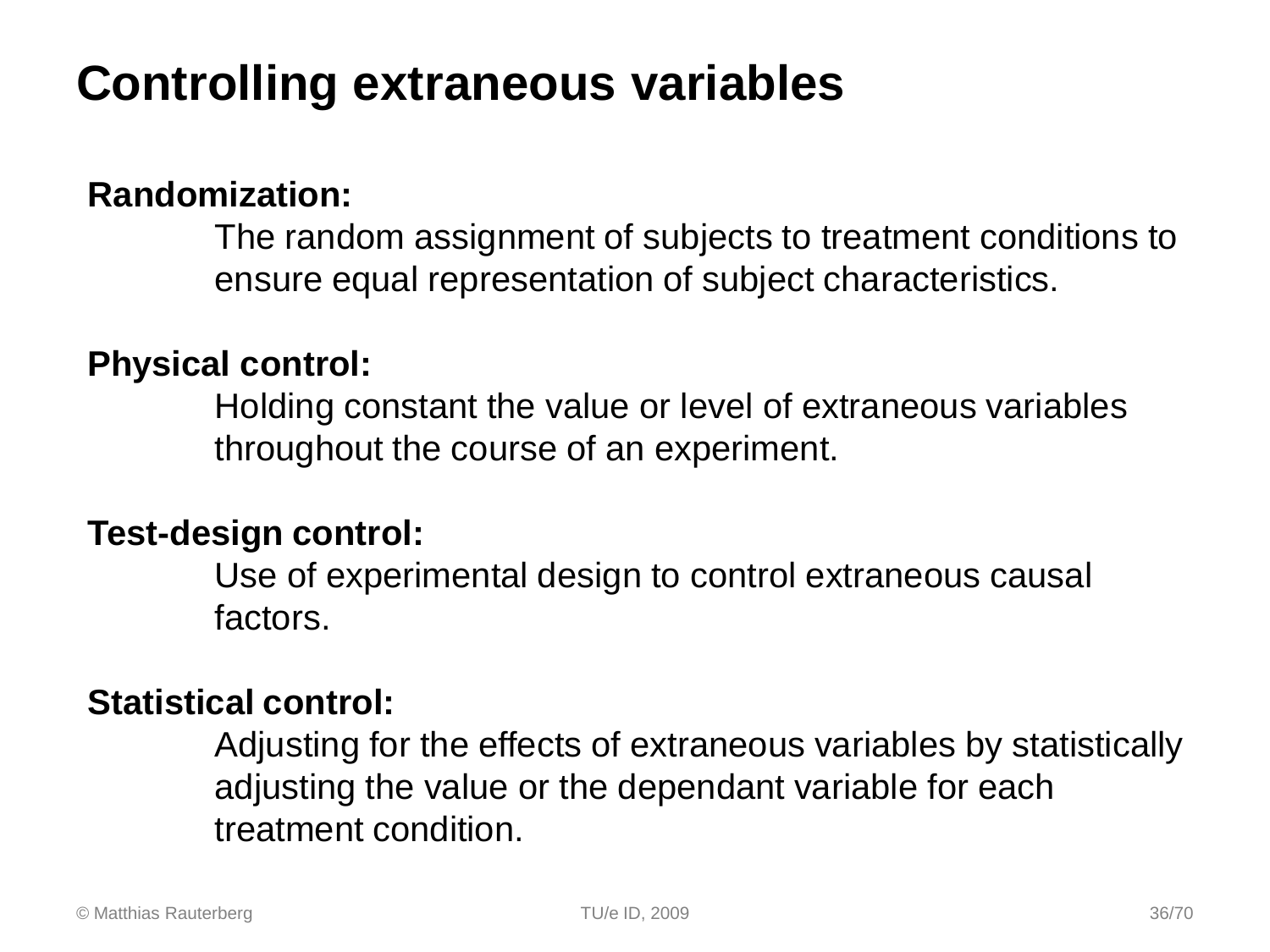### **Controlling extraneous variables**

#### **Randomization:**

The random assignment of subjects to treatment conditions to ensure equal representation of subject characteristics.

#### **Physical control:**

Holding constant the value or level of extraneous variables throughout the course of an experiment.

#### **Test-design control:**

Use of experimental design to control extraneous causal factors.

#### **Statistical control:**

Adjusting for the effects of extraneous variables by statistically adjusting the value or the dependant variable for each treatment condition.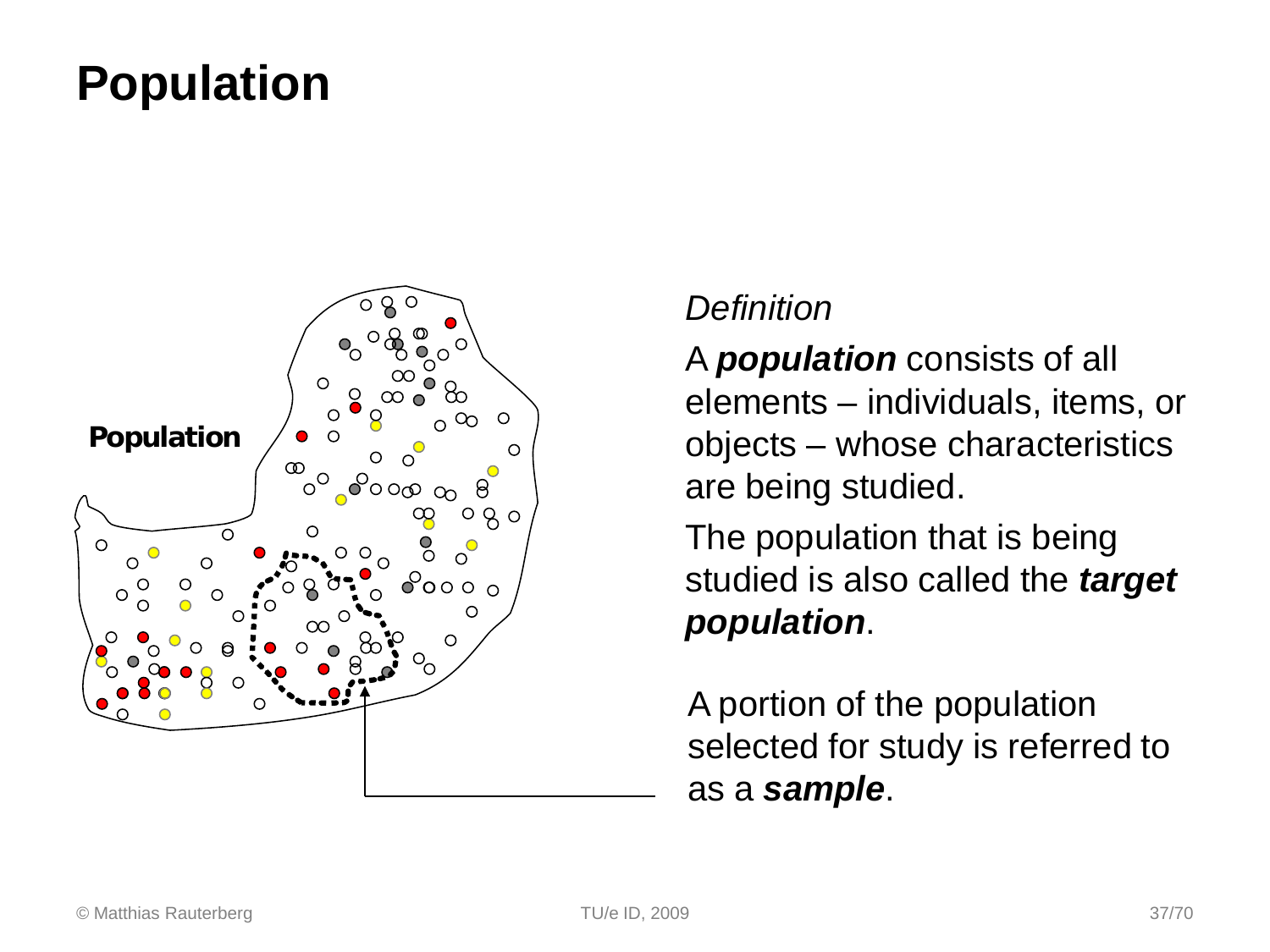### **Population**



#### *Definition*

A *population* consists of all elements – individuals, items, or objects – whose characteristics are being studied.

The population that is being studied is also called the *target population*.

A portion of the population selected for study is referred to as a *sample*.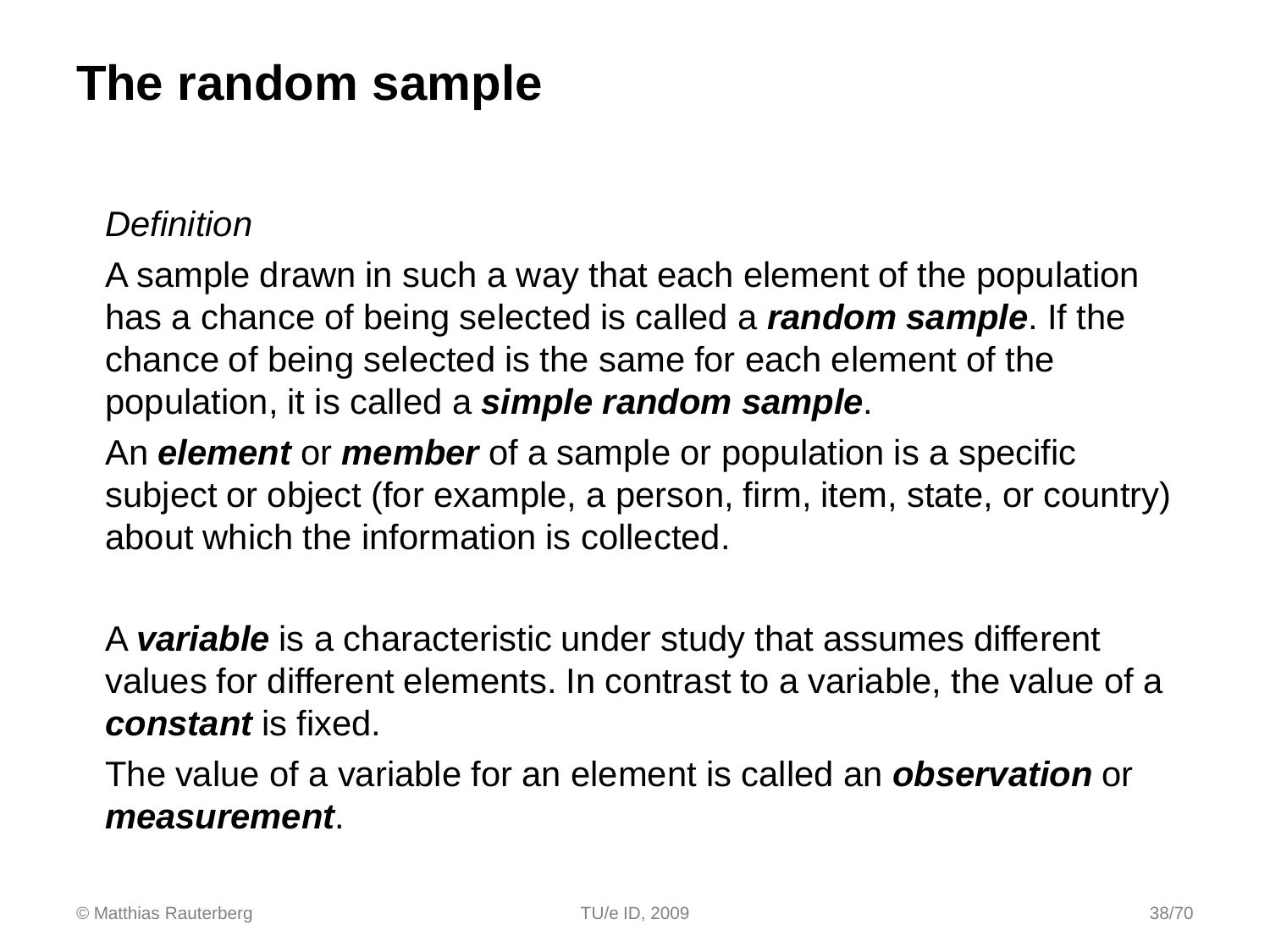### **The random sample**

#### *Definition*

A sample drawn in such a way that each element of the population has a chance of being selected is called a *random sample*. If the chance of being selected is the same for each element of the population, it is called a *simple random sample*.

An *element* or *member* of a sample or population is a specific subject or object (for example, a person, firm, item, state, or country) about which the information is collected.

A *variable* is a characteristic under study that assumes different values for different elements. In contrast to a variable, the value of a *constant* is fixed.

The value of a variable for an element is called an *observation* or *measurement*.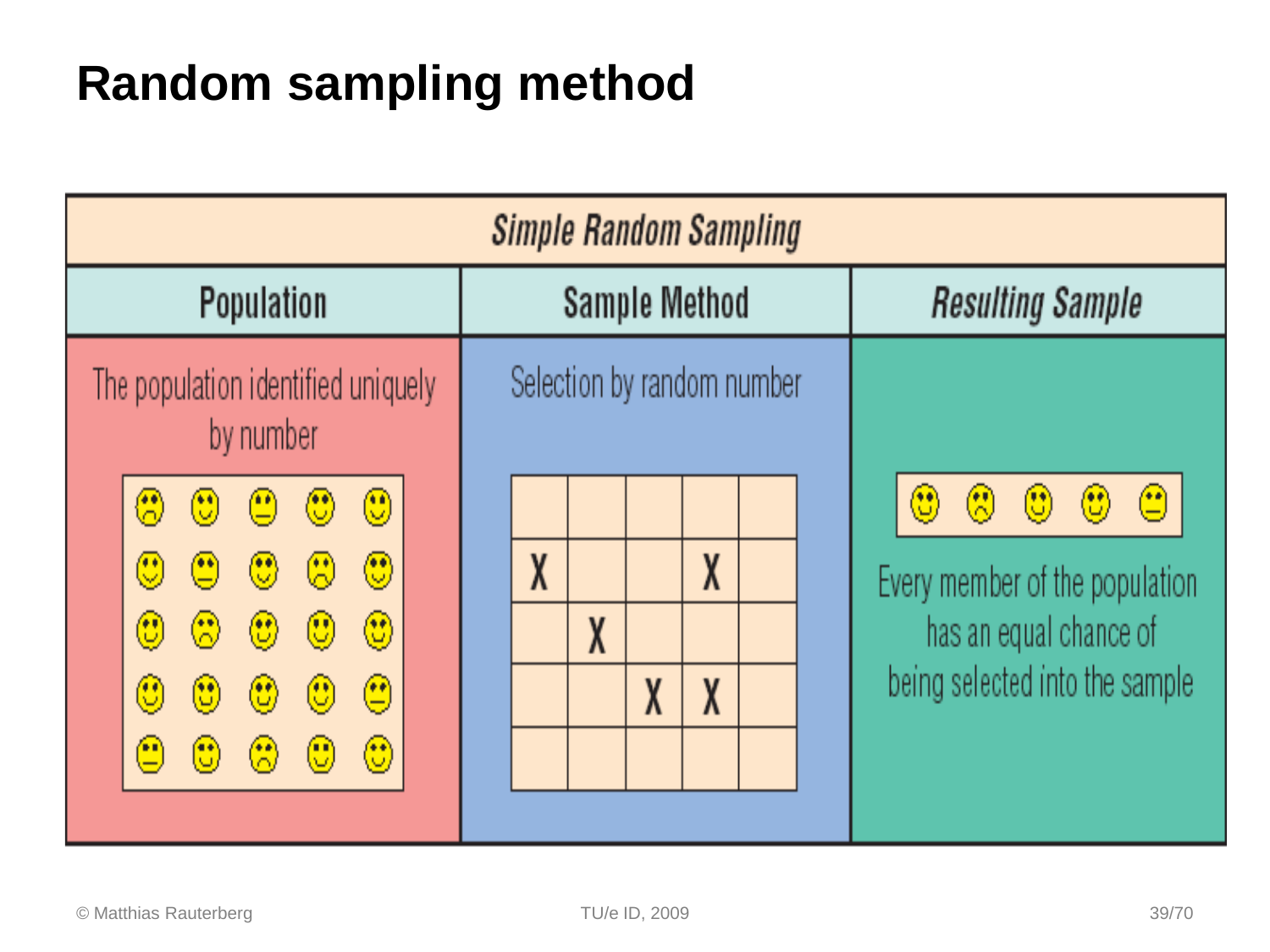### **Random sampling method**

| <b>Simple Random Sampling</b>                                                                                                                                                            |                            |                                                                                                                                                                                         |  |
|------------------------------------------------------------------------------------------------------------------------------------------------------------------------------------------|----------------------------|-----------------------------------------------------------------------------------------------------------------------------------------------------------------------------------------|--|
| Population                                                                                                                                                                               | <b>Sample Method</b>       | <b>Resulting Sample</b>                                                                                                                                                                 |  |
| The population identified uniquely<br>by number                                                                                                                                          | Selection by random number |                                                                                                                                                                                         |  |
| $\circledS$<br>❀<br>- 9 0<br>$\circled{0}$<br>$\circledS$<br><u>- ଭ</u><br>అ<br>- (*)<br>$\mathbb{C}^{\ast}$<br>- ©<br>$\circled{c}$<br>$\circledast$<br>$\bigcirc$<br>$\left( 0\right)$ | X<br>X<br>X                | $\bigcirc$<br>$\left(\begin{matrix} \bullet \\ \bullet \end{matrix}\right)$<br>(وی)<br>رلیان<br>$\left(\mathbb{C}\right)$ .<br>Every member of the population<br>has an equal chance of |  |
| $\bigcirc$<br>$\bigcirc$<br>$\bigcirc$<br>$\circled{0}$<br>$\mathbb{C}$<br>$\bf{\large \textcircled{}}$<br>$\odot$<br>$\circledcirc$<br>$\left(\mathbb{C}\right)$                        | X<br>X                     | being selected into the sample                                                                                                                                                          |  |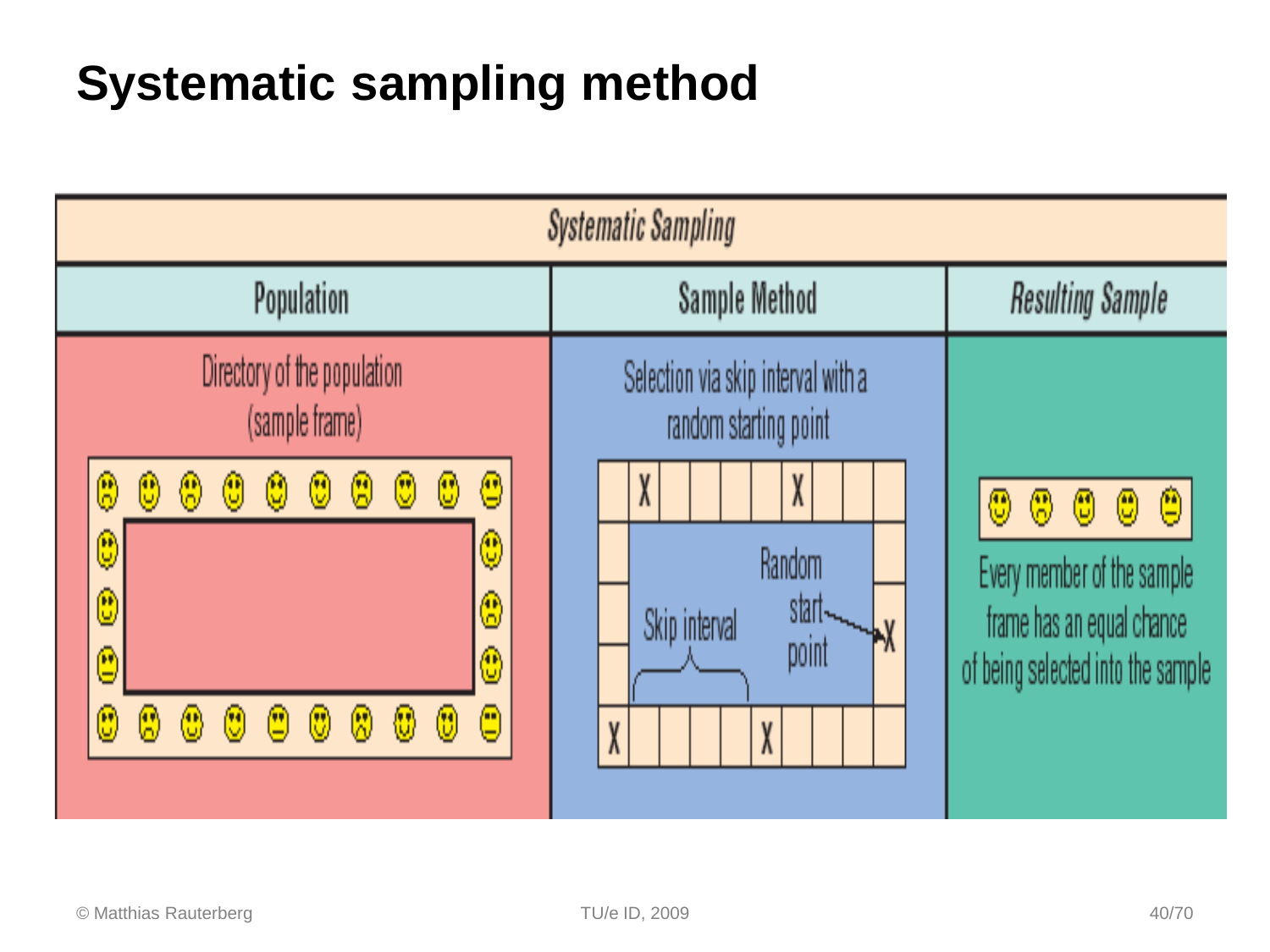### **Systematic sampling method**

| <b>Systematic Sampling</b>                                                                                                                                                                                                                                                                                                                |                                                                       |                                                                                                                                           |  |
|-------------------------------------------------------------------------------------------------------------------------------------------------------------------------------------------------------------------------------------------------------------------------------------------------------------------------------------------|-----------------------------------------------------------------------|-------------------------------------------------------------------------------------------------------------------------------------------|--|
| <b>Population</b>                                                                                                                                                                                                                                                                                                                         | Sample Method                                                         | <b>Resulting Sample</b>                                                                                                                   |  |
| Directory of the population<br>(sample frame)                                                                                                                                                                                                                                                                                             | Selection via skip interval with a<br>random starting point           |                                                                                                                                           |  |
| ◉<br>$\bigcirc$<br>$^\circledR$<br>$\circledS$<br>00<br>⊛<br>☺<br>g<br>⋓<br>$\bigcirc$<br>$\mathbb{Q}$<br>$\mathbf{\hat{e}}$<br>$\circledS$<br>$\mathbf{\widehat{e}}$<br>$\textcircled{\small{1}}$<br>☺<br>000<br>☺<br>$^{\circledR}$<br>$\circled{0}$<br>$\langle \mathcal{R} \rangle$<br>₩<br>$\overset{\text{\tiny{(1)}}}{\mathbb{U}}$ | X<br>X<br><b>Random</b><br>start-<br>Skip interval<br>point<br>X<br>X | $\circled{0}$<br>$\circledcirc$<br>☺<br>0<br>Every member of the sample<br>frame has an equal chance<br>of being selected into the sample |  |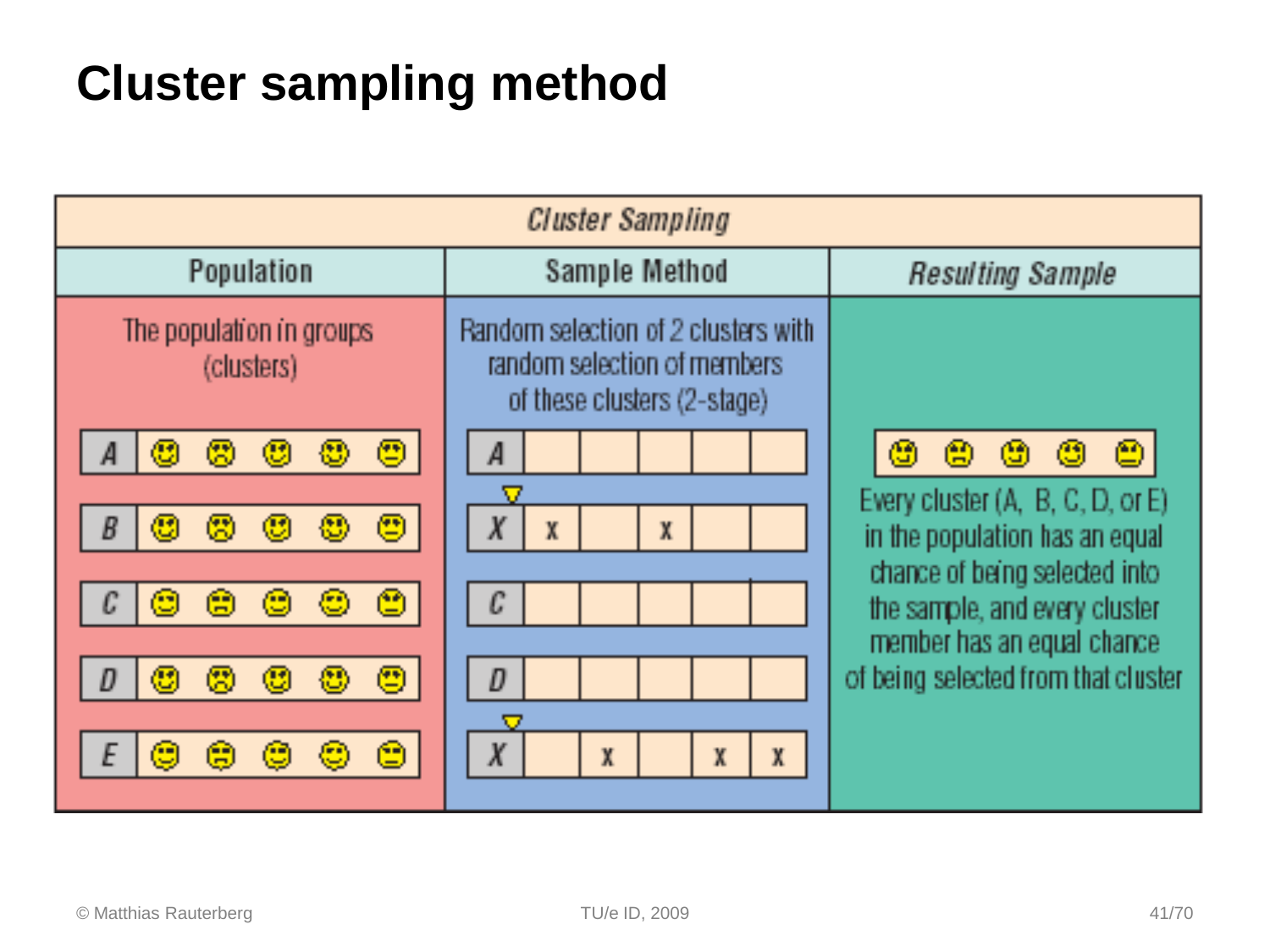### **Cluster sampling method**

| <b>Cluster Sampling</b>                                     |                                                                                                   |                                                                                              |
|-------------------------------------------------------------|---------------------------------------------------------------------------------------------------|----------------------------------------------------------------------------------------------|
| Population                                                  | Sample Method                                                                                     | <b>Resulting Sample</b>                                                                      |
| The population in groups<br>(clusters)                      | Random selection of 2 clusters with<br>random selection of members<br>of these clusters (2-stage) |                                                                                              |
| $\mathbf \odot$<br>$\bm{\mathbb{C}}$<br>僫<br>⑬<br>⑧         | A                                                                                                 | ₾<br>$\circled{e}$<br>⑭<br>Ø<br>恖                                                            |
| 粵<br>$\bm{\mathbb{C}}$<br>僫<br>$\mathbf \odot$<br>恐<br>B    | $\boldsymbol{X}$<br>X<br>X                                                                        | Every cluster (A, B, C, D, or E)<br>in the population has an equal                           |
| 會<br>⑬<br>箘<br>⊛<br>Э                                       | $\mathcal C$                                                                                      | chance of being selected into<br>the sample, and every cluster<br>member has an equal chance |
| Θ<br>$\bm{\mathbb{C}}$<br>恖<br>$\mathbf{\mathfrak{C}}$<br>₩ | D                                                                                                 | of being selected from that cluster                                                          |
| o<br>Ε<br><u>لي:</u><br>g<br>C<br>Ŵ                         | $\boldsymbol{X}$<br>X<br>$\mathbb X$<br>X                                                         |                                                                                              |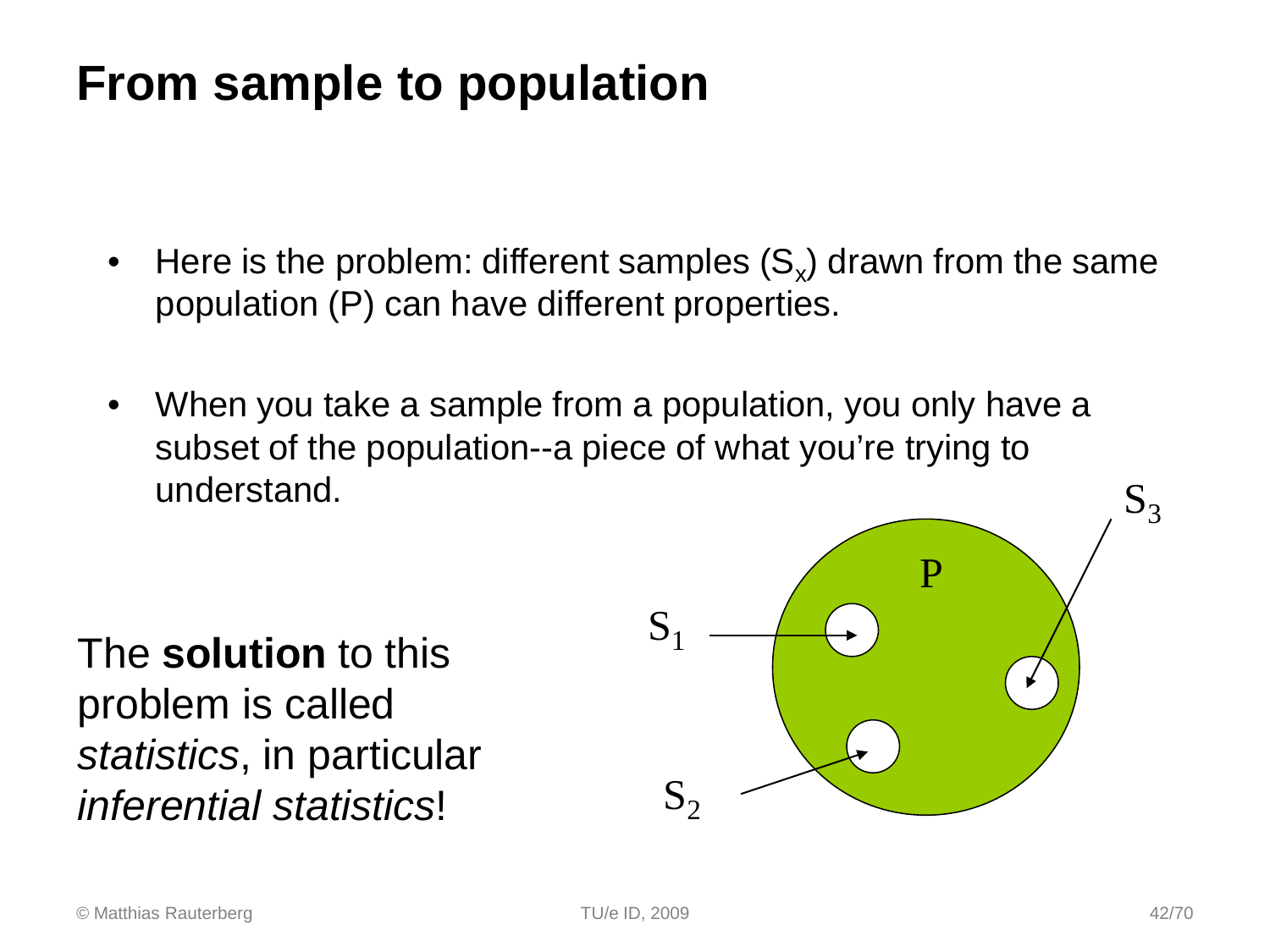### **From sample to population**

- Here is the problem: different samples  $(S_x)$  drawn from the same population (P) can have different properties.
- When you take a sample from a population, you only have a subset of the population--a piece of what you're trying to understand.

The **solution** to this problem is called *statistics*, in particular *inferential statistics*!

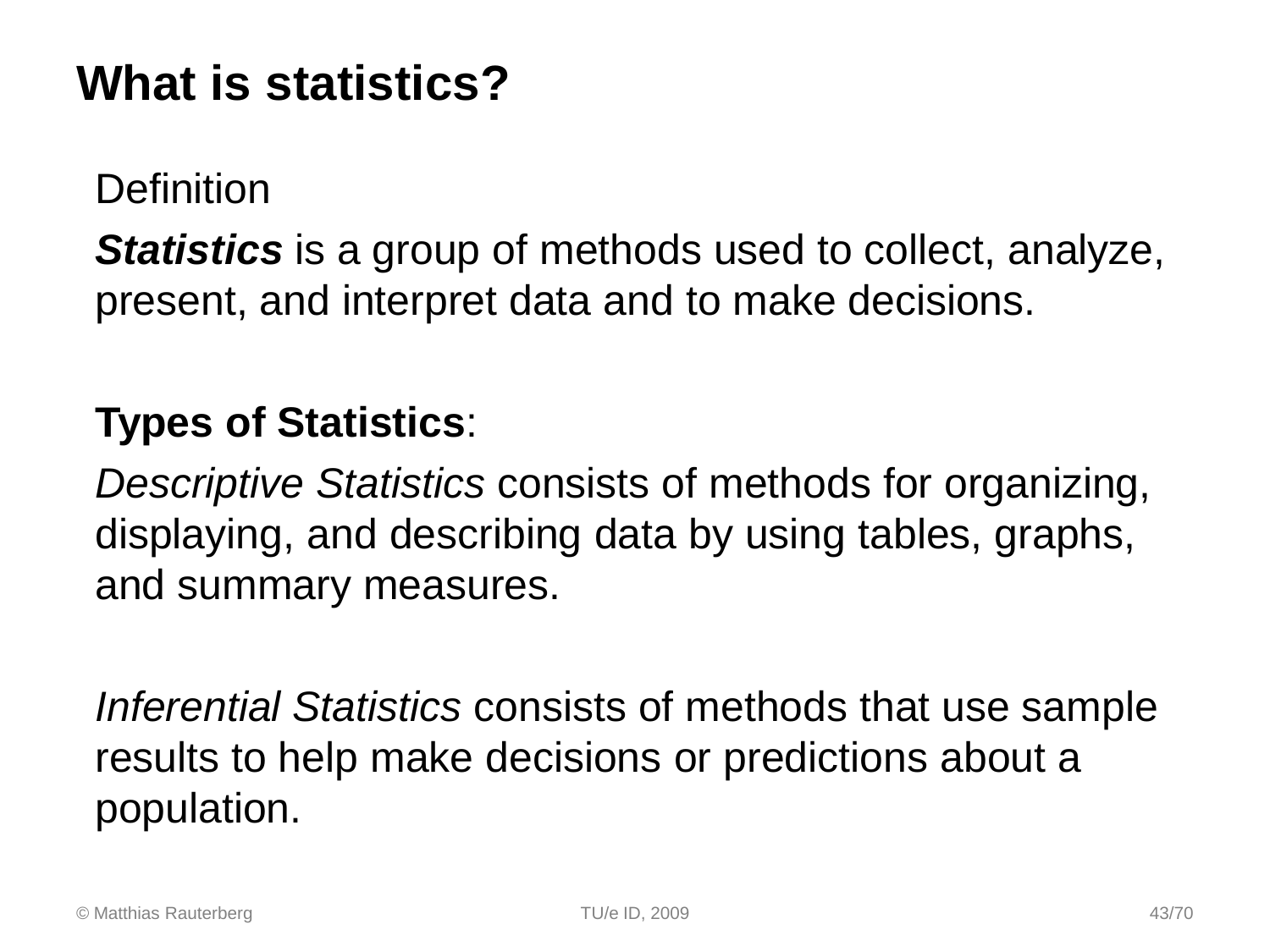### **What is statistics?**

**Definition** 

*Statistics* is a group of methods used to collect, analyze, present, and interpret data and to make decisions.

### **Types of Statistics**:

*Descriptive Statistics* consists of methods for organizing, displaying, and describing data by using tables, graphs, and summary measures.

*Inferential Statistics* consists of methods that use sample results to help make decisions or predictions about a population.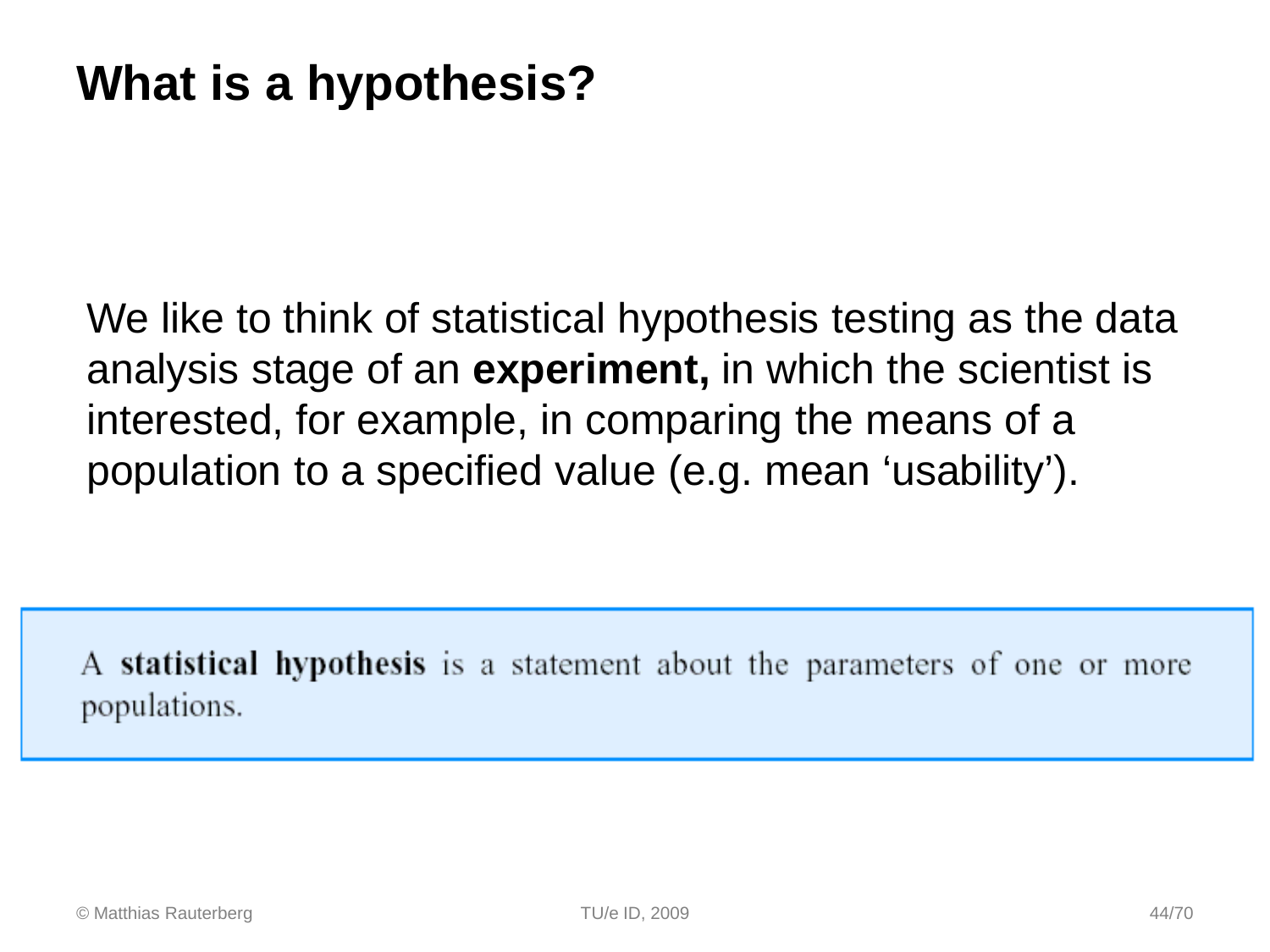We like to think of statistical hypothesis testing as the data analysis stage of an **experiment,** in which the scientist is interested, for example, in comparing the means of a population to a specified value (e.g. mean 'usability').

A **statistical hypothesis** is a statement about the parameters of one or more populations.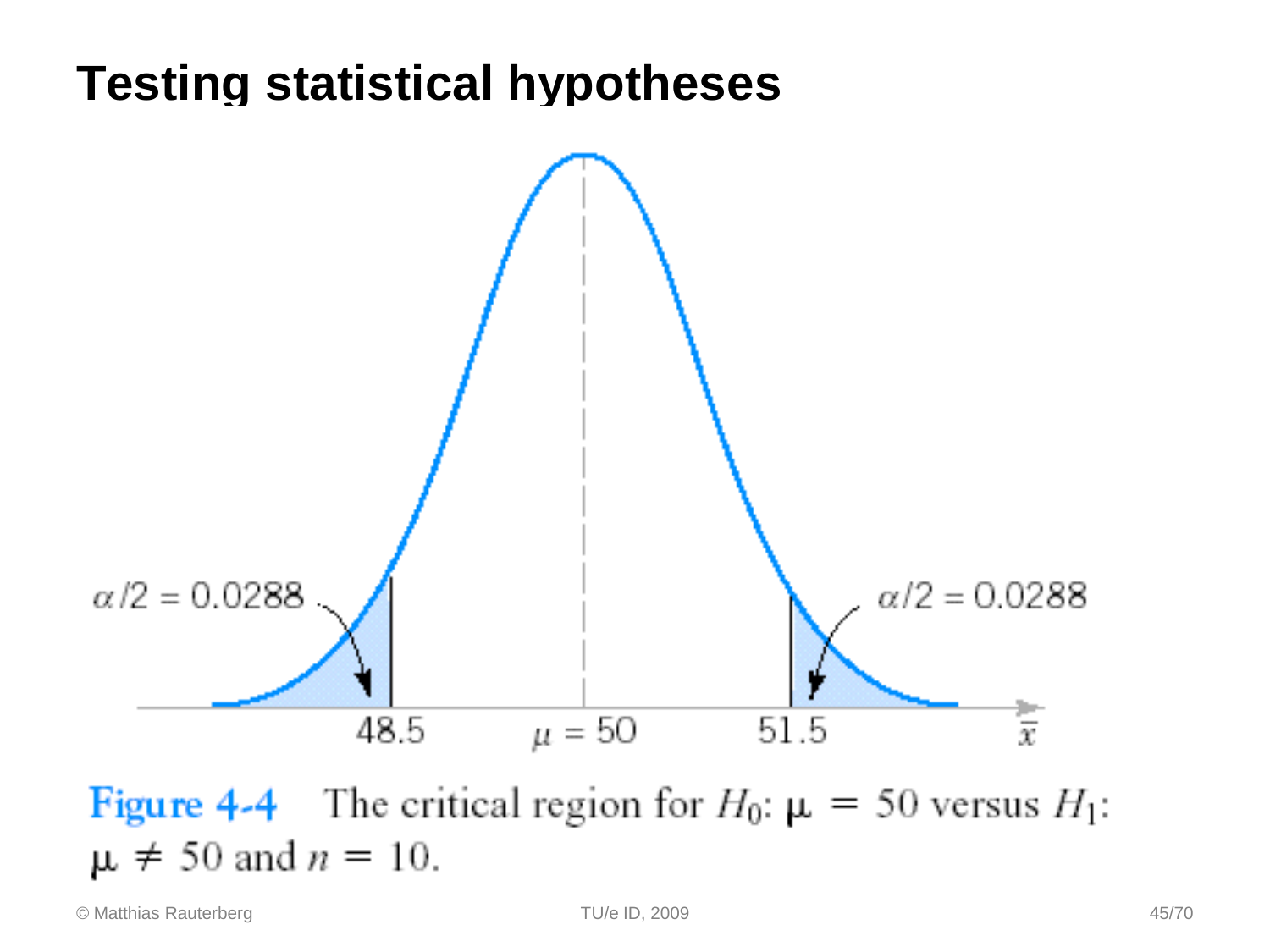### **Testing statistical hypotheses**

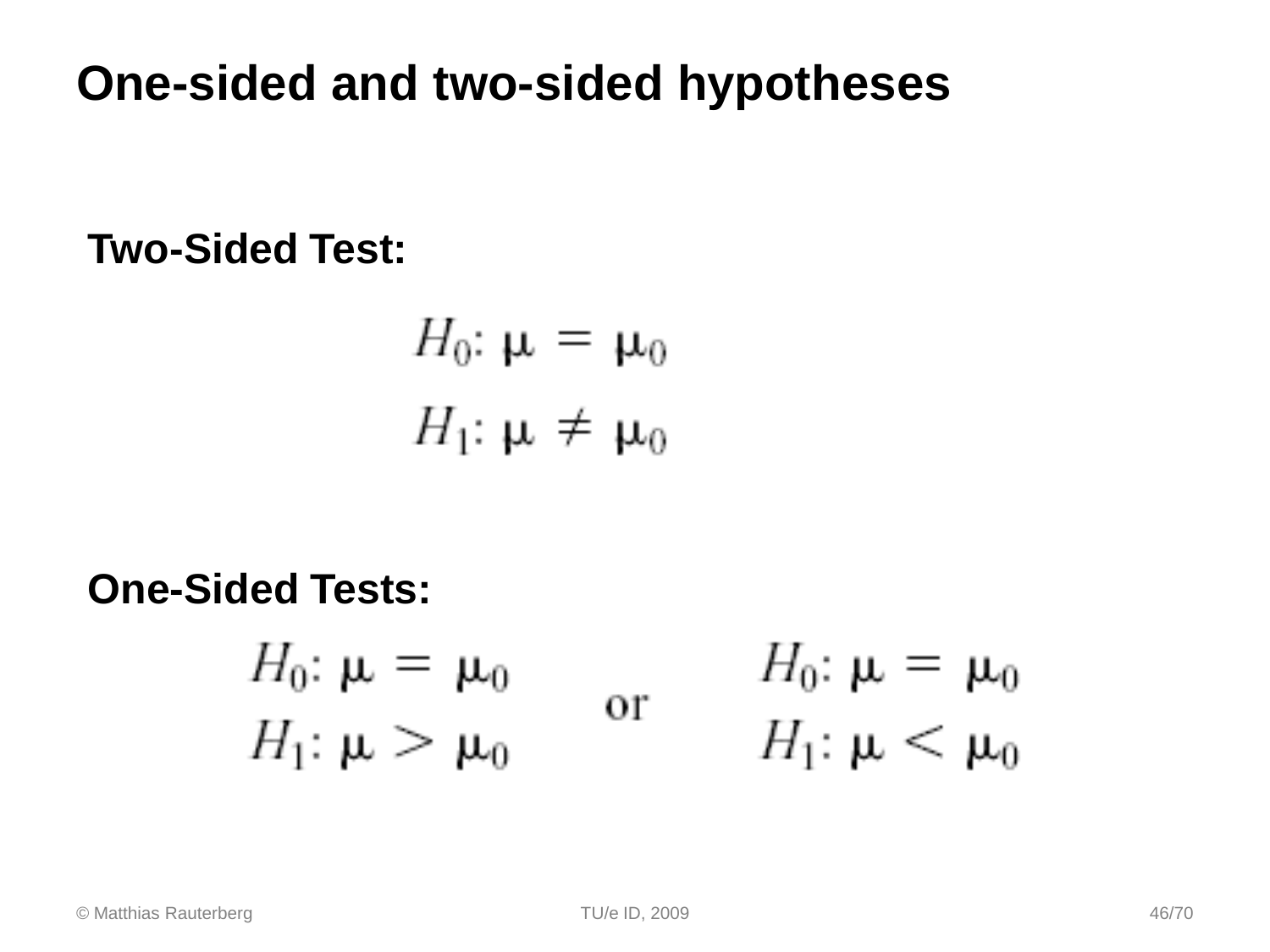### **One-sided and two-sided hypotheses**

**Two-Sided Test:**

$$
H_0: \mu = \mu_0
$$
  

$$
H_1: \mu \neq \mu_0
$$

#### **One-Sided Tests:**

$$
H_0: \mu = \mu_0 \qquad \text{or} \qquad H_0: \mu = \mu_0
$$
  

$$
H_1: \mu > \mu_0 \qquad \text{or} \qquad H_1: \mu < \mu_0
$$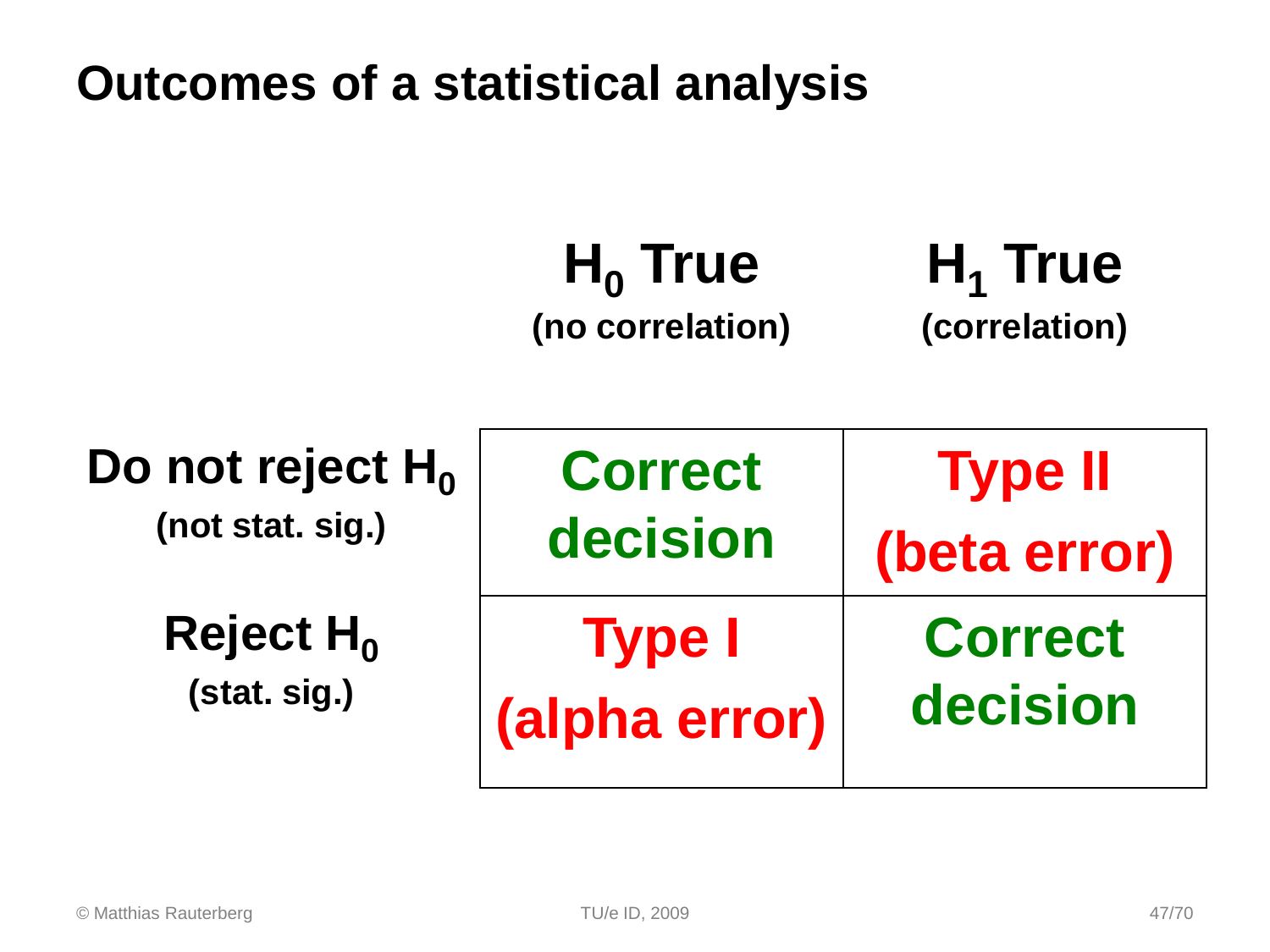### **Outcomes of a statistical analysis**

#### H<sub>0</sub> True **(no correlation)** H<sub>1</sub> True **(correlation)**

| Do not reject $H_0$ | <b>Correct</b> | <b>Type II</b> |
|---------------------|----------------|----------------|
| (not stat. sig.)    | decision       | (beta error)   |
| Reject $H_0$        | <b>Type I</b>  | <b>Correct</b> |
| (stat. sig.)        | (alpha error)  | decision       |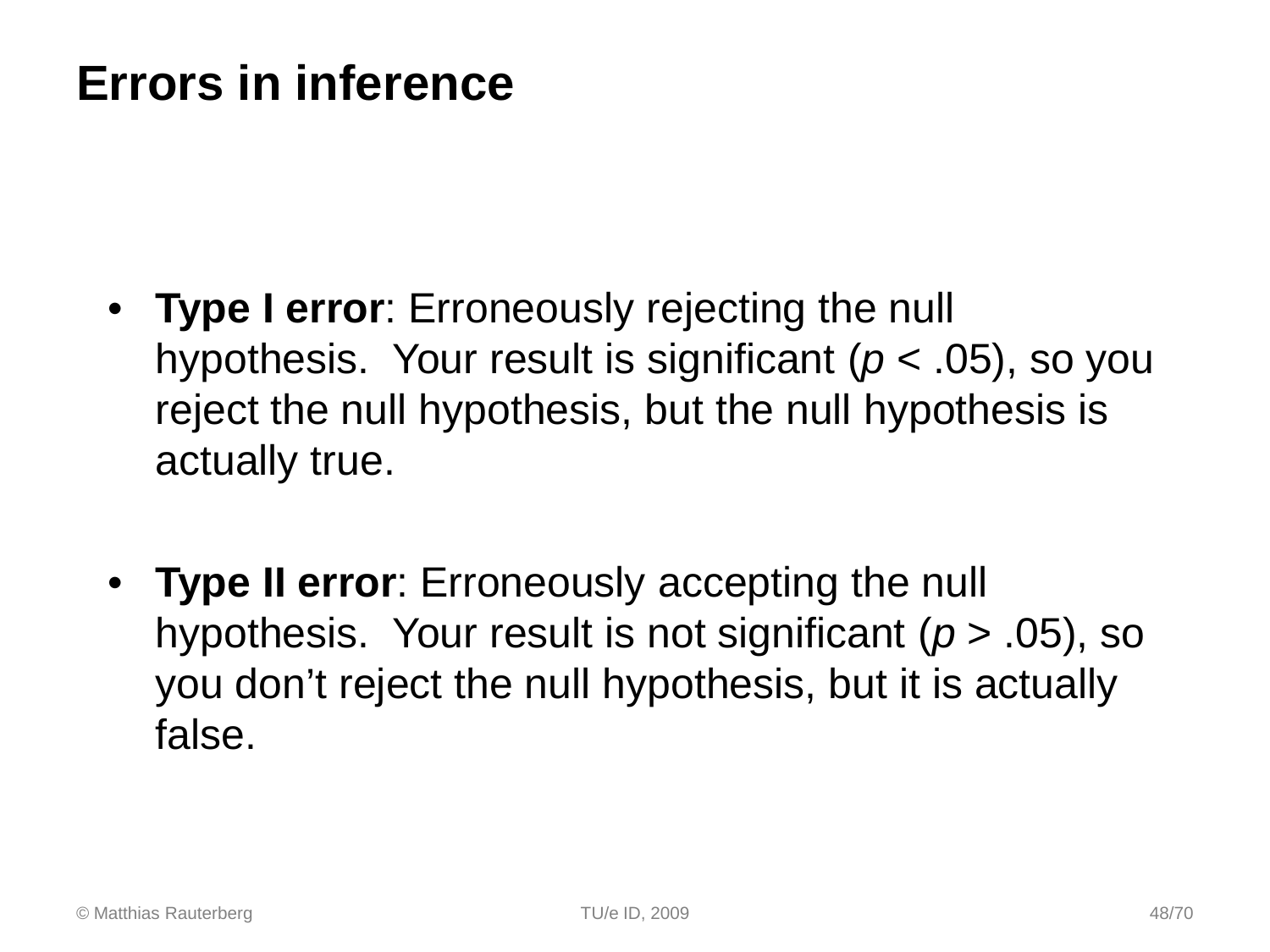### **Errors in inference**

- **Type I error**: Erroneously rejecting the null hypothesis. Your result is significant (*p* < .05), so you reject the null hypothesis, but the null hypothesis is actually true.
- **Type II error**: Erroneously accepting the null hypothesis. Your result is not significant (*p* > .05), so you don't reject the null hypothesis, but it is actually false.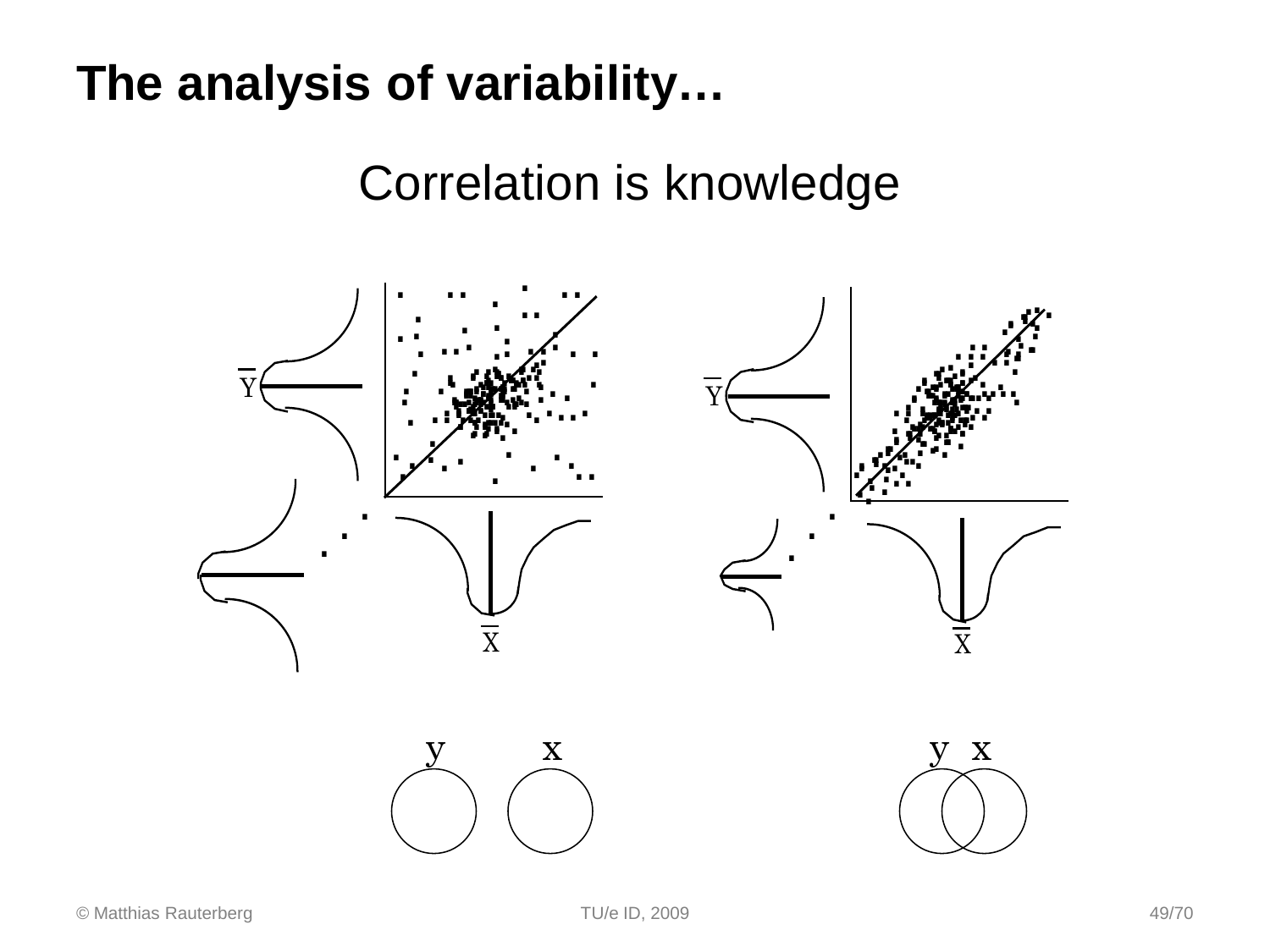### The analysis of variability...

### **Correlation is knowledge**

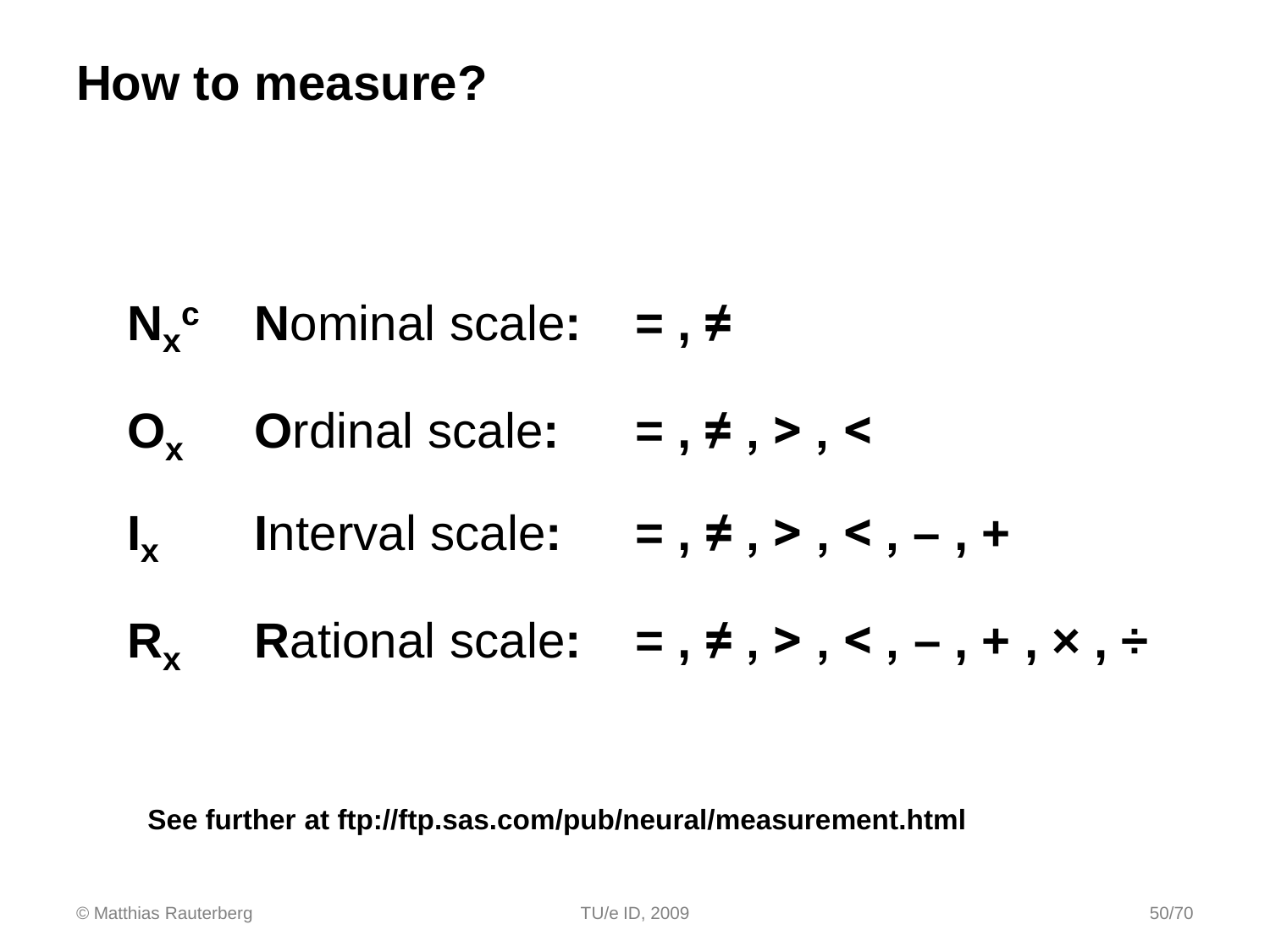$N_x^c$  **Nominal scale:** =,  $\neq$ **Ox O**rdinal scale**: = , ≠ , > , < I<sub>x</sub>** Interval scale:  $=$ ,  $\neq$ ,  $>$ ,  $\lt$ ,  $-$ ,  $+$ **R<sub>x</sub> Rational scale:**  $=$   $, \neq, >, <, -, +, \times, \neq$ 

#### **See further at ftp://ftp.sas.com/pub/neural/measurement.html**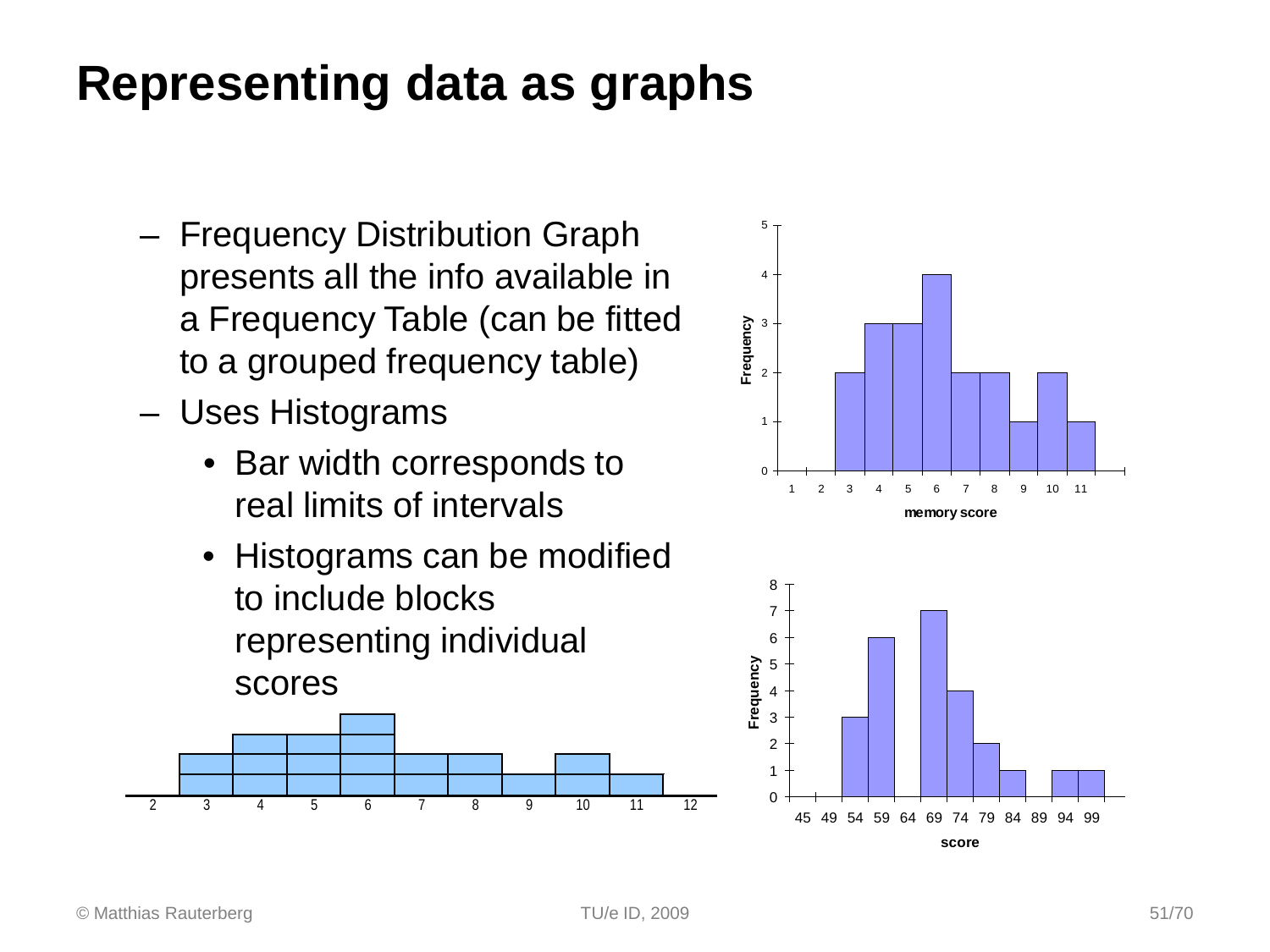### **Representing data as graphs**

- Frequency Distribution Graph presents all the info available in a Frequency Table (can be fitted to a grouped frequency table)
- Uses Histograms
	- Bar width corresponds to real limits of intervals
	- Histograms can be modified to include blocks representing individual scores





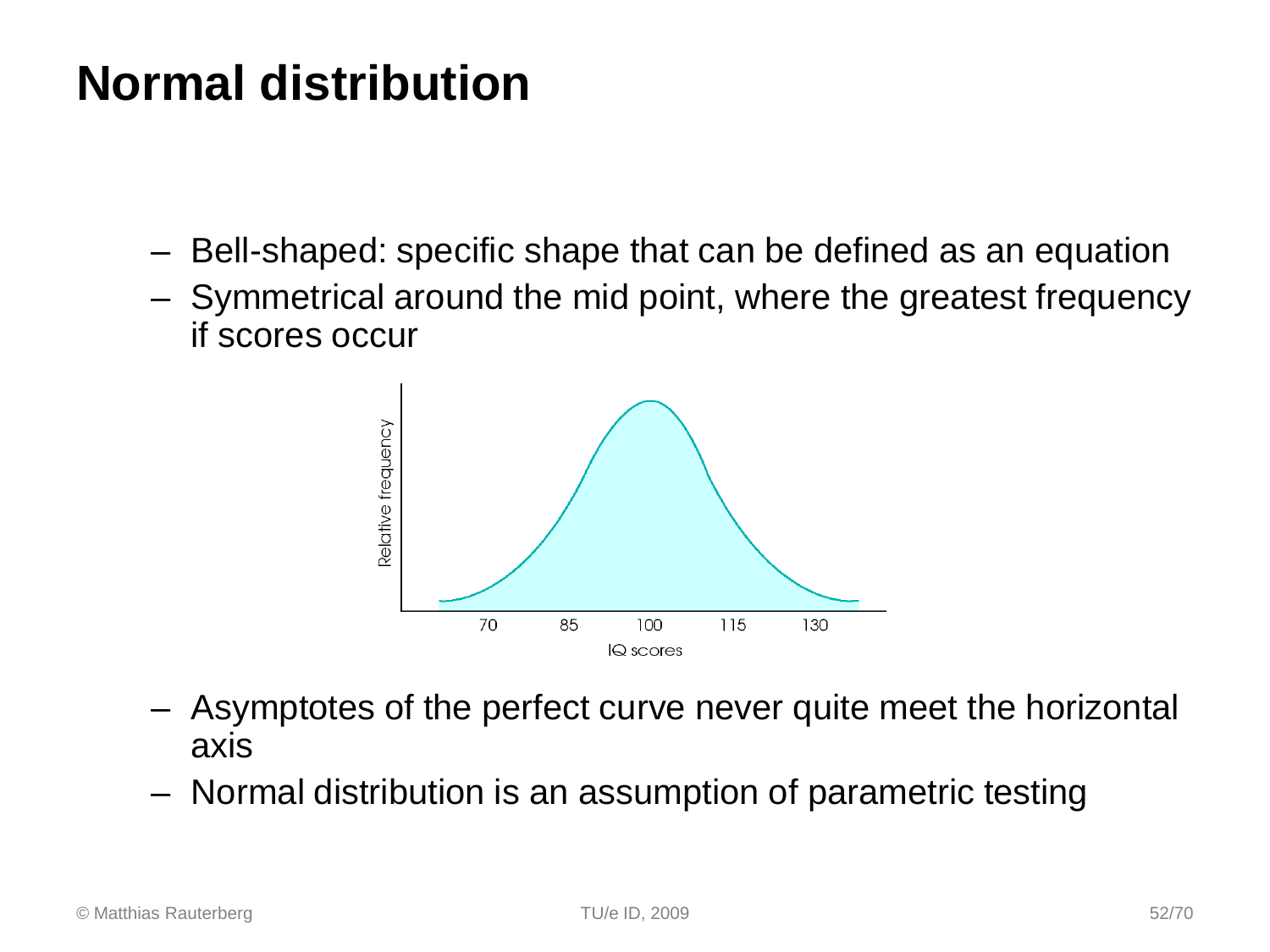### **Normal distribution**

- Bell-shaped: specific shape that can be defined as an equation
- Symmetrical around the mid point, where the greatest frequency if scores occur



- Asymptotes of the perfect curve never quite meet the horizontal axis
- Normal distribution is an assumption of parametric testing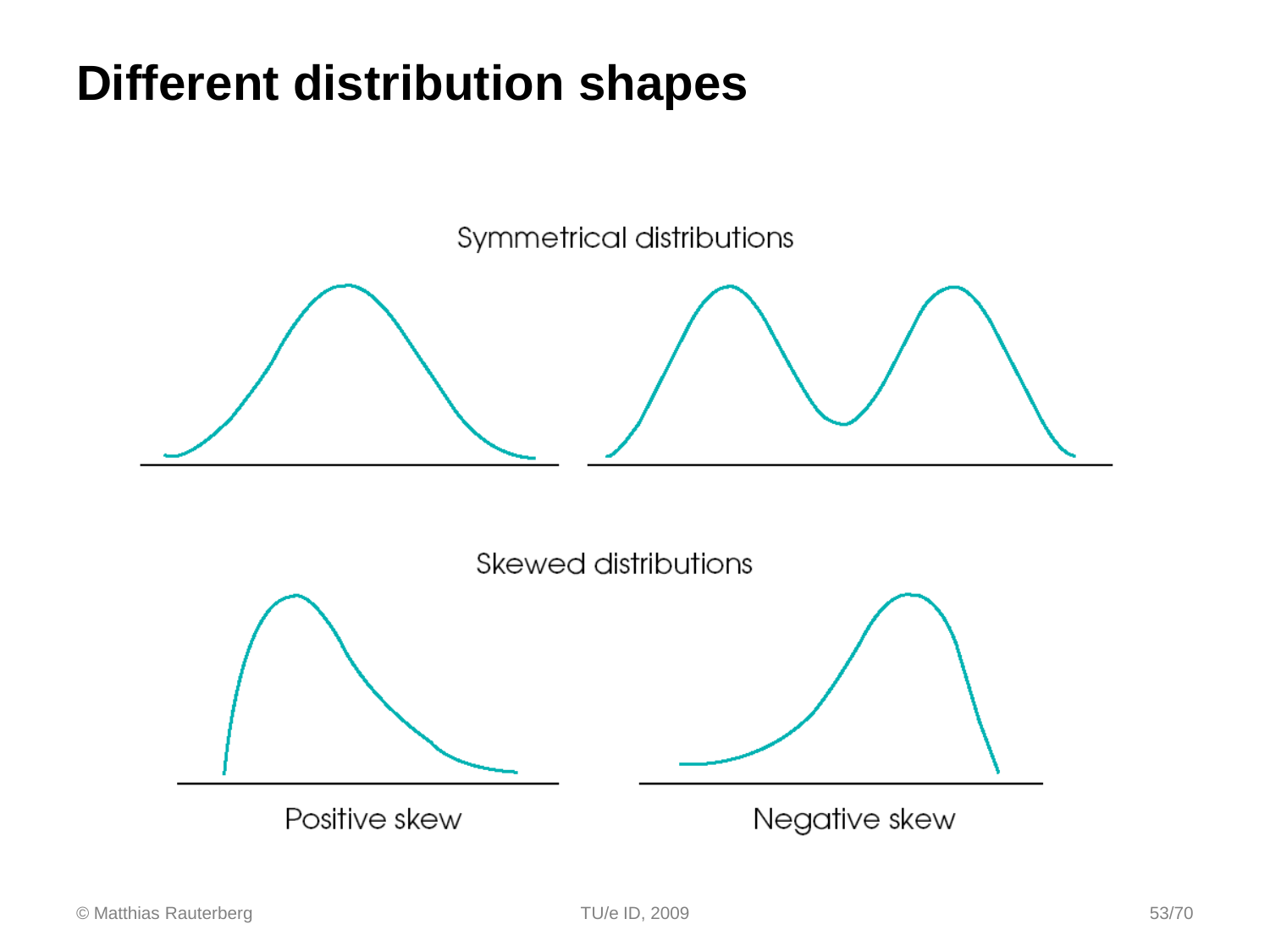### **Different distribution shapes**

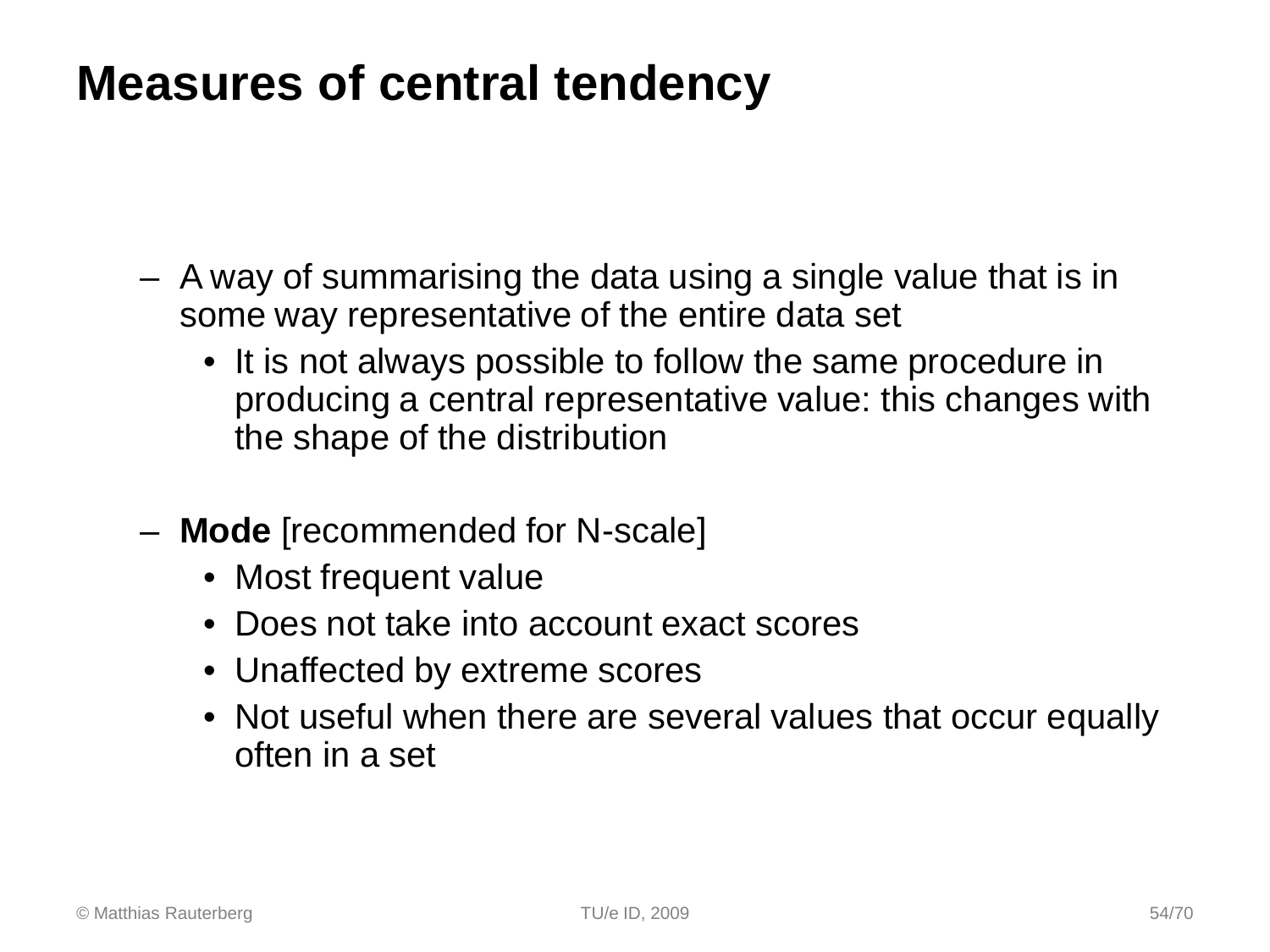### **Measures of central tendency**

- A way of summarising the data using a single value that is in some way representative of the entire data set
	- It is not always possible to follow the same procedure in producing a central representative value: this changes with the shape of the distribution
- **Mode** [recommended for N-scale]
	- Most frequent value
	- Does not take into account exact scores
	- Unaffected by extreme scores
	- Not useful when there are several values that occur equally often in a set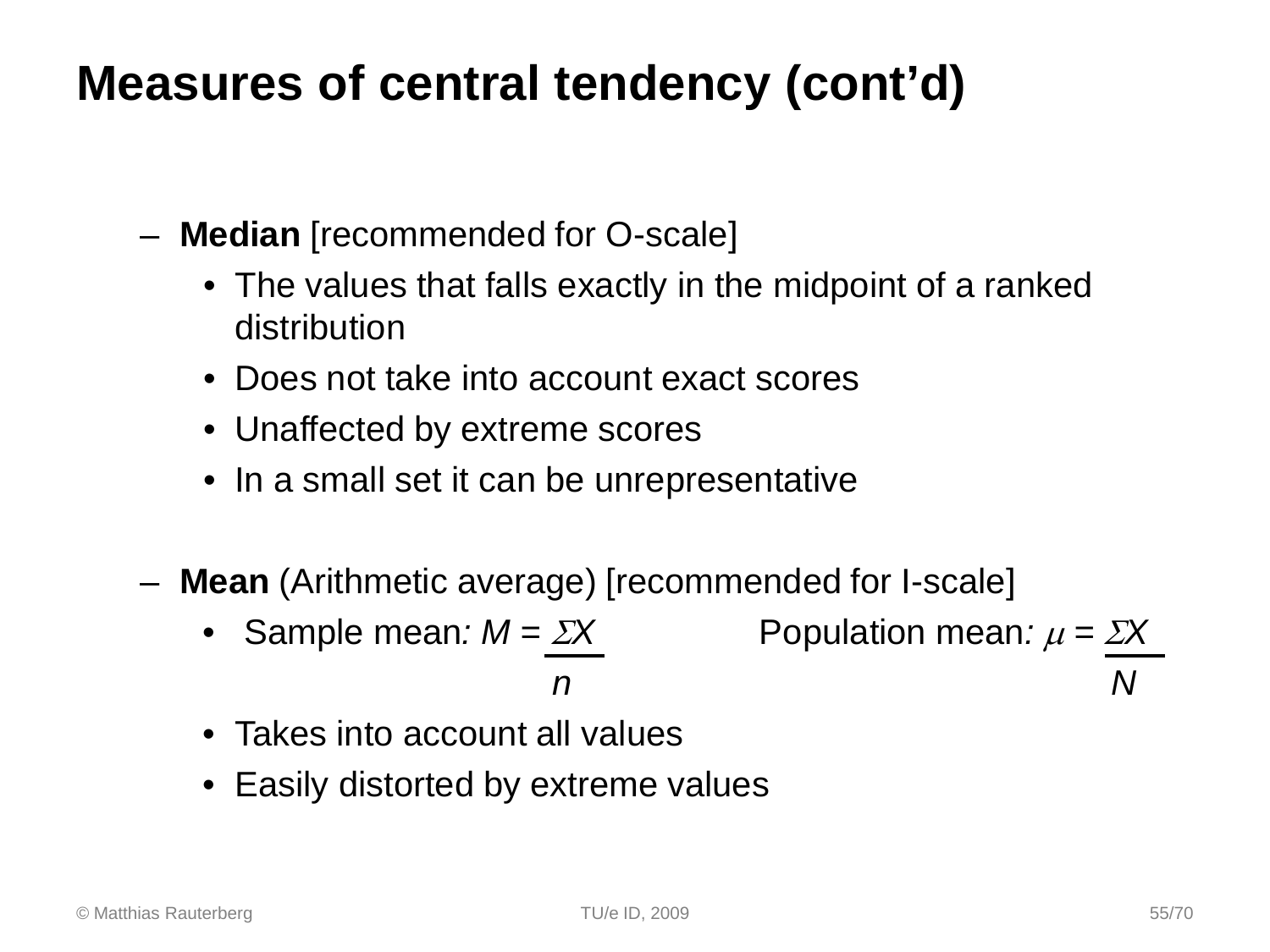### **Measures of central tendency (cont'd)**

- **Median** [recommended for O-scale]
	- The values that falls exactly in the midpoint of a ranked distribution
	- Does not take into account exact scores
	- Unaffected by extreme scores
	- In a small set it can be unrepresentative
- **Mean** (Arithmetic average) [recommended for I-scale]
	- Sample mean:  $M = \Sigma X$  Population mean:  $\mu = \Sigma X$  *n N*
	- Takes into account all values
	- Easily distorted by extreme values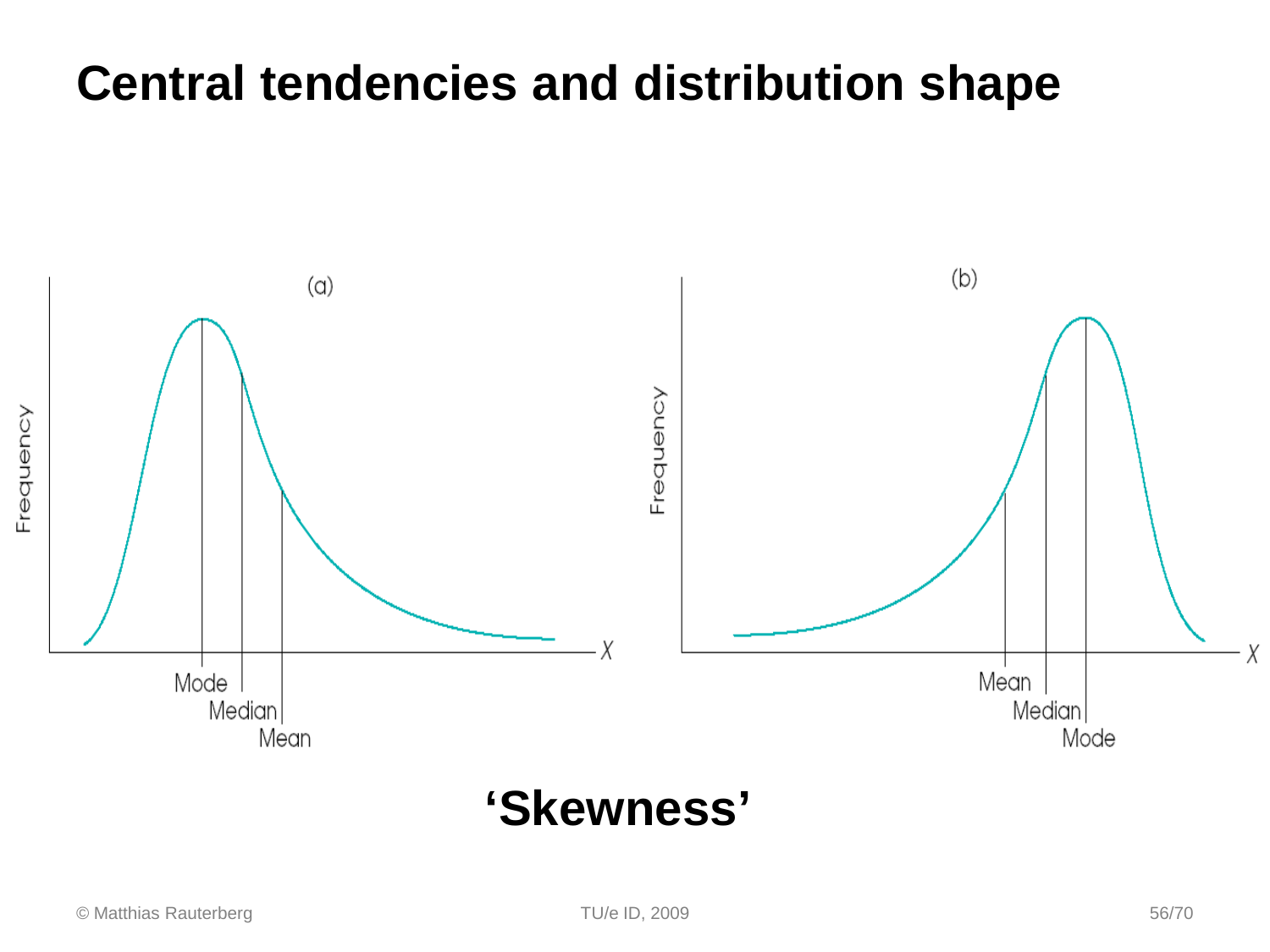### **Central tendencies and distribution shape**



### **'Skewness'**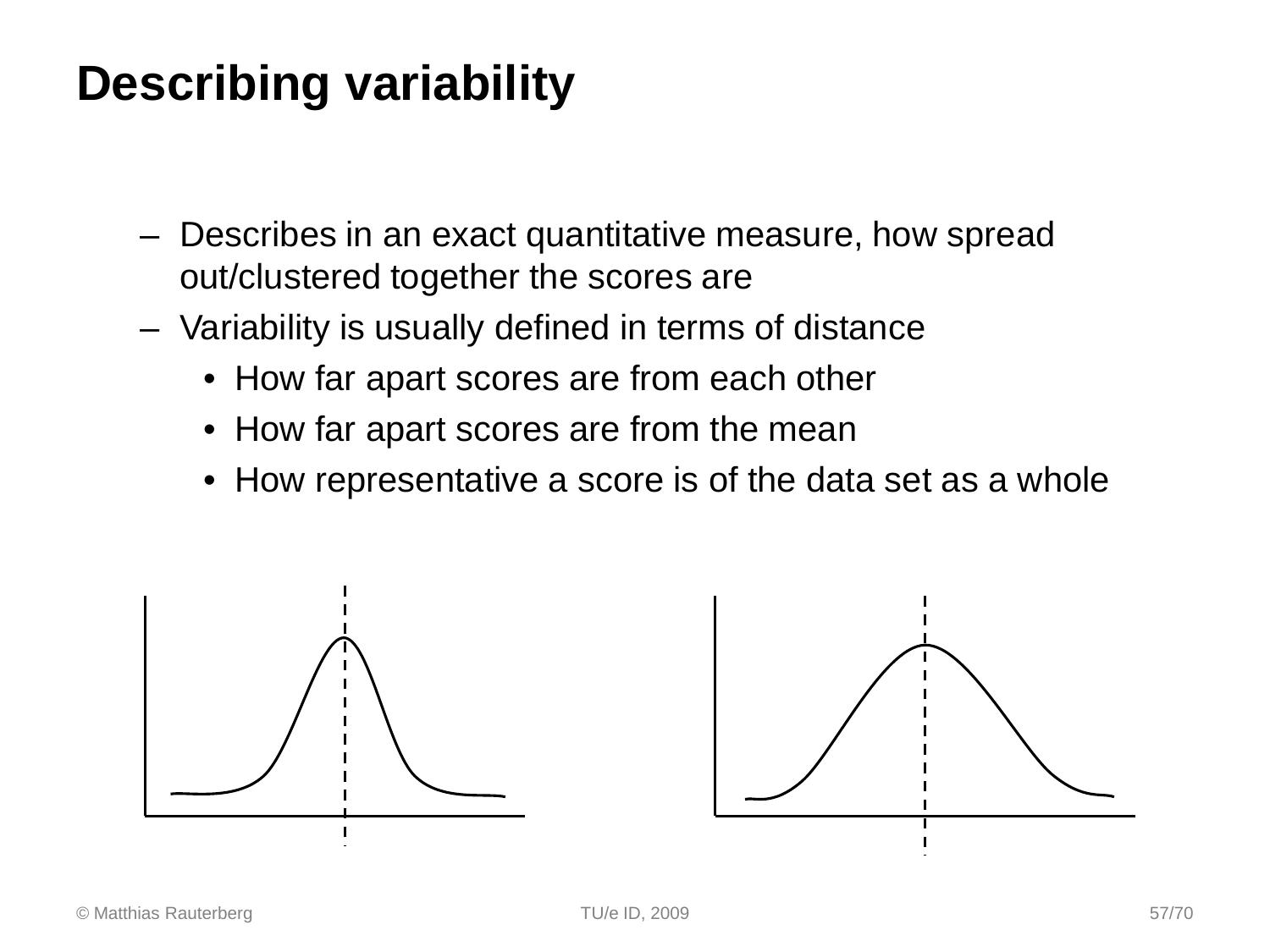### **Describing variability**

- Describes in an exact quantitative measure, how spread out/clustered together the scores are
- Variability is usually defined in terms of distance
	- How far apart scores are from each other
	- How far apart scores are from the mean
	- How representative a score is of the data set as a whole



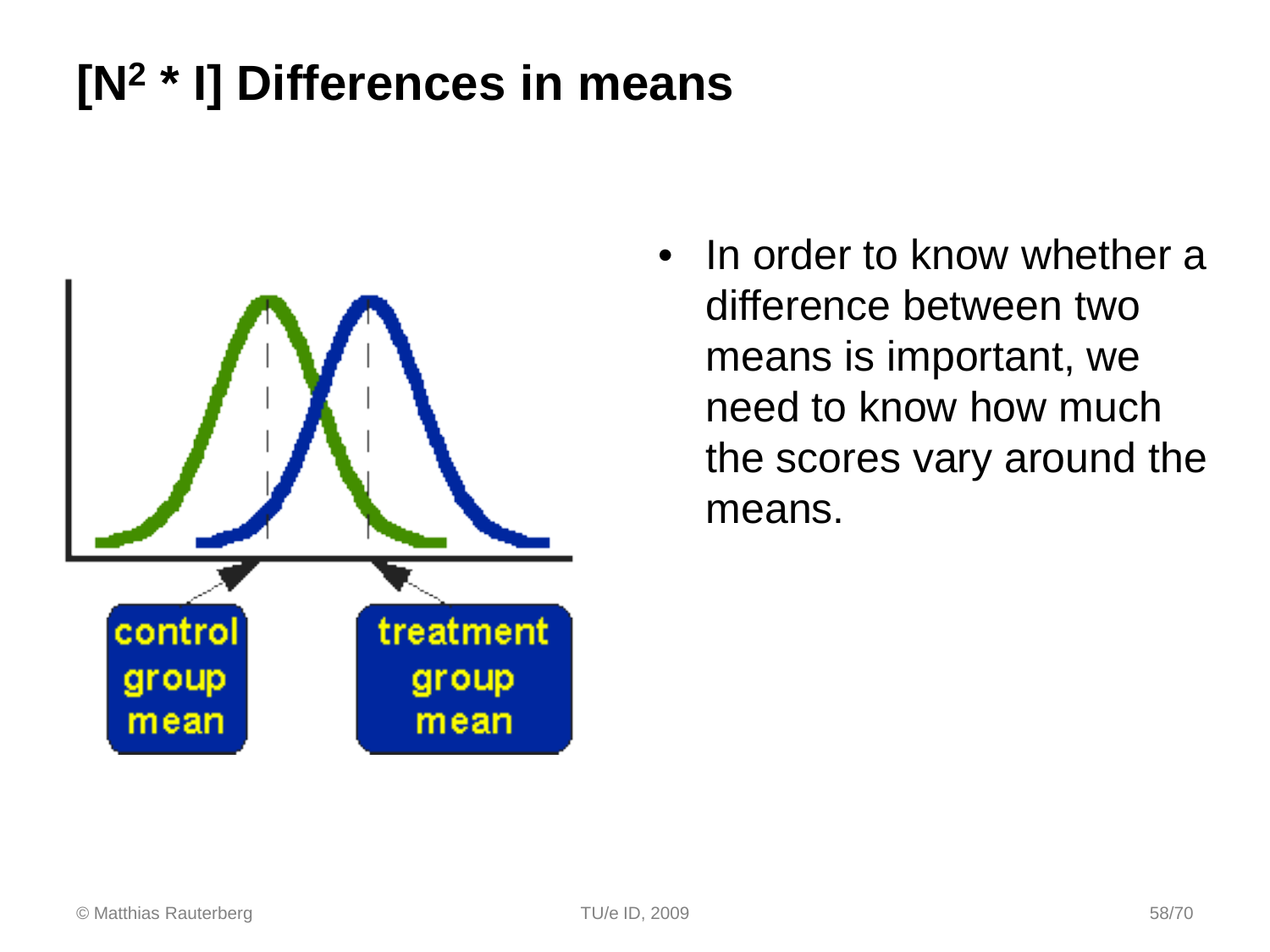### **[N2 \* I] Differences in means**



• In order to know whether a difference between two means is important, we need to know how much the scores vary around the means.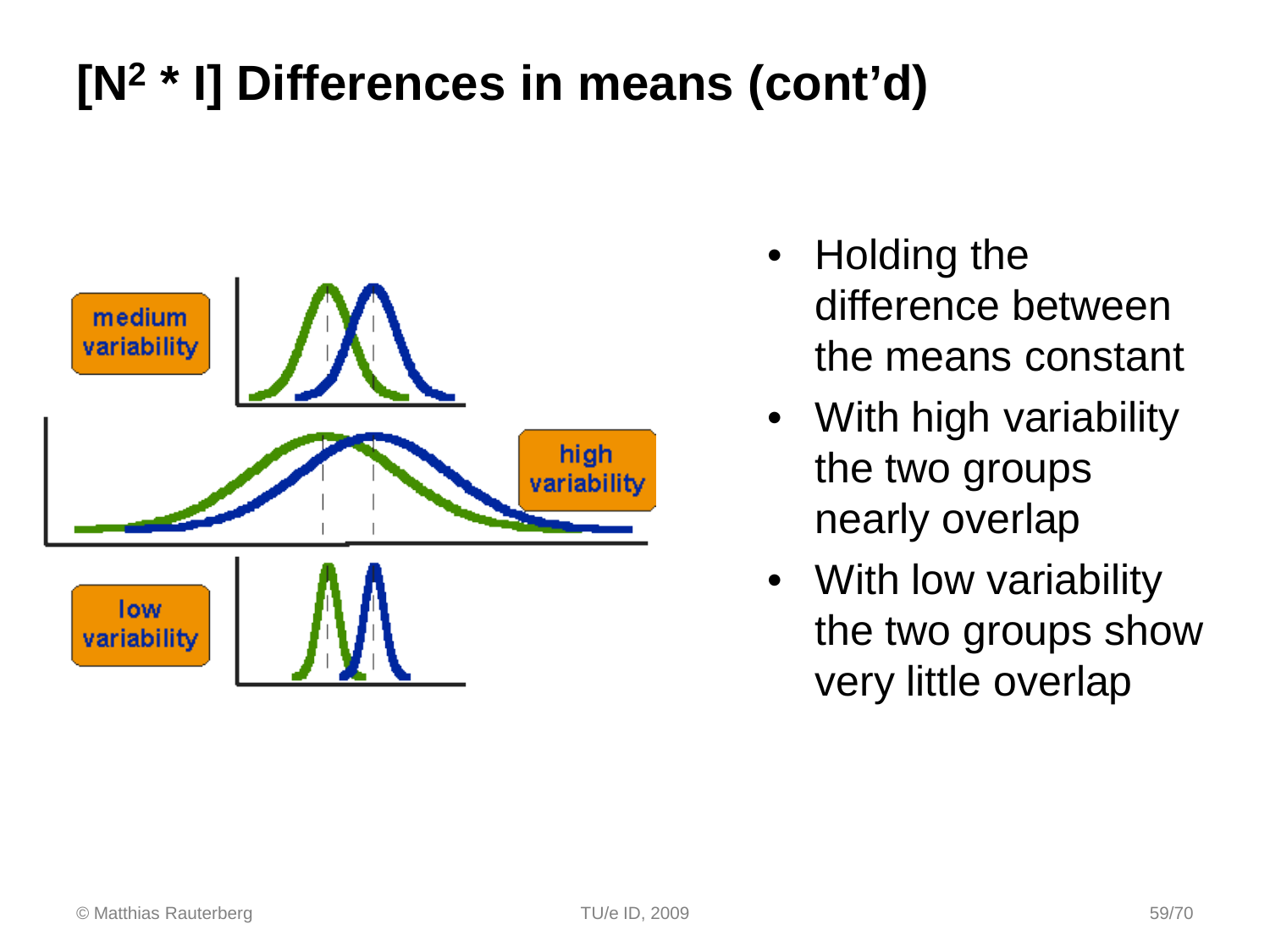## **[N2 \* I] Differences in means (cont'd)**



- Holding the difference between the means constant
- With high variability the two groups nearly overlap
- With low variability the two groups show very little overlap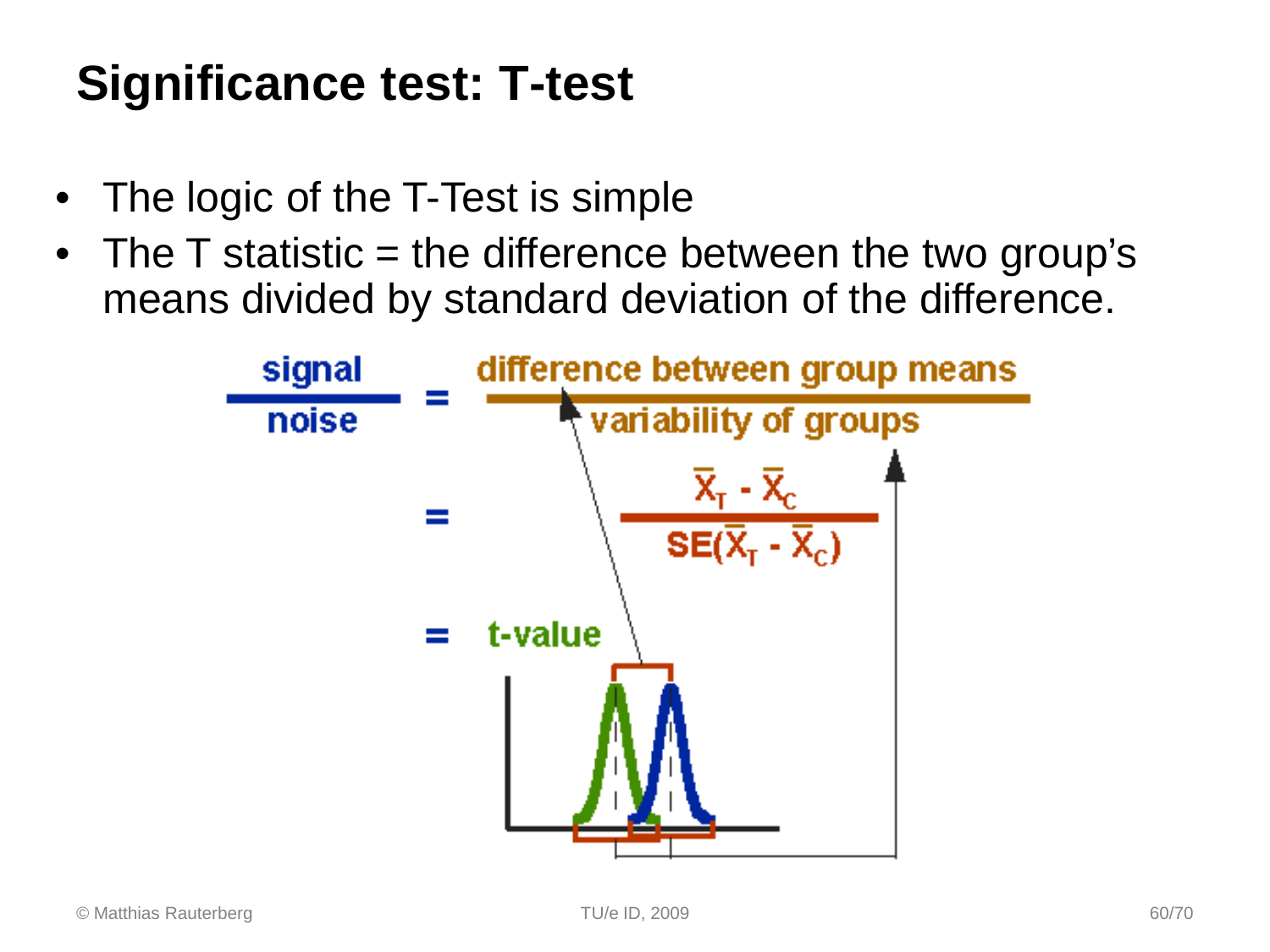### **Significance test: T-test**

- The logic of the T-Test is simple
- The T statistic = the difference between the two group's means divided by standard deviation of the difference.

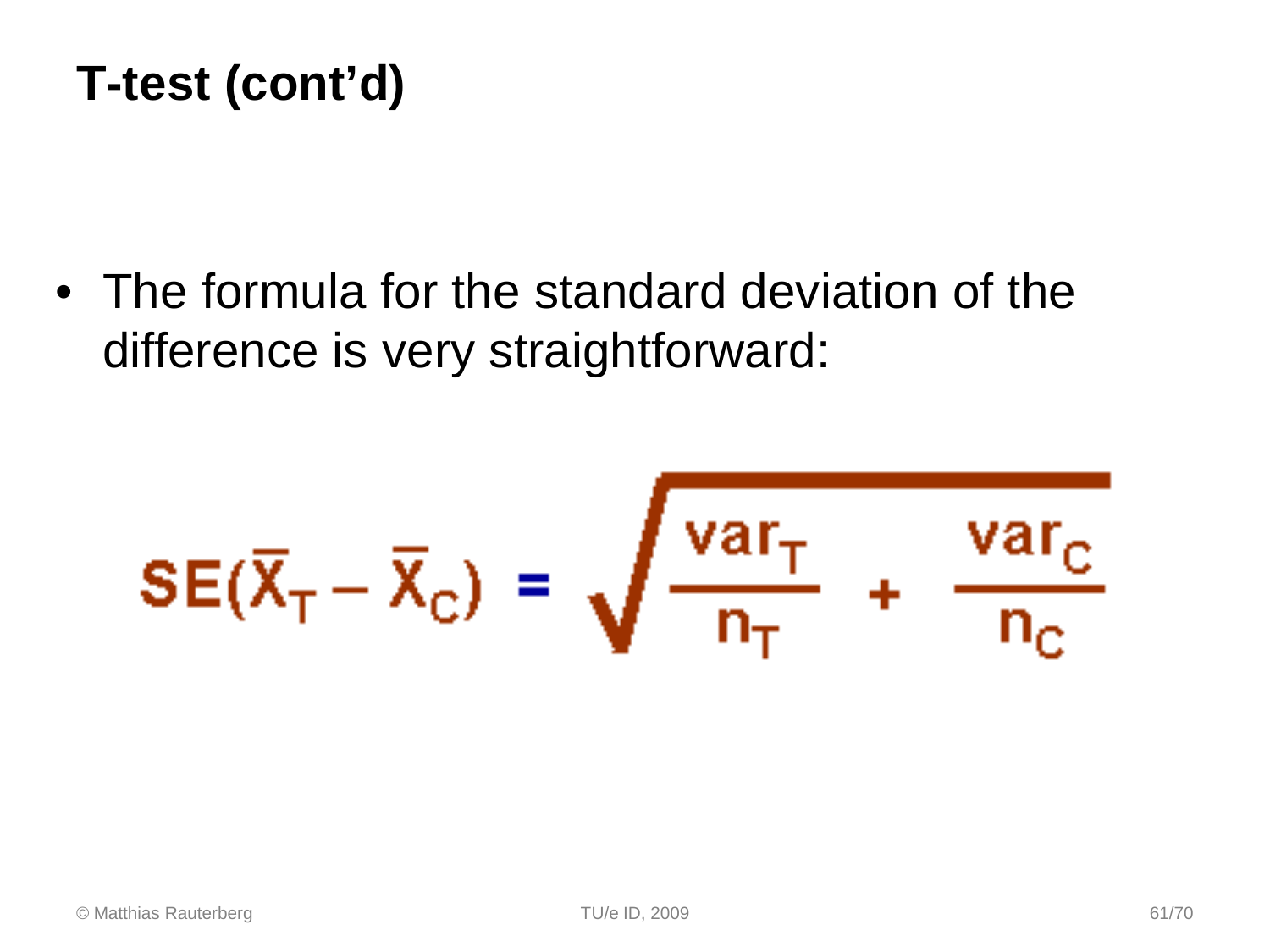### **T-test (cont'd)**

• The formula for the standard deviation of the difference is very straightforward:

$$
SE(\overline{X}_{T} - \overline{X}_{C}) = \sqrt{\frac{var_{T}}{n_{T}}} + \frac{var_{C}}{n_{C}}
$$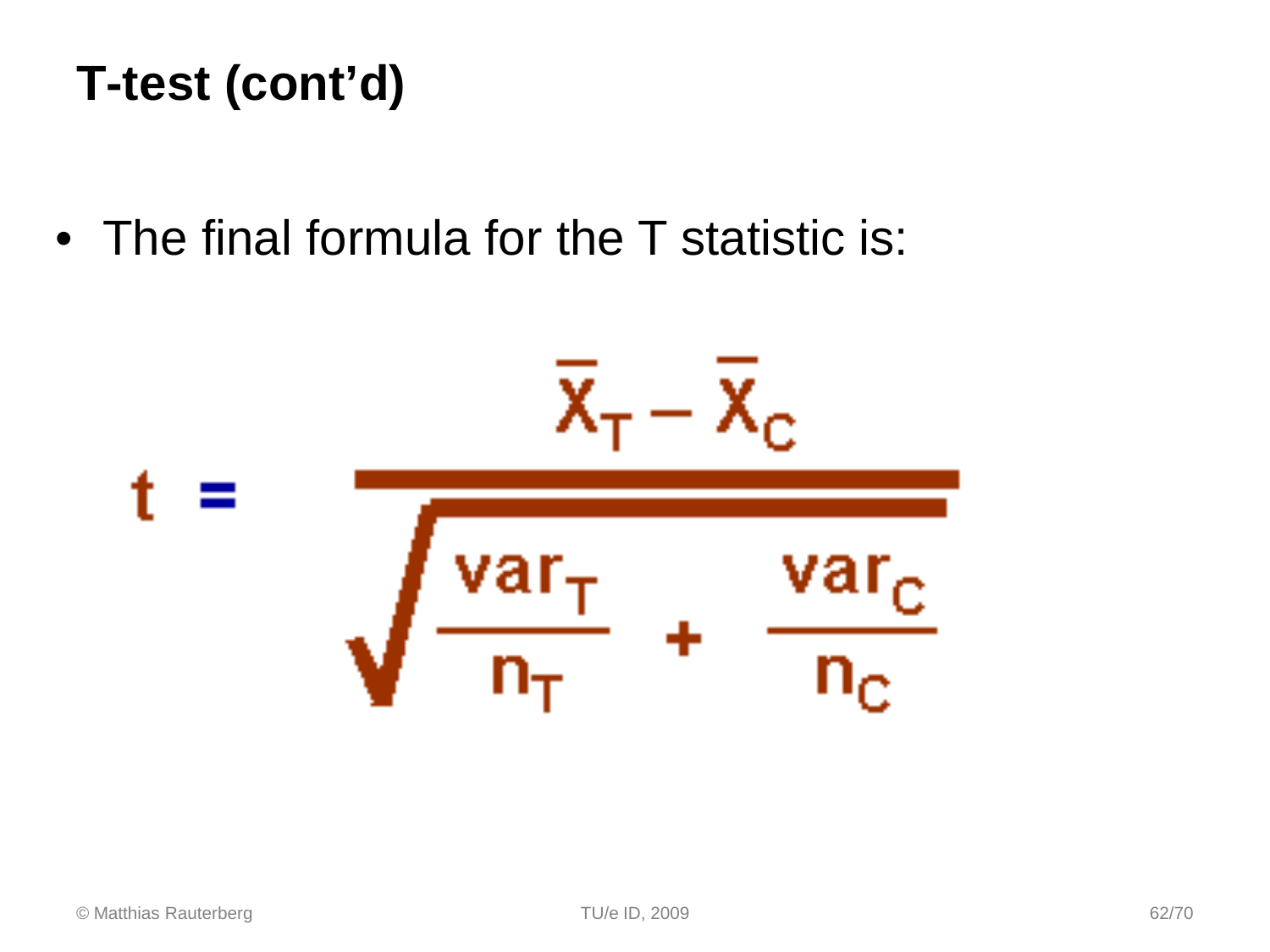### **T-test (cont'd)**

• The final formula for the T statistic is:

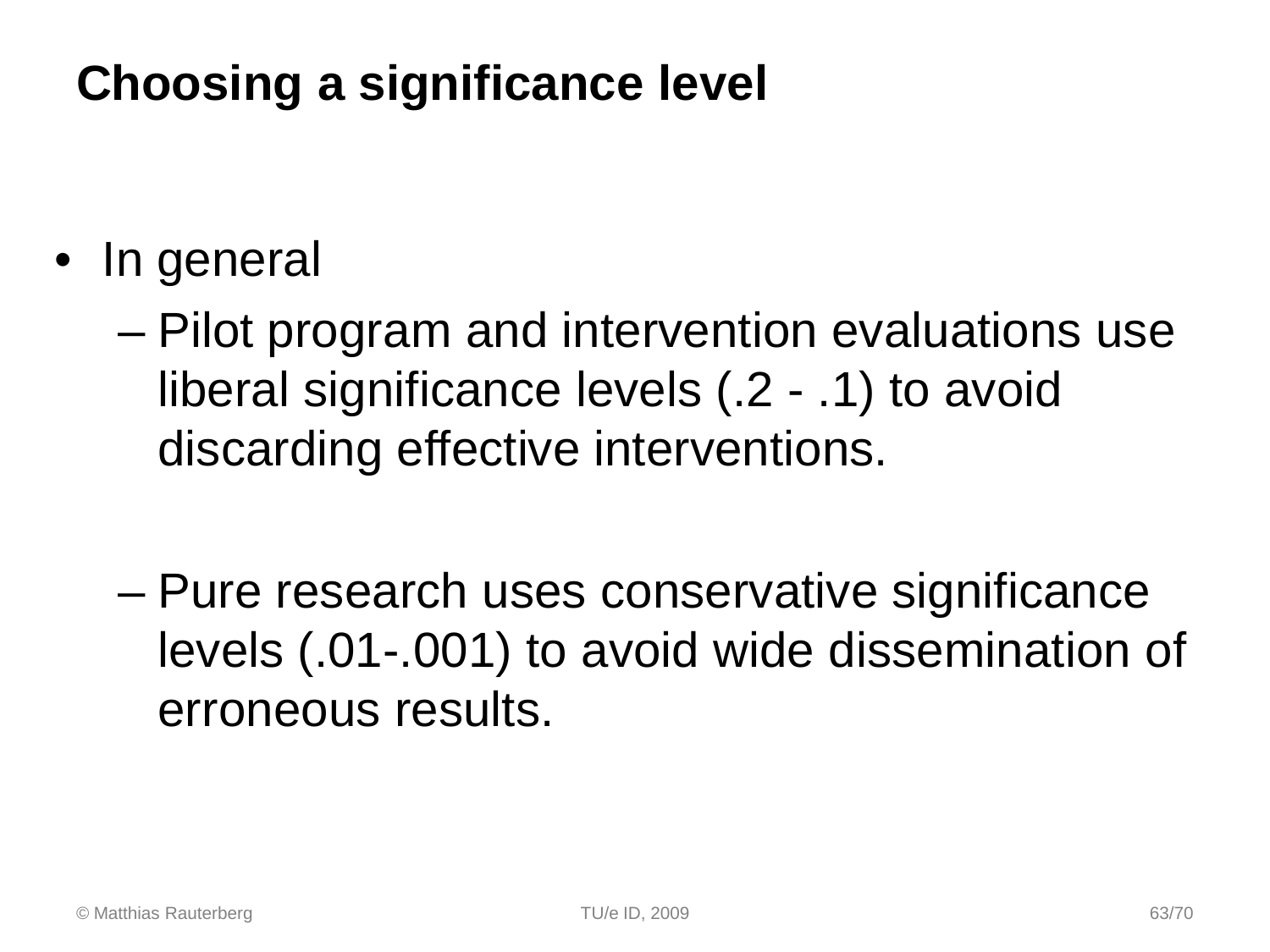### **Choosing a significance level**

- In general
	- Pilot program and intervention evaluations use liberal significance levels (.2 - .1) to avoid discarding effective interventions.
	- Pure research uses conservative significance levels (.01-.001) to avoid wide dissemination of erroneous results.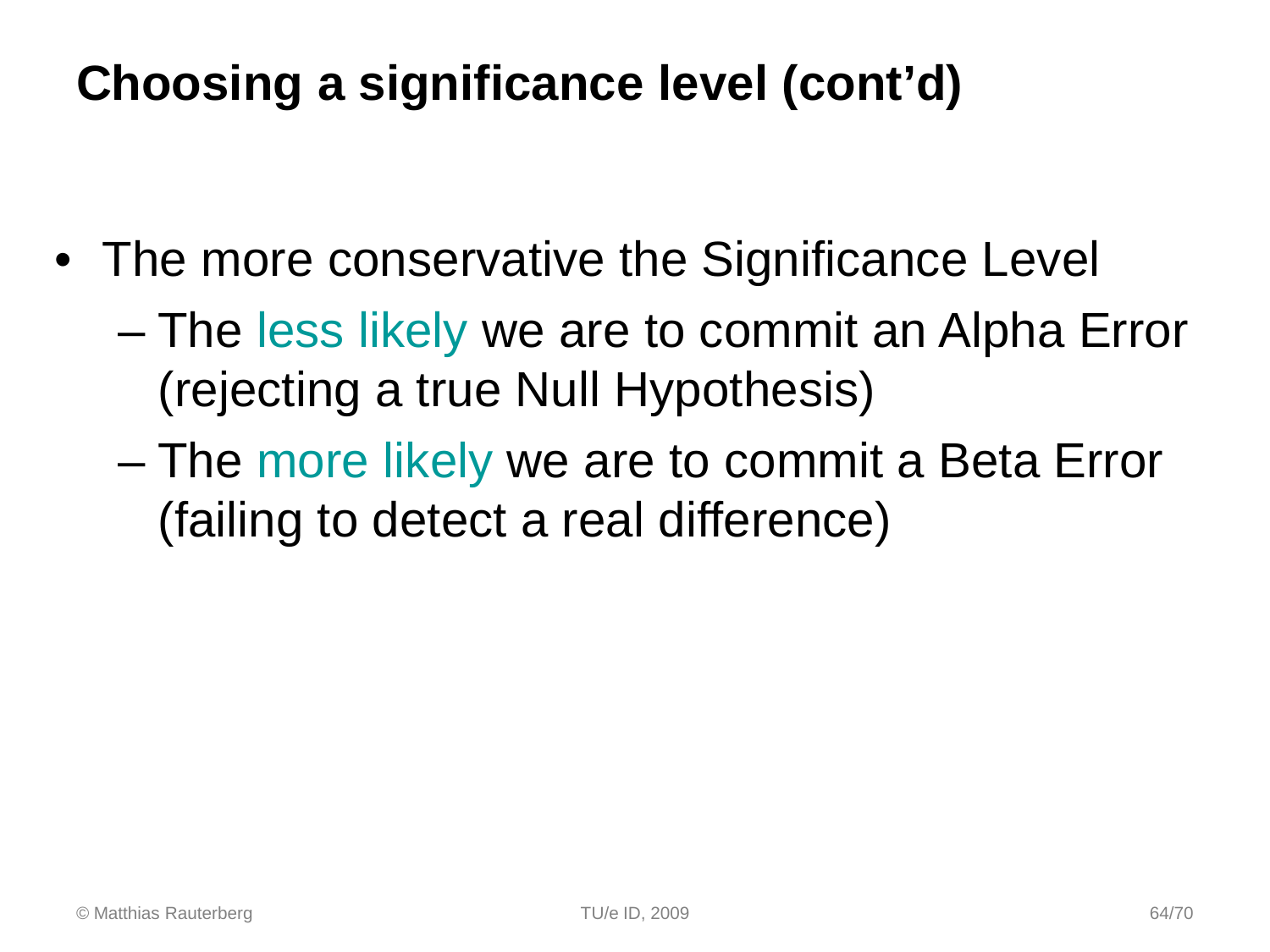### **Choosing a significance level (cont'd)**

- The more conservative the Significance Level
	- The less likely we are to commit an Alpha Error (rejecting a true Null Hypothesis)
	- The more likely we are to commit a Beta Error (failing to detect a real difference)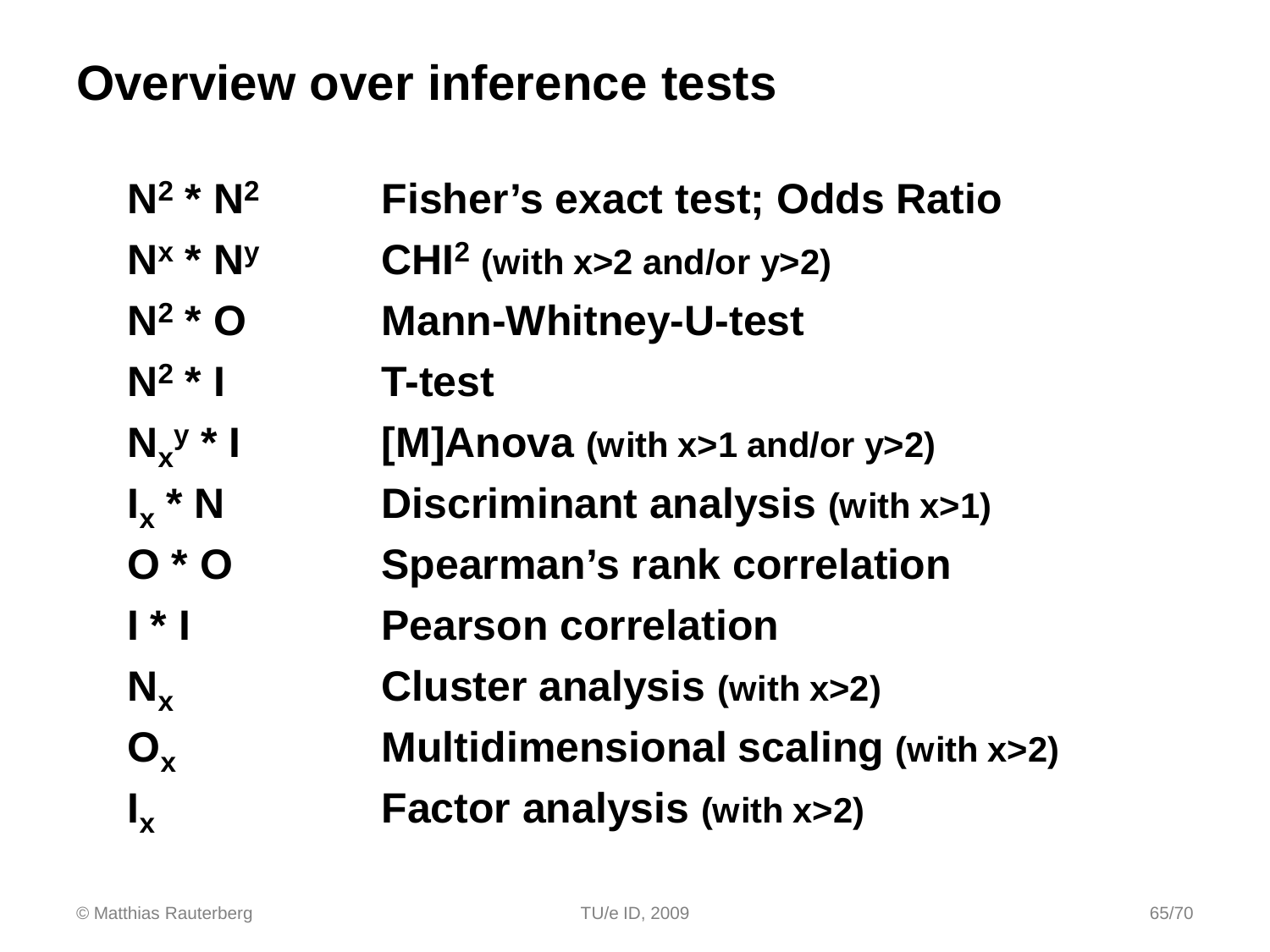### **Overview over inference tests**

| $N^2 * N^2$               | <b>Fisher's exact test; Odds Ratio</b>        |
|---------------------------|-----------------------------------------------|
| $N^x * N^y$               | $CHI2$ (with x>2 and/or y>2)                  |
| $N^2$ * O                 | <b>Mann-Whitney-U-test</b>                    |
| $N^2$ *                   | <b>T-test</b>                                 |
| $N_x$ <sup>y</sup> * I    | [M]Anova (with $x>1$ and/or $y>2$ )           |
| $I_x * N$                 | Discriminant analysis (with x>1)              |
| $O * O$                   | <b>Spearman's rank correlation</b>            |
| $\mathsf{I}^*$            | <b>Pearson correlation</b>                    |
| $N_{x}$                   | <b>Cluster analysis (with x&gt;2)</b>         |
| $O_{\rm x}$               | <b>Multidimensional scaling (with x&gt;2)</b> |
| $\mathbf{l}_{\mathbf{x}}$ | <b>Factor analysis (with x&gt;2)</b>          |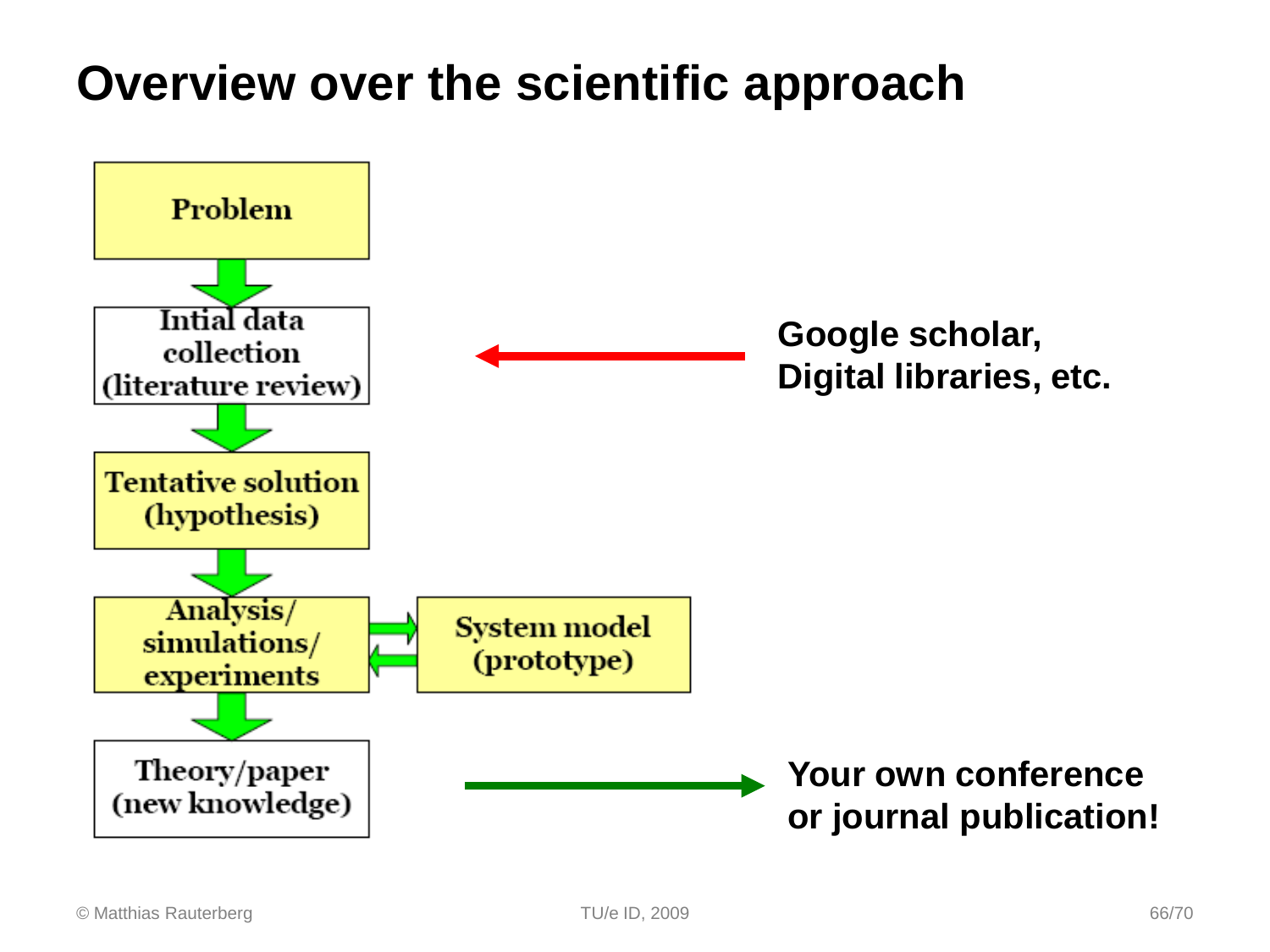### **Overview over the scientific approach**

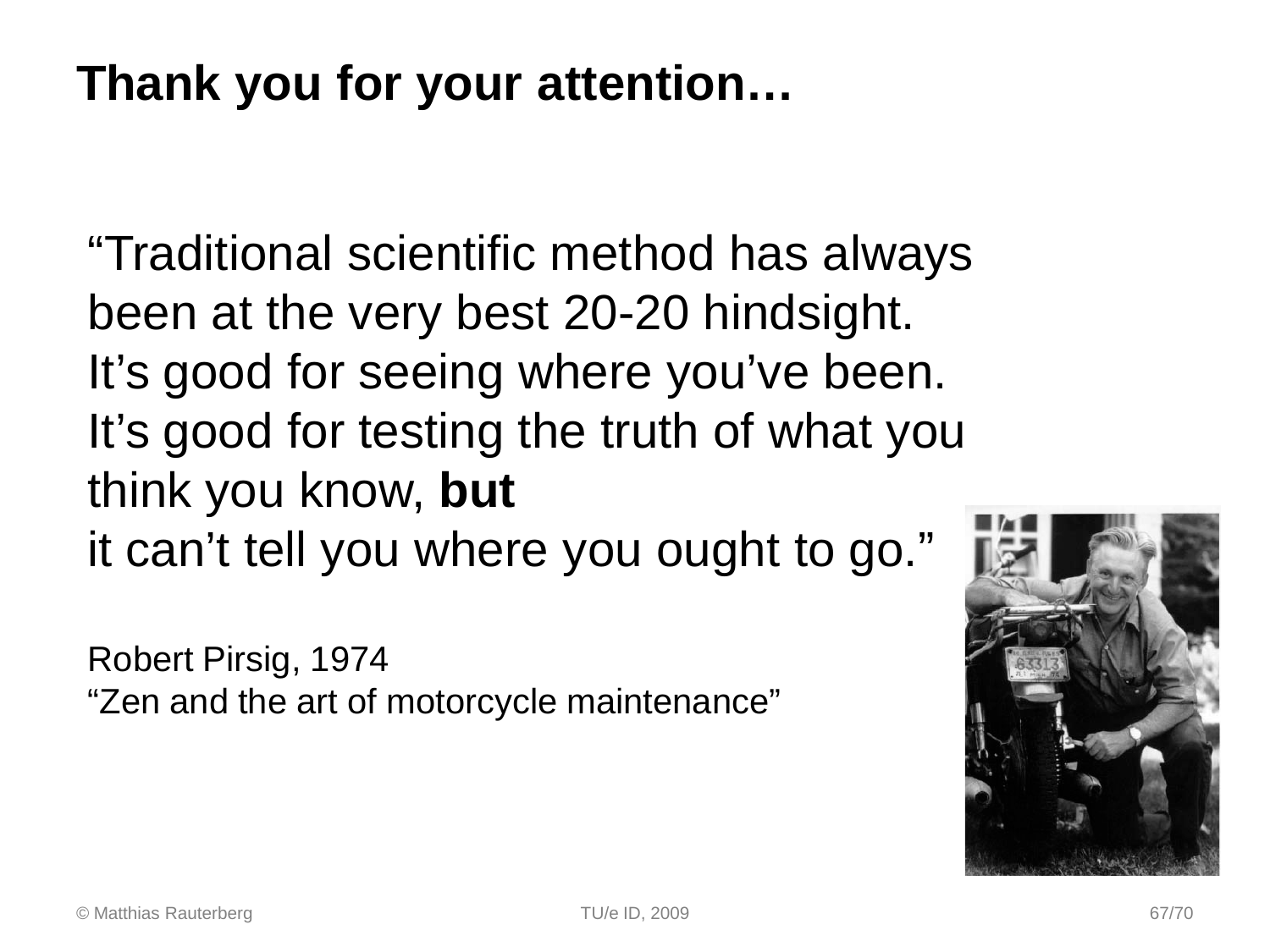### **Thank you for your attention…**

"Traditional scientific method has always been at the very best 20-20 hindsight. It's good for seeing where you've been. It's good for testing the truth of what you think you know, **but** it can't tell you where you ought to go."

Robert Pirsig, 1974 "Zen and the art of motorcycle maintenance"

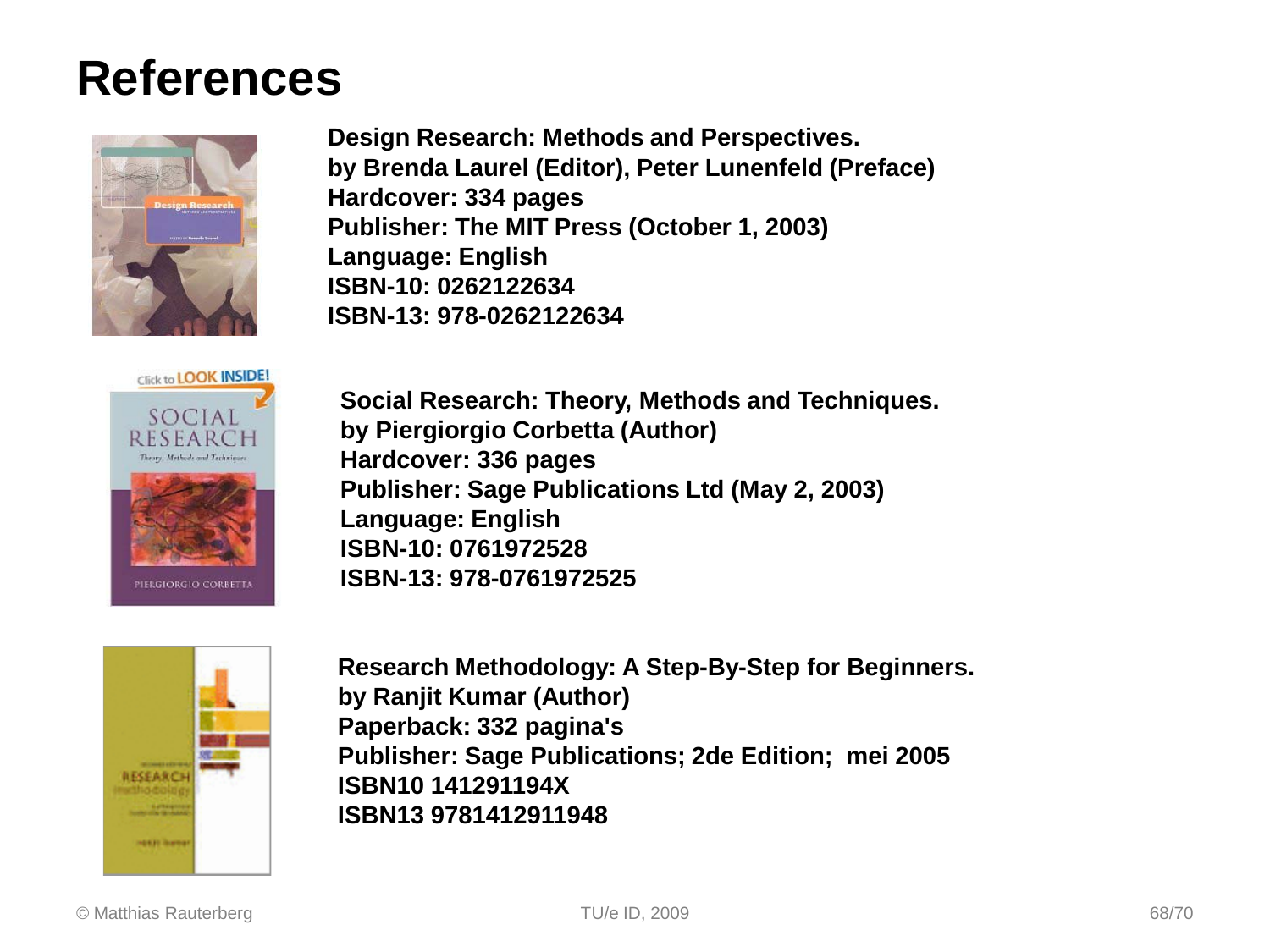### **References**



**Design Research: Methods and Perspectives. by Brenda Laurel (Editor), Peter Lunenfeld (Preface) Hardcover: 334 pages Publisher: The MIT Press (October 1, 2003) Language: English ISBN-10: 0262122634 ISBN-13: 978-0262122634** 



**Social Research: Theory, Methods and Techniques. by Piergiorgio Corbetta (Author) Hardcover: 336 pages Publisher: Sage Publications Ltd (May 2, 2003) Language: English ISBN-10: 0761972528 ISBN-13: 978-0761972525** 



**Research Methodology: A Step-By-Step for Beginners. by Ranjit Kumar (Author) Paperback: 332 pagina's Publisher: Sage Publications; 2de Edition; mei 2005 ISBN10 141291194X ISBN13 9781412911948**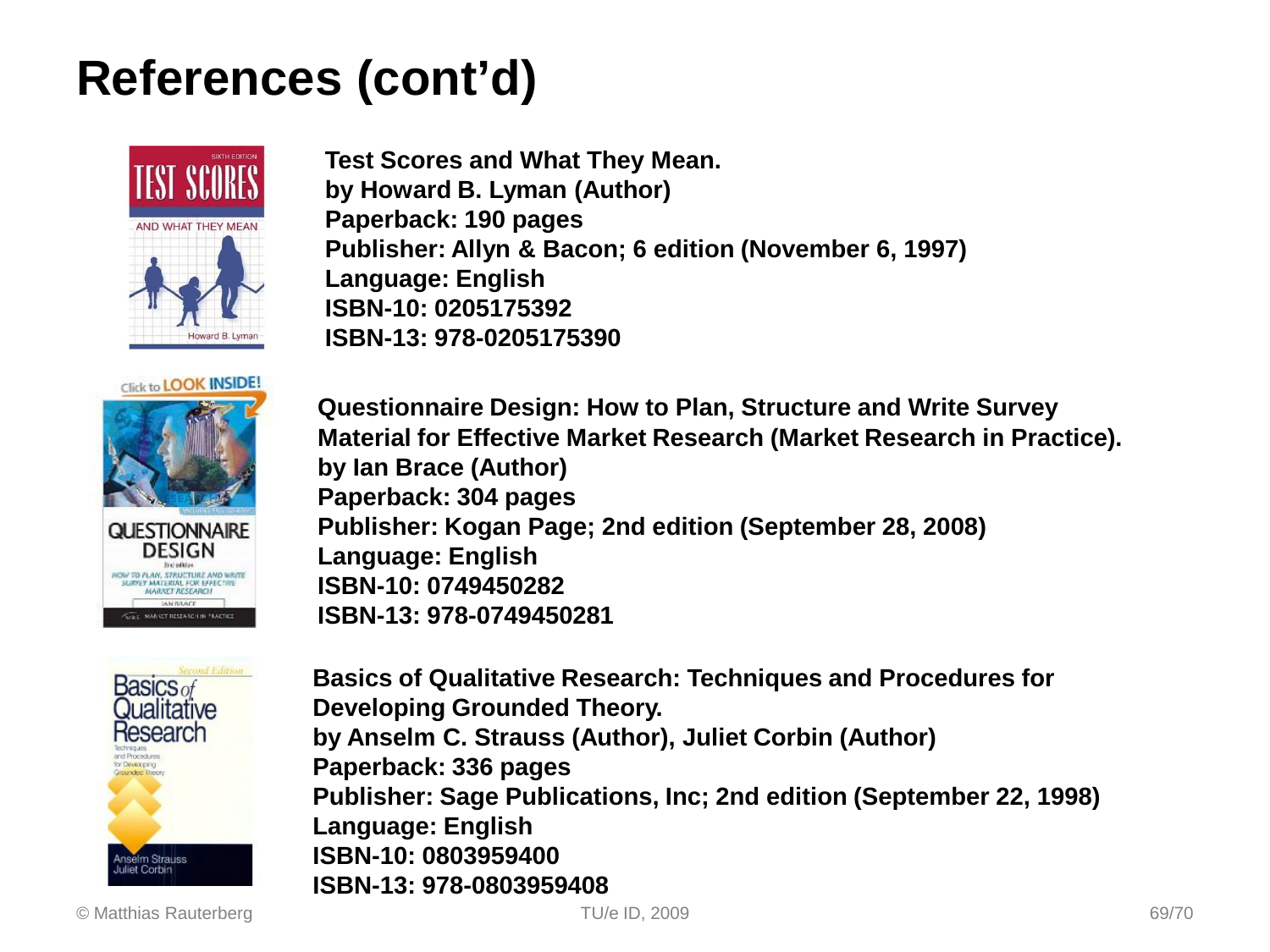### **References (cont'd)**



**Test Scores and What They Mean. by Howard B. Lyman (Author) Paperback: 190 pages Publisher: Allyn & Bacon; 6 edition (November 6, 1997) Language: English ISBN-10: 0205175392 ISBN-13: 978-0205175390** 





**Questionnaire Design: How to Plan, Structure and Write Survey Material for Effective Market Research (Market Research in Practice). by Ian Brace (Author) Paperback: 304 pages Publisher: Kogan Page; 2nd edition (September 28, 2008) Language: English ISBN-10: 0749450282 ISBN-13: 978-0749450281** 

**Basics of Qualitative Research: Techniques and Procedures for Developing Grounded Theory. by Anselm C. Strauss (Author), Juliet Corbin (Author) Paperback: 336 pages Publisher: Sage Publications, Inc; 2nd edition (September 22, 1998) Language: English ISBN-10: 0803959400 ISBN-13: 978-0803959408**